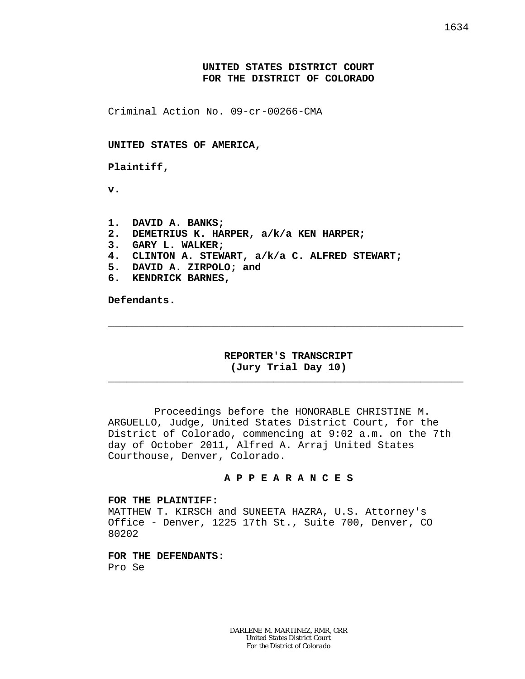## **UNITED STATES DISTRICT COURT FOR THE DISTRICT OF COLORADO**

Criminal Action No. 09-cr-00266-CMA

**UNITED STATES OF AMERICA,**

**Plaintiff,**

**v.**

**1. DAVID A. BANKS; 2. DEMETRIUS K. HARPER, a/k/a KEN HARPER; 3. GARY L. WALKER; 4. CLINTON A. STEWART, a/k/a C. ALFRED STEWART; 5. DAVID A. ZIRPOLO; and 6. KENDRICK BARNES,**

**Defendants.**

## **REPORTER'S TRANSCRIPT (Jury Trial Day 10)**

\_\_\_\_\_\_\_\_\_\_\_\_\_\_\_\_\_\_\_\_\_\_\_\_\_\_\_\_\_\_\_\_\_\_\_\_\_\_\_\_\_\_\_\_\_\_\_\_\_\_\_\_\_\_\_\_\_\_

\_\_\_\_\_\_\_\_\_\_\_\_\_\_\_\_\_\_\_\_\_\_\_\_\_\_\_\_\_\_\_\_\_\_\_\_\_\_\_\_\_\_\_\_\_\_\_\_\_\_\_\_\_\_\_\_\_\_

Proceedings before the HONORABLE CHRISTINE M. ARGUELLO, Judge, United States District Court, for the District of Colorado, commencing at 9:02 a.m. on the 7th day of October 2011, Alfred A. Arraj United States Courthouse, Denver, Colorado.

#### **A P P E A R A N C E S**

#### **FOR THE PLAINTIFF:**

MATTHEW T. KIRSCH and SUNEETA HAZRA, U.S. Attorney's Office - Denver, 1225 17th St., Suite 700, Denver, CO 80202

**FOR THE DEFENDANTS:** Pro Se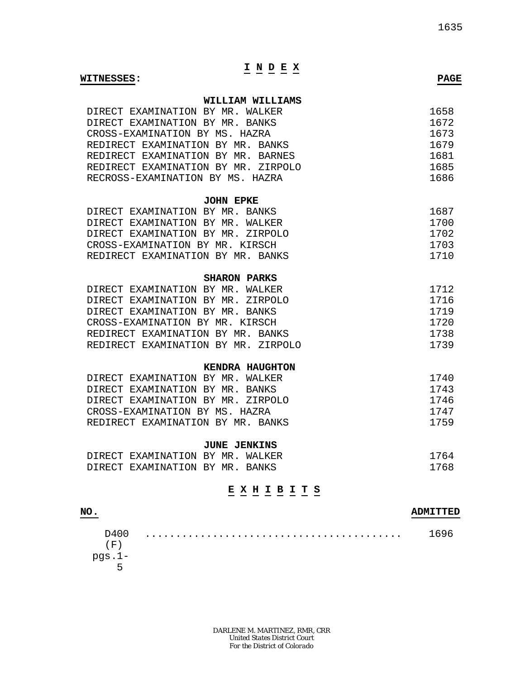# **I N D E X**

#### **WITNESSES: PAGE**

#### **WILLIAM WILLIAMS**

| DIRECT EXAMINATION BY MR. WALKER    | 1658 |
|-------------------------------------|------|
| DIRECT EXAMINATION BY MR. BANKS     | 1672 |
| CROSS-EXAMINATION BY MS. HAZRA      | 1673 |
| REDIRECT EXAMINATION BY MR. BANKS   | 1679 |
| REDIRECT EXAMINATION BY MR. BARNES  | 1681 |
| REDIRECT EXAMINATION BY MR. ZIRPOLO | 1685 |
| RECROSS-EXAMINATION BY MS. HAZRA    | 1686 |

#### **JOHN EPKE**

| DIRECT EXAMINATION BY MR. BANKS   | 1687   |
|-----------------------------------|--------|
| DIRECT EXAMINATION BY MR. WALKER  | 1700   |
| DIRECT EXAMINATION BY MR. ZIRPOLO | 1702   |
| CROSS-EXAMINATION BY MR. KIRSCH   | 1703   |
| REDIRECT EXAMINATION BY MR. BANKS | 1710 I |

## **SHARON PARKS**

| DIRECT EXAMINATION BY MR. WALKER    | 1712 |
|-------------------------------------|------|
| DIRECT EXAMINATION BY MR. ZIRPOLO   | 1716 |
| DIRECT EXAMINATION BY MR. BANKS     | 1719 |
| CROSS-EXAMINATION BY MR. KIRSCH     | 1720 |
| REDIRECT EXAMINATION BY MR. BANKS   | 1738 |
| REDIRECT EXAMINATION BY MR. ZIRPOLO | 1739 |

### **KENDRA HAUGHTON**

| DIRECT EXAMINATION BY MR. WALKER  | 1740 |
|-----------------------------------|------|
| DIRECT EXAMINATION BY MR. BANKS   | 1743 |
| DIRECT EXAMINATION BY MR. ZIRPOLO | 1746 |
| CROSS-EXAMINATION BY MS. HAZRA    | 1747 |
| REDIRECT EXAMINATION BY MR. BANKS | 1759 |

## **JUNE JENKINS**

| DIRECT EXAMINATION BY MR. WALKER |  | 1764 |
|----------------------------------|--|------|
| DIRECT EXAMINATION BY MR. BANKS  |  | 1768 |

## **E X H I B I T S**

## **NO. ADMITTED** D400  $(F)$ pgs.1- 5 .......................................... 1696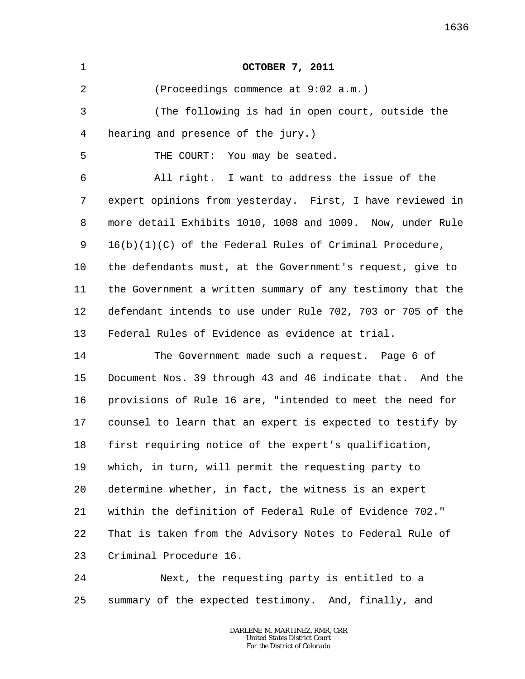| 1       | <b>OCTOBER 7, 2011</b>                                     |
|---------|------------------------------------------------------------|
| 2       | (Proceedings commence at 9:02 a.m.)                        |
| 3       | (The following is had in open court, outside the           |
| 4       | hearing and presence of the jury.)                         |
| 5       | THE COURT: You may be seated.                              |
| 6       | All right. I want to address the issue of the              |
| 7       | expert opinions from yesterday. First, I have reviewed in  |
| 8       | more detail Exhibits 1010, 1008 and 1009. Now, under Rule  |
| 9       | $16(b)(1)(C)$ of the Federal Rules of Criminal Procedure,  |
| $10 \,$ | the defendants must, at the Government's request, give to  |
| 11      | the Government a written summary of any testimony that the |
| 12      | defendant intends to use under Rule 702, 703 or 705 of the |
| 13      | Federal Rules of Evidence as evidence at trial.            |
| 14      | The Government made such a request. Page 6 of              |
| 15      | Document Nos. 39 through 43 and 46 indicate that. And the  |
| 16      | provisions of Rule 16 are, "intended to meet the need for  |
| 17      | counsel to learn that an expert is expected to testify by  |
| 18      | first requiring notice of the expert's qualification,      |
| 19      | which, in turn, will permit the requesting party to        |
| 20      | determine whether, in fact, the witness is an expert       |
| 21      | within the definition of Federal Rule of Evidence 702."    |
| 22      | That is taken from the Advisory Notes to Federal Rule of   |
| 23      | Criminal Procedure 16.                                     |
| 24      | Next, the requesting party is entitled to a                |
| 25      | summary of the expected testimony. And, finally, and       |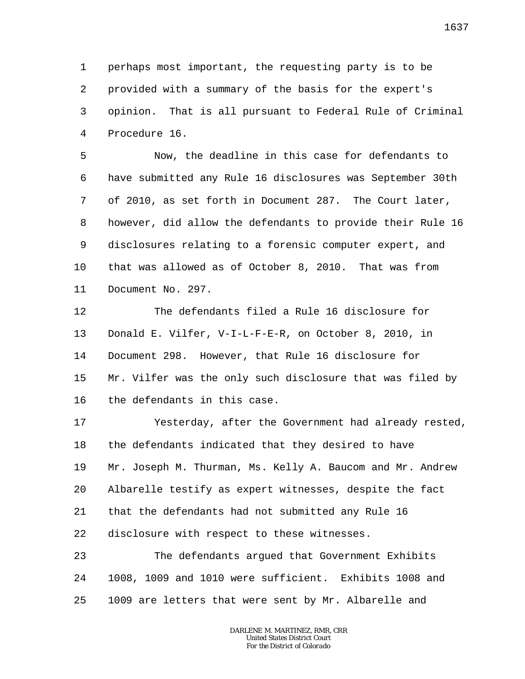1 2 3 4 perhaps most important, the requesting party is to be provided with a summary of the basis for the expert's opinion. That is all pursuant to Federal Rule of Criminal Procedure 16.

5 6 7 8 9 10 11 Now, the deadline in this case for defendants to have submitted any Rule 16 disclosures was September 30th of 2010, as set forth in Document 287. The Court later, however, did allow the defendants to provide their Rule 16 disclosures relating to a forensic computer expert, and that was allowed as of October 8, 2010. That was from Document No. 297.

12 13 14 15 16 The defendants filed a Rule 16 disclosure for Donald E. Vilfer, V-I-L-F-E-R, on October 8, 2010, in Document 298. However, that Rule 16 disclosure for Mr. Vilfer was the only such disclosure that was filed by the defendants in this case.

17 18 19 20 21 22 Yesterday, after the Government had already rested, the defendants indicated that they desired to have Mr. Joseph M. Thurman, Ms. Kelly A. Baucom and Mr. Andrew Albarelle testify as expert witnesses, despite the fact that the defendants had not submitted any Rule 16 disclosure with respect to these witnesses.

23 24 25 The defendants argued that Government Exhibits 1008, 1009 and 1010 were sufficient. Exhibits 1008 and 1009 are letters that were sent by Mr. Albarelle and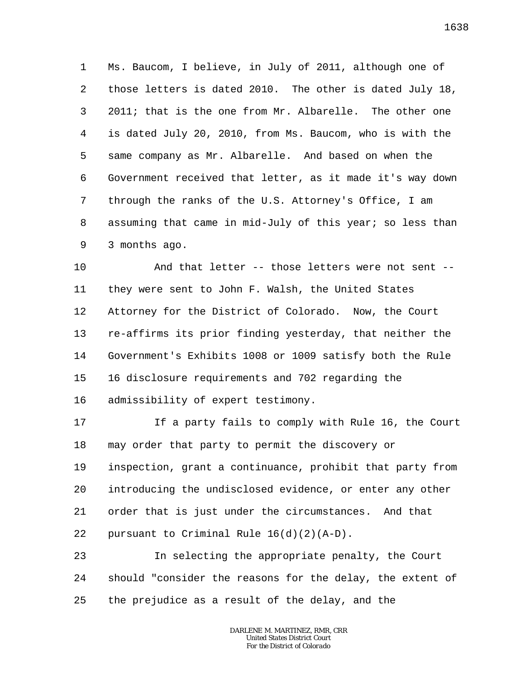1 2 3 4 5 6 7 8 9 Ms. Baucom, I believe, in July of 2011, although one of those letters is dated 2010. The other is dated July 18, 2011; that is the one from Mr. Albarelle. The other one is dated July 20, 2010, from Ms. Baucom, who is with the same company as Mr. Albarelle. And based on when the Government received that letter, as it made it's way down through the ranks of the U.S. Attorney's Office, I am assuming that came in mid-July of this year; so less than 3 months ago.

10 11 12 13 14 15 16 And that letter -- those letters were not sent - they were sent to John F. Walsh, the United States Attorney for the District of Colorado. Now, the Court re-affirms its prior finding yesterday, that neither the Government's Exhibits 1008 or 1009 satisfy both the Rule 16 disclosure requirements and 702 regarding the admissibility of expert testimony.

17 18 19 20 21 22 If a party fails to comply with Rule 16, the Court may order that party to permit the discovery or inspection, grant a continuance, prohibit that party from introducing the undisclosed evidence, or enter any other order that is just under the circumstances. And that pursuant to Criminal Rule 16(d)(2)(A-D).

23 24 25 In selecting the appropriate penalty, the Court should "consider the reasons for the delay, the extent of the prejudice as a result of the delay, and the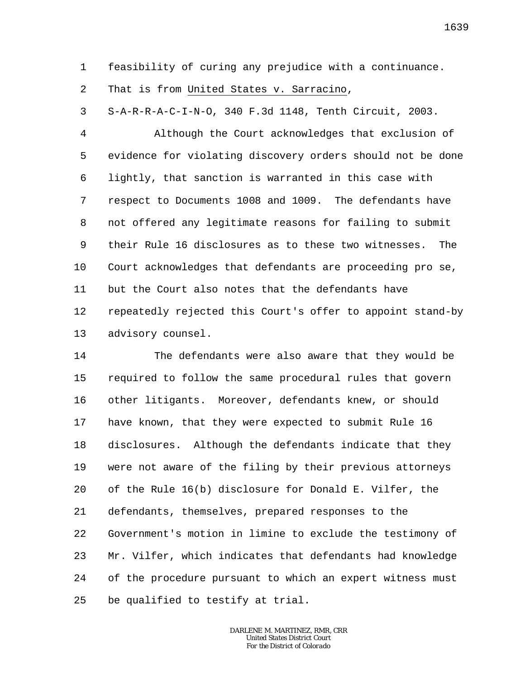1 feasibility of curing any prejudice with a continuance.

2 That is from United States v. Sarracino,

3 S-A-R-R-A-C-I-N-O, 340 F.3d 1148, Tenth Circuit, 2003.

4 5 6 7 8 9 10 11 12 13 Although the Court acknowledges that exclusion of evidence for violating discovery orders should not be done lightly, that sanction is warranted in this case with respect to Documents 1008 and 1009. The defendants have not offered any legitimate reasons for failing to submit their Rule 16 disclosures as to these two witnesses. The Court acknowledges that defendants are proceeding pro se, but the Court also notes that the defendants have repeatedly rejected this Court's offer to appoint stand-by advisory counsel.

14 15 16 17 18 19 20 21 22 23 24 25 The defendants were also aware that they would be required to follow the same procedural rules that govern other litigants. Moreover, defendants knew, or should have known, that they were expected to submit Rule 16 disclosures. Although the defendants indicate that they were not aware of the filing by their previous attorneys of the Rule 16(b) disclosure for Donald E. Vilfer, the defendants, themselves, prepared responses to the Government's motion in limine to exclude the testimony of Mr. Vilfer, which indicates that defendants had knowledge of the procedure pursuant to which an expert witness must be qualified to testify at trial.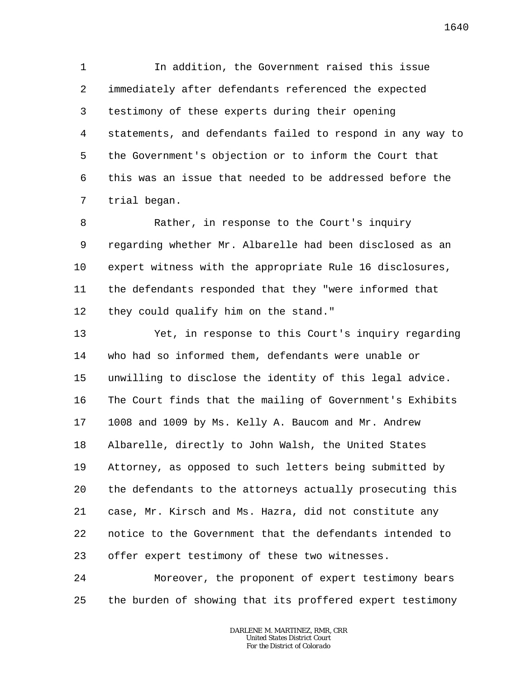1 2 3 4 5 6 7 In addition, the Government raised this issue immediately after defendants referenced the expected testimony of these experts during their opening statements, and defendants failed to respond in any way to the Government's objection or to inform the Court that this was an issue that needed to be addressed before the trial began.

8 9 10 11 12 Rather, in response to the Court's inquiry regarding whether Mr. Albarelle had been disclosed as an expert witness with the appropriate Rule 16 disclosures, the defendants responded that they "were informed that they could qualify him on the stand."

13 14 15 16 17 18 19 20 21 22 23 Yet, in response to this Court's inquiry regarding who had so informed them, defendants were unable or unwilling to disclose the identity of this legal advice. The Court finds that the mailing of Government's Exhibits 1008 and 1009 by Ms. Kelly A. Baucom and Mr. Andrew Albarelle, directly to John Walsh, the United States Attorney, as opposed to such letters being submitted by the defendants to the attorneys actually prosecuting this case, Mr. Kirsch and Ms. Hazra, did not constitute any notice to the Government that the defendants intended to offer expert testimony of these two witnesses.

24 25 Moreover, the proponent of expert testimony bears the burden of showing that its proffered expert testimony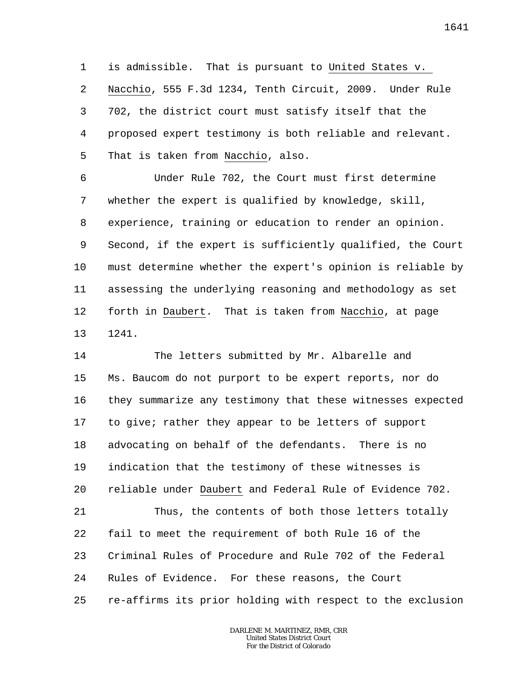1 2 3 4 5 is admissible. That is pursuant to United States v. Nacchio, 555 F.3d 1234, Tenth Circuit, 2009. Under Rule 702, the district court must satisfy itself that the proposed expert testimony is both reliable and relevant. That is taken from Nacchio, also.

6 7 8 9 10 11 12 13 Under Rule 702, the Court must first determine whether the expert is qualified by knowledge, skill, experience, training or education to render an opinion. Second, if the expert is sufficiently qualified, the Court must determine whether the expert's opinion is reliable by assessing the underlying reasoning and methodology as set forth in Daubert. That is taken from Nacchio, at page 1241.

14 15 16 17 18 19 20 21 22 23 24 25 The letters submitted by Mr. Albarelle and Ms. Baucom do not purport to be expert reports, nor do they summarize any testimony that these witnesses expected to give; rather they appear to be letters of support advocating on behalf of the defendants. There is no indication that the testimony of these witnesses is reliable under Daubert and Federal Rule of Evidence 702. Thus, the contents of both those letters totally fail to meet the requirement of both Rule 16 of the Criminal Rules of Procedure and Rule 702 of the Federal Rules of Evidence. For these reasons, the Court re-affirms its prior holding with respect to the exclusion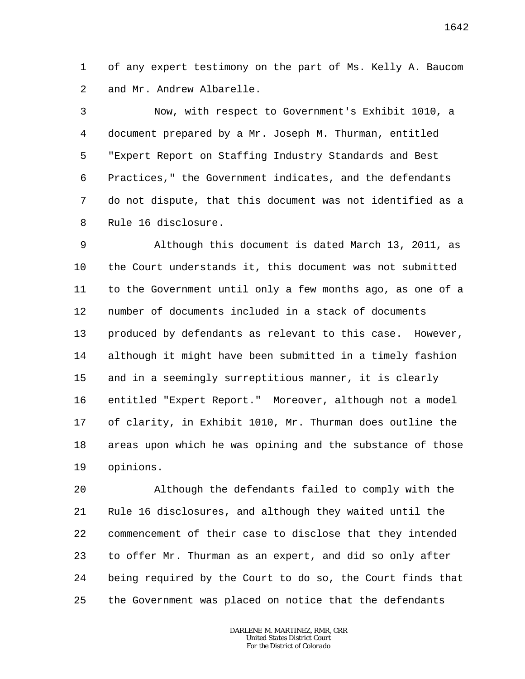1 2 of any expert testimony on the part of Ms. Kelly A. Baucom and Mr. Andrew Albarelle.

3 4 5 6 7 8 Now, with respect to Government's Exhibit 1010, a document prepared by a Mr. Joseph M. Thurman, entitled "Expert Report on Staffing Industry Standards and Best Practices," the Government indicates, and the defendants do not dispute, that this document was not identified as a Rule 16 disclosure.

9 10 11 12 13 14 15 16 17 18 19 Although this document is dated March 13, 2011, as the Court understands it, this document was not submitted to the Government until only a few months ago, as one of a number of documents included in a stack of documents produced by defendants as relevant to this case. However, although it might have been submitted in a timely fashion and in a seemingly surreptitious manner, it is clearly entitled "Expert Report." Moreover, although not a model of clarity, in Exhibit 1010, Mr. Thurman does outline the areas upon which he was opining and the substance of those opinions.

20 21 22 23 24 25 Although the defendants failed to comply with the Rule 16 disclosures, and although they waited until the commencement of their case to disclose that they intended to offer Mr. Thurman as an expert, and did so only after being required by the Court to do so, the Court finds that the Government was placed on notice that the defendants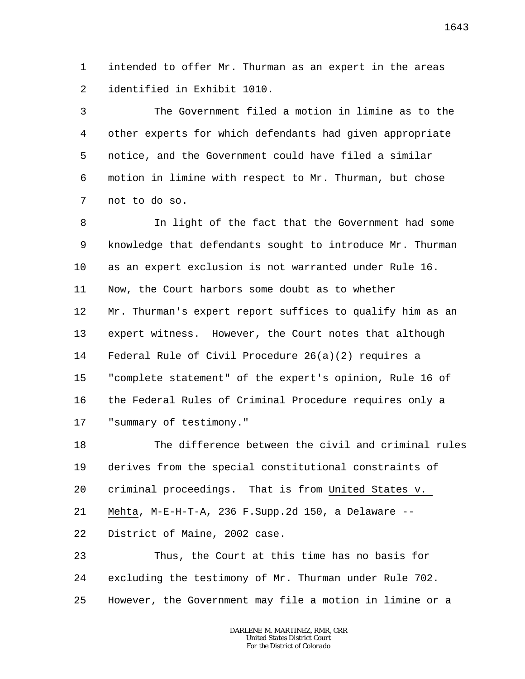1  $\overline{a}$ intended to offer Mr. Thurman as an expert in the areas identified in Exhibit 1010.

3 4 5 6 7 The Government filed a motion in limine as to the other experts for which defendants had given appropriate notice, and the Government could have filed a similar motion in limine with respect to Mr. Thurman, but chose not to do so.

8 9 10 11 12 13 14 15 16 17 In light of the fact that the Government had some knowledge that defendants sought to introduce Mr. Thurman as an expert exclusion is not warranted under Rule 16. Now, the Court harbors some doubt as to whether Mr. Thurman's expert report suffices to qualify him as an expert witness. However, the Court notes that although Federal Rule of Civil Procedure 26(a)(2) requires a "complete statement" of the expert's opinion, Rule 16 of the Federal Rules of Criminal Procedure requires only a "summary of testimony."

18 19 20 21 22 The difference between the civil and criminal rules derives from the special constitutional constraints of criminal proceedings. That is from United States v. Mehta, M-E-H-T-A, 236 F.Supp.2d 150, a Delaware -- District of Maine, 2002 case.

23 24 25 Thus, the Court at this time has no basis for excluding the testimony of Mr. Thurman under Rule 702. However, the Government may file a motion in limine or a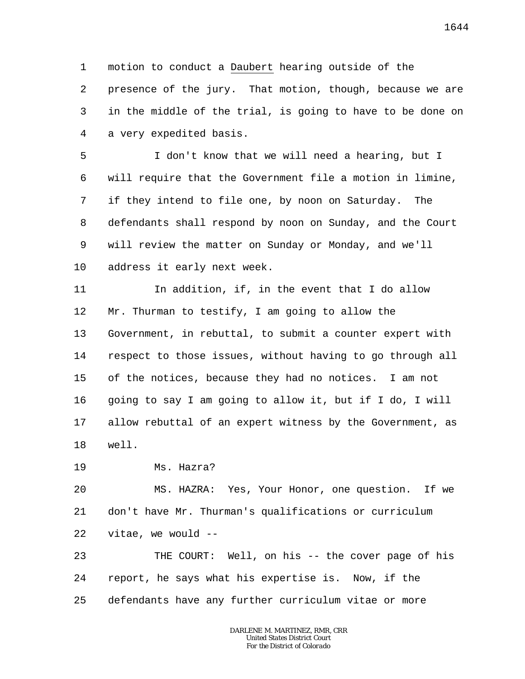1 2 3 4 motion to conduct a Daubert hearing outside of the presence of the jury. That motion, though, because we are in the middle of the trial, is going to have to be done on a very expedited basis.

5 6 7 8 9 10 I don't know that we will need a hearing, but I will require that the Government file a motion in limine, if they intend to file one, by noon on Saturday. The defendants shall respond by noon on Sunday, and the Court will review the matter on Sunday or Monday, and we'll address it early next week.

11 12 13 14 15 16 17 18 In addition, if, in the event that I do allow Mr. Thurman to testify, I am going to allow the Government, in rebuttal, to submit a counter expert with respect to those issues, without having to go through all of the notices, because they had no notices. I am not going to say I am going to allow it, but if I do, I will allow rebuttal of an expert witness by the Government, as well.

19 Ms. Hazra?

20 21 22 MS. HAZRA: Yes, Your Honor, one question. If we don't have Mr. Thurman's qualifications or curriculum vitae, we would --

23 24 25 THE COURT: Well, on his -- the cover page of his report, he says what his expertise is. Now, if the defendants have any further curriculum vitae or more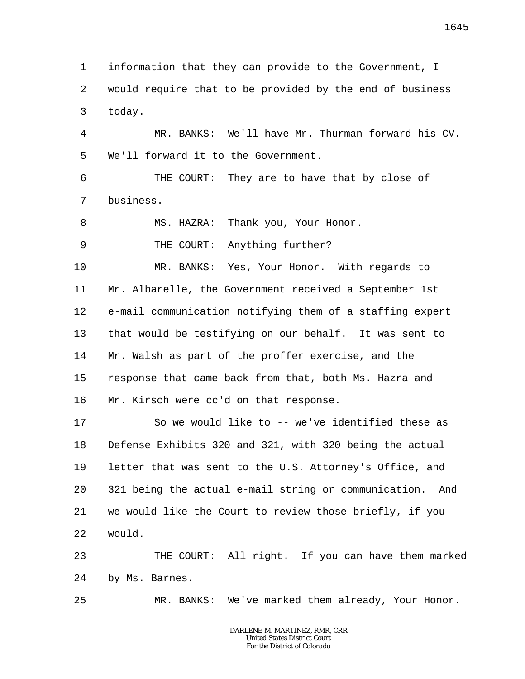1 2 3 information that they can provide to the Government, I would require that to be provided by the end of business today.

4 5 MR. BANKS: We'll have Mr. Thurman forward his CV. We'll forward it to the Government.

6 7 THE COURT: They are to have that by close of business.

8 MS. HAZRA: Thank you, Your Honor.

9 THE COURT: Anything further?

10 11 12 13 14 15 16 MR. BANKS: Yes, Your Honor. With regards to Mr. Albarelle, the Government received a September 1st e-mail communication notifying them of a staffing expert that would be testifying on our behalf. It was sent to Mr. Walsh as part of the proffer exercise, and the response that came back from that, both Ms. Hazra and Mr. Kirsch were cc'd on that response.

17 18 19 20 21 22 So we would like to -- we've identified these as Defense Exhibits 320 and 321, with 320 being the actual letter that was sent to the U.S. Attorney's Office, and 321 being the actual e-mail string or communication. And we would like the Court to review those briefly, if you would.

23 24 THE COURT: All right. If you can have them marked by Ms. Barnes.

25 MR. BANKS: We've marked them already, Your Honor.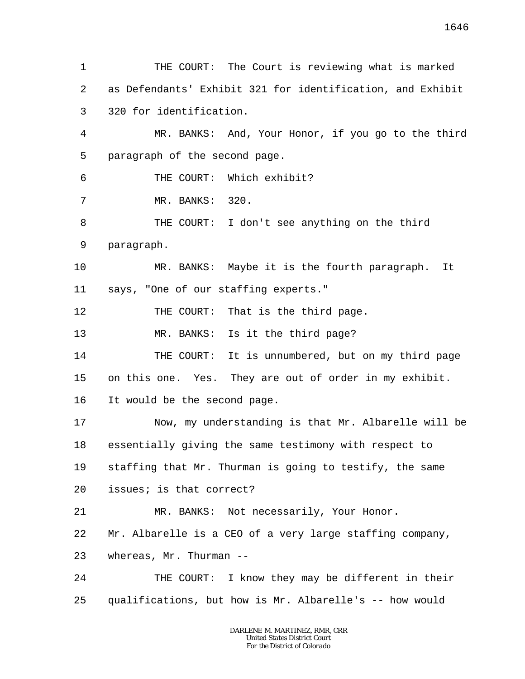1 2 3 4 5 6 7 8 9 10 11 12 13 14 15 16 17 18 19 20 21 22 23 24 25 THE COURT: The Court is reviewing what is marked as Defendants' Exhibit 321 for identification, and Exhibit 320 for identification. MR. BANKS: And, Your Honor, if you go to the third paragraph of the second page. THE COURT: Which exhibit? MR. BANKS: 320. THE COURT: I don't see anything on the third paragraph. MR. BANKS: Maybe it is the fourth paragraph. It says, "One of our staffing experts." THE COURT: That is the third page. MR. BANKS: Is it the third page? THE COURT: It is unnumbered, but on my third page on this one. Yes. They are out of order in my exhibit. It would be the second page. Now, my understanding is that Mr. Albarelle will be essentially giving the same testimony with respect to staffing that Mr. Thurman is going to testify, the same issues; is that correct? MR. BANKS: Not necessarily, Your Honor. Mr. Albarelle is a CEO of a very large staffing company, whereas, Mr. Thurman --THE COURT: I know they may be different in their qualifications, but how is Mr. Albarelle's -- how would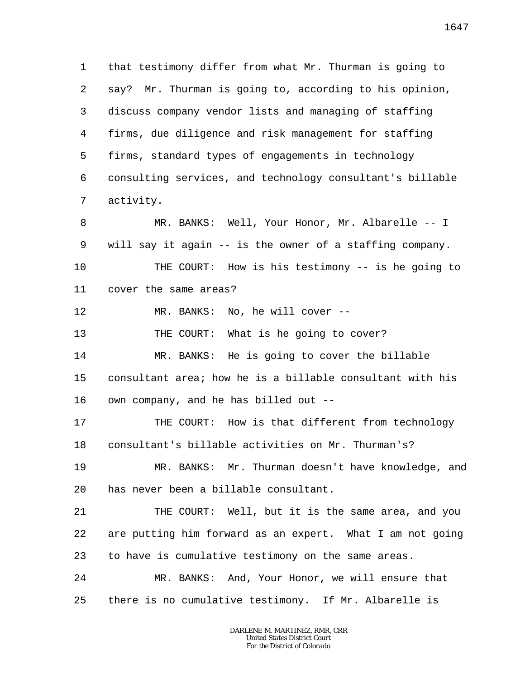1 2 3 4 5 6 7 8 9 10 11 12 13 14 15 16 17 that testimony differ from what Mr. Thurman is going to say? Mr. Thurman is going to, according to his opinion, discuss company vendor lists and managing of staffing firms, due diligence and risk management for staffing firms, standard types of engagements in technology consulting services, and technology consultant's billable activity. MR. BANKS: Well, Your Honor, Mr. Albarelle -- I will say it again -- is the owner of a staffing company. THE COURT: How is his testimony -- is he going to cover the same areas? MR. BANKS: No, he will cover --THE COURT: What is he going to cover? MR. BANKS: He is going to cover the billable consultant area; how he is a billable consultant with his own company, and he has billed out -- THE COURT: How is that different from technology

19 20 MR. BANKS: Mr. Thurman doesn't have knowledge, and has never been a billable consultant.

consultant's billable activities on Mr. Thurman's?

18

21 22 23 THE COURT: Well, but it is the same area, and you are putting him forward as an expert. What I am not going to have is cumulative testimony on the same areas.

24 25 MR. BANKS: And, Your Honor, we will ensure that there is no cumulative testimony. If Mr. Albarelle is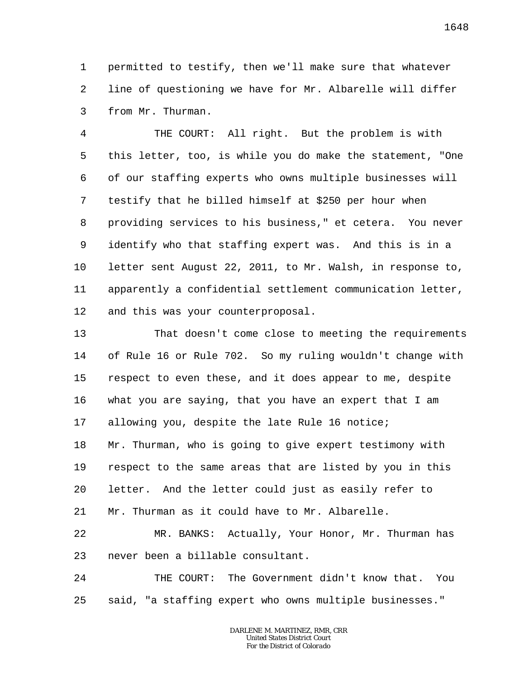1 2 3 permitted to testify, then we'll make sure that whatever line of questioning we have for Mr. Albarelle will differ from Mr. Thurman.

4 5 6 7 8 9 10 11 12 THE COURT: All right. But the problem is with this letter, too, is while you do make the statement, "One of our staffing experts who owns multiple businesses will testify that he billed himself at \$250 per hour when providing services to his business," et cetera. You never identify who that staffing expert was. And this is in a letter sent August 22, 2011, to Mr. Walsh, in response to, apparently a confidential settlement communication letter, and this was your counterproposal.

13 14 15 16 17 18 19 20 21 That doesn't come close to meeting the requirements of Rule 16 or Rule 702. So my ruling wouldn't change with respect to even these, and it does appear to me, despite what you are saying, that you have an expert that I am allowing you, despite the late Rule 16 notice; Mr. Thurman, who is going to give expert testimony with respect to the same areas that are listed by you in this letter. And the letter could just as easily refer to Mr. Thurman as it could have to Mr. Albarelle.

22 23 MR. BANKS: Actually, Your Honor, Mr. Thurman has never been a billable consultant.

24 25 THE COURT: The Government didn't know that. You said, "a staffing expert who owns multiple businesses."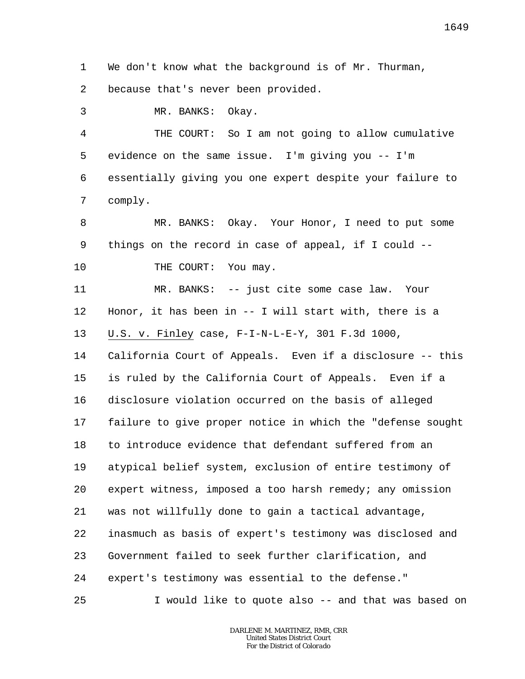1 2 We don't know what the background is of Mr. Thurman, because that's never been provided.

3 MR. BANKS: Okay.

4 5 6 7 THE COURT: So I am not going to allow cumulative evidence on the same issue. I'm giving you -- I'm essentially giving you one expert despite your failure to comply.

8 9 10 MR. BANKS: Okay. Your Honor, I need to put some things on the record in case of appeal, if I could -- THE COURT: You may.

11 12 13 MR. BANKS: -- just cite some case law. Your Honor, it has been in -- I will start with, there is a U.S. v. Finley case, F-I-N-L-E-Y, 301 F.3d 1000,

14 15 16 17 18 19 20 21 22 23 24 California Court of Appeals. Even if a disclosure -- this is ruled by the California Court of Appeals. Even if a disclosure violation occurred on the basis of alleged failure to give proper notice in which the "defense sought to introduce evidence that defendant suffered from an atypical belief system, exclusion of entire testimony of expert witness, imposed a too harsh remedy; any omission was not willfully done to gain a tactical advantage, inasmuch as basis of expert's testimony was disclosed and Government failed to seek further clarification, and expert's testimony was essential to the defense."

25 I would like to quote also -- and that was based on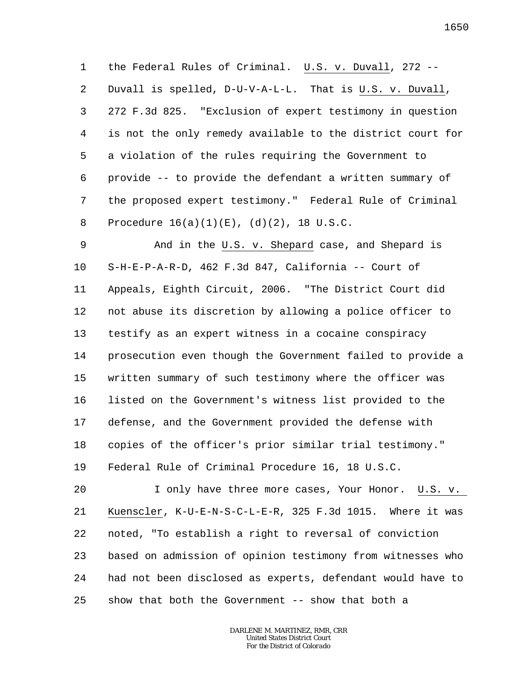1 2 3 4 5 6 7 8 the Federal Rules of Criminal. U.S. v. Duvall, 272 -- Duvall is spelled, D-U-V-A-L-L. That is U.S. v. Duvall, 272 F.3d 825. "Exclusion of expert testimony in question is not the only remedy available to the district court for a violation of the rules requiring the Government to provide -- to provide the defendant a written summary of the proposed expert testimony." Federal Rule of Criminal Procedure 16(a)(1)(E), (d)(2), 18 U.S.C.

9 10 11 12 13 14 15 16 17 18 19 And in the U.S. v. Shepard case, and Shepard is S-H-E-P-A-R-D, 462 F.3d 847, California -- Court of Appeals, Eighth Circuit, 2006. "The District Court did not abuse its discretion by allowing a police officer to testify as an expert witness in a cocaine conspiracy prosecution even though the Government failed to provide a written summary of such testimony where the officer was listed on the Government's witness list provided to the defense, and the Government provided the defense with copies of the officer's prior similar trial testimony." Federal Rule of Criminal Procedure 16, 18 U.S.C.

20 21 22 23 24 25 I only have three more cases, Your Honor. U.S. v. Kuenscler, K-U-E-N-S-C-L-E-R, 325 F.3d 1015. Where it was noted, "To establish a right to reversal of conviction based on admission of opinion testimony from witnesses who had not been disclosed as experts, defendant would have to show that both the Government -- show that both a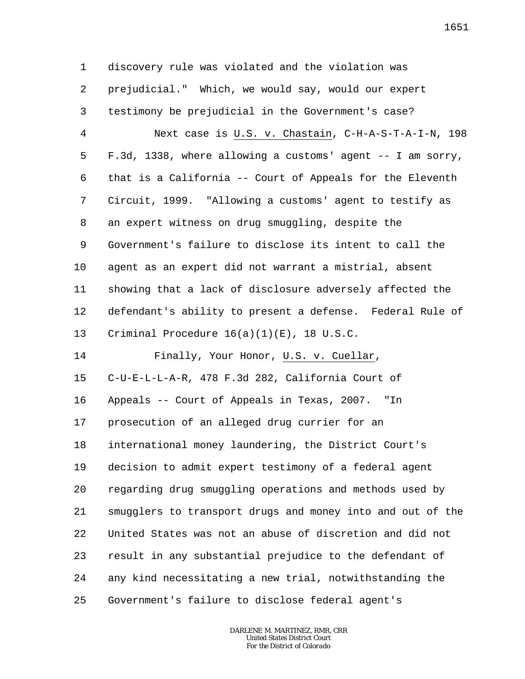1 2 3 4 5 6 7 8 9 10 11 12 13 14 15 16 17 18 19 20 21 22 23 24 25 discovery rule was violated and the violation was prejudicial." Which, we would say, would our expert testimony be prejudicial in the Government's case? Next case is U.S. v. Chastain, C-H-A-S-T-A-I-N, 198 F.3d, 1338, where allowing a customs' agent -- I am sorry, that is a California -- Court of Appeals for the Eleventh Circuit, 1999. "Allowing a customs' agent to testify as an expert witness on drug smuggling, despite the Government's failure to disclose its intent to call the agent as an expert did not warrant a mistrial, absent showing that a lack of disclosure adversely affected the defendant's ability to present a defense. Federal Rule of Criminal Procedure 16(a)(1)(E), 18 U.S.C. Finally, Your Honor, U.S. v. Cuellar, C-U-E-L-L-A-R, 478 F.3d 282, California Court of Appeals -- Court of Appeals in Texas, 2007. "In prosecution of an alleged drug currier for an international money laundering, the District Court's decision to admit expert testimony of a federal agent regarding drug smuggling operations and methods used by smugglers to transport drugs and money into and out of the United States was not an abuse of discretion and did not result in any substantial prejudice to the defendant of any kind necessitating a new trial, notwithstanding the Government's failure to disclose federal agent's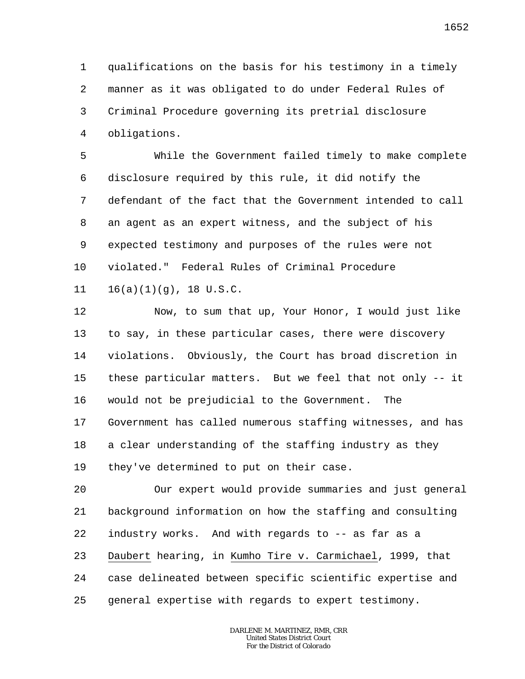1 2 3 4 qualifications on the basis for his testimony in a timely manner as it was obligated to do under Federal Rules of Criminal Procedure governing its pretrial disclosure obligations.

5 6 7 8 9 10 While the Government failed timely to make complete disclosure required by this rule, it did notify the defendant of the fact that the Government intended to call an agent as an expert witness, and the subject of his expected testimony and purposes of the rules were not violated." Federal Rules of Criminal Procedure

11  $16(a)(1)(q)$ , 18 U.S.C.

12 13 14 15 16 17 18 19 Now, to sum that up, Your Honor, I would just like to say, in these particular cases, there were discovery violations. Obviously, the Court has broad discretion in these particular matters. But we feel that not only -- it would not be prejudicial to the Government. The Government has called numerous staffing witnesses, and has a clear understanding of the staffing industry as they they've determined to put on their case.

20 21 22 23 24 25 Our expert would provide summaries and just general background information on how the staffing and consulting industry works. And with regards to -- as far as a Daubert hearing, in Kumho Tire v. Carmichael, 1999, that case delineated between specific scientific expertise and general expertise with regards to expert testimony.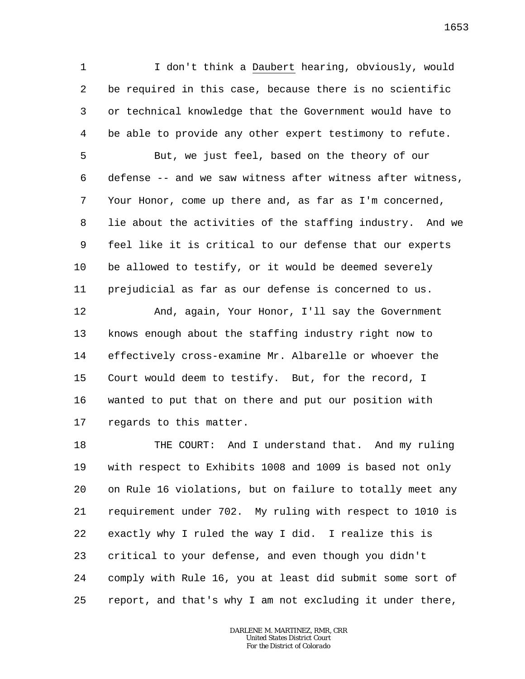1 2 3 4 I don't think a Daubert hearing, obviously, would be required in this case, because there is no scientific or technical knowledge that the Government would have to be able to provide any other expert testimony to refute.

5 6 7 8 9 10 11 But, we just feel, based on the theory of our defense -- and we saw witness after witness after witness, Your Honor, come up there and, as far as I'm concerned, lie about the activities of the staffing industry. And we feel like it is critical to our defense that our experts be allowed to testify, or it would be deemed severely prejudicial as far as our defense is concerned to us.

12 13 14 15 16 17 And, again, Your Honor, I'll say the Government knows enough about the staffing industry right now to effectively cross-examine Mr. Albarelle or whoever the Court would deem to testify. But, for the record, I wanted to put that on there and put our position with regards to this matter.

18 19 20 21 22 23 24 25 THE COURT: And I understand that. And my ruling with respect to Exhibits 1008 and 1009 is based not only on Rule 16 violations, but on failure to totally meet any requirement under 702. My ruling with respect to 1010 is exactly why I ruled the way I did. I realize this is critical to your defense, and even though you didn't comply with Rule 16, you at least did submit some sort of report, and that's why I am not excluding it under there,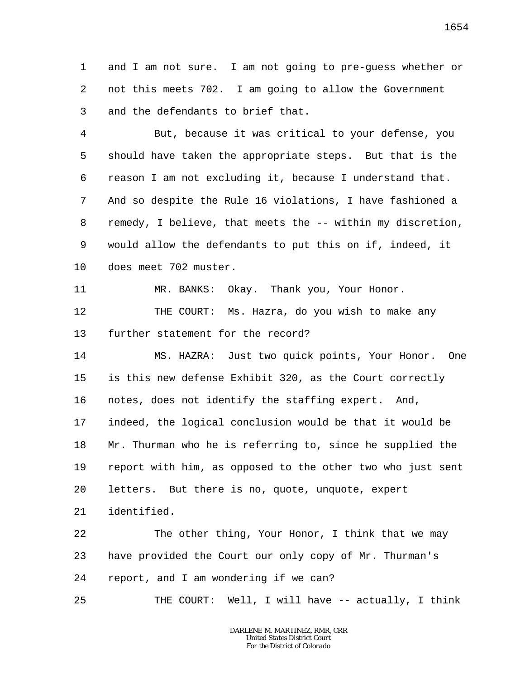1 2 3 and I am not sure. I am not going to pre-guess whether or not this meets 702. I am going to allow the Government and the defendants to brief that.

4 5 6 7 8 9 10 But, because it was critical to your defense, you should have taken the appropriate steps. But that is the reason I am not excluding it, because I understand that. And so despite the Rule 16 violations, I have fashioned a remedy, I believe, that meets the -- within my discretion, would allow the defendants to put this on if, indeed, it does meet 702 muster.

11 12 13 MR. BANKS: Okay. Thank you, Your Honor. THE COURT: Ms. Hazra, do you wish to make any further statement for the record?

14 15 16 17 18 19 20 21 MS. HAZRA: Just two quick points, Your Honor. One is this new defense Exhibit 320, as the Court correctly notes, does not identify the staffing expert. And, indeed, the logical conclusion would be that it would be Mr. Thurman who he is referring to, since he supplied the report with him, as opposed to the other two who just sent letters. But there is no, quote, unquote, expert identified.

22 23 24 The other thing, Your Honor, I think that we may have provided the Court our only copy of Mr. Thurman's report, and I am wondering if we can?

25 THE COURT: Well, I will have -- actually, I think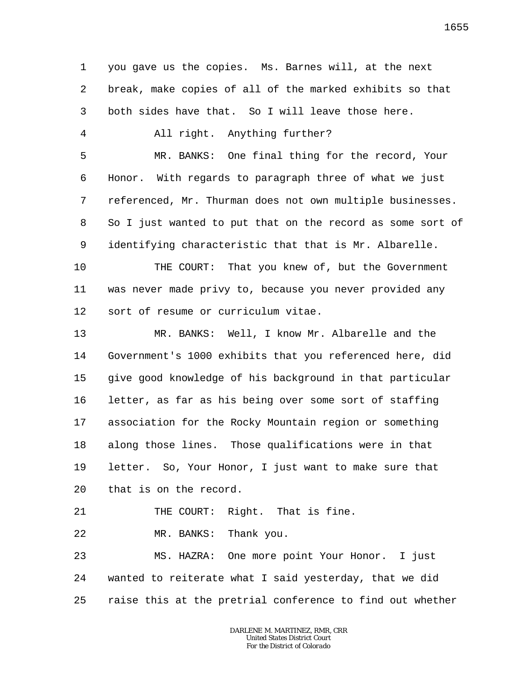1 2 3 4 5 6 7 8 9 10 11 12 13 14 15 16 17 18 19 20 21 22 23 24 25 you gave us the copies. Ms. Barnes will, at the next break, make copies of all of the marked exhibits so that both sides have that. So I will leave those here. All right. Anything further? MR. BANKS: One final thing for the record, Your Honor. With regards to paragraph three of what we just referenced, Mr. Thurman does not own multiple businesses. So I just wanted to put that on the record as some sort of identifying characteristic that that is Mr. Albarelle. THE COURT: That you knew of, but the Government was never made privy to, because you never provided any sort of resume or curriculum vitae. MR. BANKS: Well, I know Mr. Albarelle and the Government's 1000 exhibits that you referenced here, did give good knowledge of his background in that particular letter, as far as his being over some sort of staffing association for the Rocky Mountain region or something along those lines. Those qualifications were in that letter. So, Your Honor, I just want to make sure that that is on the record. THE COURT: Right. That is fine. MR. BANKS: Thank you. MS. HAZRA: One more point Your Honor. I just wanted to reiterate what I said yesterday, that we did raise this at the pretrial conference to find out whether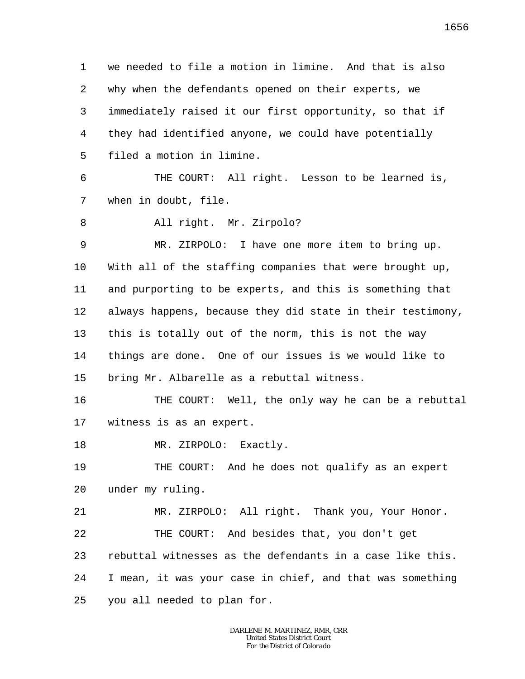1 2 3 4 5 we needed to file a motion in limine. And that is also why when the defendants opened on their experts, we immediately raised it our first opportunity, so that if they had identified anyone, we could have potentially filed a motion in limine.

6 7 THE COURT: All right. Lesson to be learned is, when in doubt, file.

8 All right. Mr. Zirpolo?

9 10 11 12 13 14 15 MR. ZIRPOLO: I have one more item to bring up. With all of the staffing companies that were brought up, and purporting to be experts, and this is something that always happens, because they did state in their testimony, this is totally out of the norm, this is not the way things are done. One of our issues is we would like to bring Mr. Albarelle as a rebuttal witness.

16 17 THE COURT: Well, the only way he can be a rebuttal witness is as an expert.

18 MR. ZIRPOLO: Exactly.

19 20 THE COURT: And he does not qualify as an expert under my ruling.

21 22 23 24 25 MR. ZIRPOLO: All right. Thank you, Your Honor. THE COURT: And besides that, you don't get rebuttal witnesses as the defendants in a case like this. I mean, it was your case in chief, and that was something you all needed to plan for.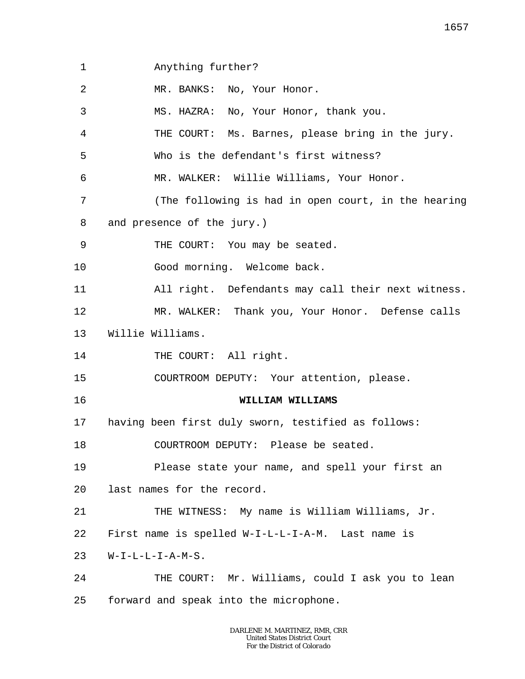1 2 3 4 5 6 7 8 9 10 11 12 13 14 15 16 17 18 19 20 21 22 23 24 25 Anything further? MR. BANKS: No, Your Honor. MS. HAZRA: No, Your Honor, thank you. THE COURT: Ms. Barnes, please bring in the jury. Who is the defendant's first witness? MR. WALKER: Willie Williams, Your Honor. (The following is had in open court, in the hearing and presence of the jury.) THE COURT: You may be seated. Good morning. Welcome back. All right. Defendants may call their next witness. MR. WALKER: Thank you, Your Honor. Defense calls Willie Williams. THE COURT: All right. COURTROOM DEPUTY: Your attention, please. **WILLIAM WILLIAMS** having been first duly sworn, testified as follows: COURTROOM DEPUTY: Please be seated. Please state your name, and spell your first an last names for the record. THE WITNESS: My name is William Williams, Jr. First name is spelled W-I-L-L-I-A-M. Last name is W-I-L-L-I-A-M-S. THE COURT: Mr. Williams, could I ask you to lean forward and speak into the microphone.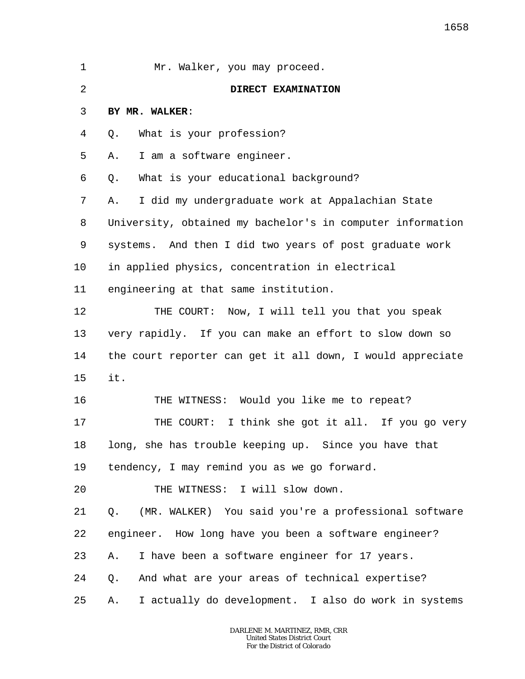| $\mathbf 1$ | Mr. Walker, you may proceed.                               |
|-------------|------------------------------------------------------------|
| 2           | DIRECT EXAMINATION                                         |
| 3           | BY MR. WALKER:                                             |
| 4           | What is your profession?<br>Q.                             |
| 5           | I am a software engineer.<br>Α.                            |
| 6           | What is your educational background?<br>Q.                 |
| 7           | I did my undergraduate work at Appalachian State<br>Α.     |
| 8           | University, obtained my bachelor's in computer information |
| 9           | systems. And then I did two years of post graduate work    |
| $10 \,$     | in applied physics, concentration in electrical            |
| 11          | engineering at that same institution.                      |
| 12          | THE COURT: Now, I will tell you that you speak             |
| 13          | very rapidly. If you can make an effort to slow down so    |
| 14          | the court reporter can get it all down, I would appreciate |
| 15          | it.                                                        |
| 16          | THE WITNESS: Would you like me to repeat?                  |
| 17          | THE COURT: I think she got it all. If you go very          |
| 18          | long, she has trouble keeping up. Since you have that      |
| 19          | tendency, I may remind you as we go forward.               |
| 20          | THE WITNESS: I will slow down.                             |
| 21          | (MR. WALKER) You said you're a professional software<br>Q. |
| 22          | engineer. How long have you been a software engineer?      |
| 23          | I have been a software engineer for 17 years.<br>Α.        |
| 24          | And what are your areas of technical expertise?<br>Q.      |
| 25          | I actually do development. I also do work in systems<br>Α. |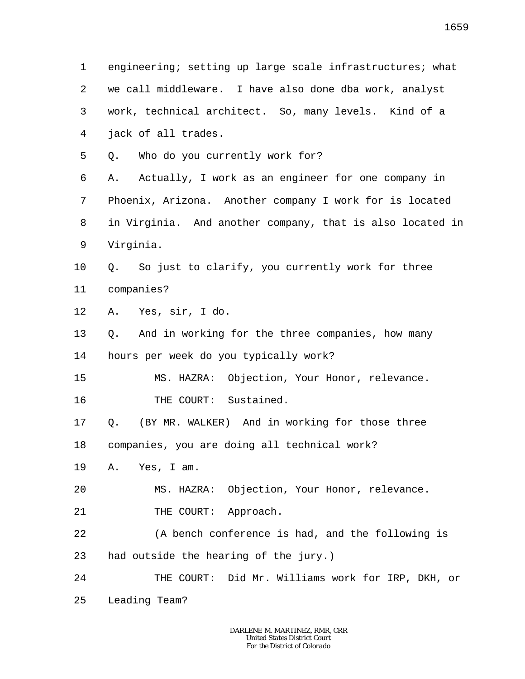1 2 3 4 5 6 7 8 9 10 11 12 13 14 15 16 17 18 19 20 21 22 23 24 25 engineering; setting up large scale infrastructures; what we call middleware. I have also done dba work, analyst work, technical architect. So, many levels. Kind of a jack of all trades. Q. Who do you currently work for? A. Actually, I work as an engineer for one company in Phoenix, Arizona. Another company I work for is located in Virginia. And another company, that is also located in Virginia. Q. So just to clarify, you currently work for three companies? A. Yes, sir, I do. Q. And in working for the three companies, how many hours per week do you typically work? MS. HAZRA: Objection, Your Honor, relevance. THE COURT: Sustained. Q. (BY MR. WALKER) And in working for those three companies, you are doing all technical work? A. Yes, I am. MS. HAZRA: Objection, Your Honor, relevance. THE COURT: Approach. (A bench conference is had, and the following is had outside the hearing of the jury.) THE COURT: Did Mr. Williams work for IRP, DKH, or Leading Team?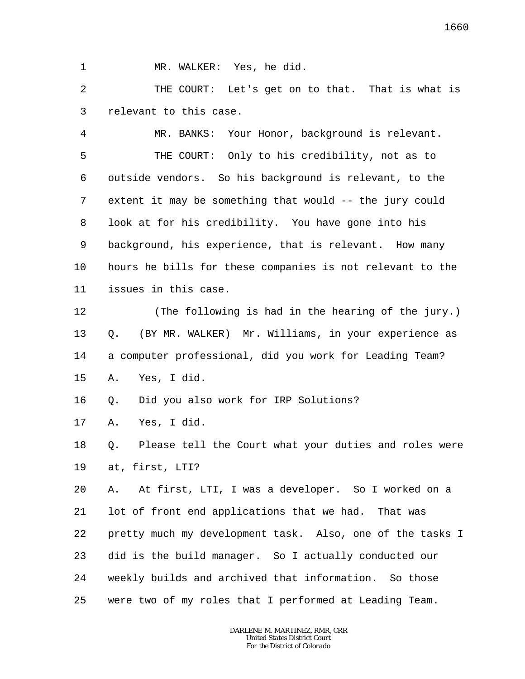1 MR. WALKER: Yes, he did.

2 3 THE COURT: Let's get on to that. That is what is relevant to this case.

4 5 6 7 8 9 10 11 MR. BANKS: Your Honor, background is relevant. THE COURT: Only to his credibility, not as to outside vendors. So his background is relevant, to the extent it may be something that would -- the jury could look at for his credibility. You have gone into his background, his experience, that is relevant. How many hours he bills for these companies is not relevant to the issues in this case.

12 13 14 15 (The following is had in the hearing of the jury.) Q. (BY MR. WALKER) Mr. Williams, in your experience as a computer professional, did you work for Leading Team? A. Yes, I did.

16 Q. Did you also work for IRP Solutions?

17 A. Yes, I did.

18 19 Q. Please tell the Court what your duties and roles were at, first, LTI?

20 21 22 23 24 25 A. At first, LTI, I was a developer. So I worked on a lot of front end applications that we had. That was pretty much my development task. Also, one of the tasks I did is the build manager. So I actually conducted our weekly builds and archived that information. So those were two of my roles that I performed at Leading Team.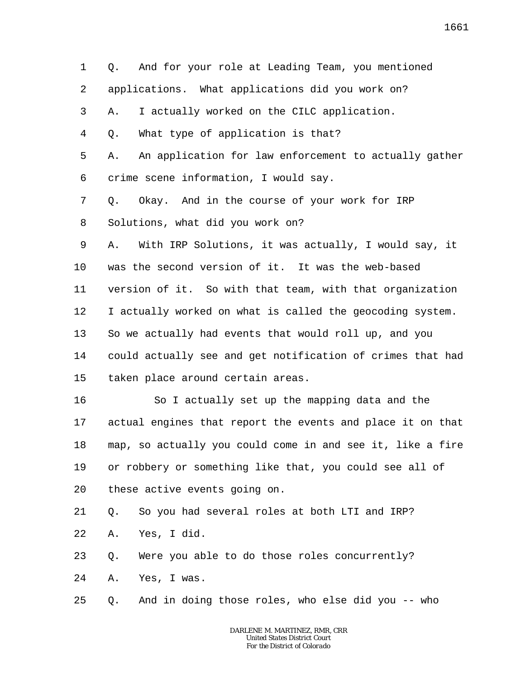1 2 3 4 5 6 7 8 9 10 11 12 13 14 15 16 17 18 19 20 21 22 23 24 25 Q. And for your role at Leading Team, you mentioned applications. What applications did you work on? A. I actually worked on the CILC application. Q. What type of application is that? A. An application for law enforcement to actually gather crime scene information, I would say. Q. Okay. And in the course of your work for IRP Solutions, what did you work on? A. With IRP Solutions, it was actually, I would say, it was the second version of it. It was the web-based version of it. So with that team, with that organization I actually worked on what is called the geocoding system. So we actually had events that would roll up, and you could actually see and get notification of crimes that had taken place around certain areas. So I actually set up the mapping data and the actual engines that report the events and place it on that map, so actually you could come in and see it, like a fire or robbery or something like that, you could see all of these active events going on. Q. So you had several roles at both LTI and IRP? A. Yes, I did. Q. Were you able to do those roles concurrently? A. Yes, I was. Q. And in doing those roles, who else did you -- who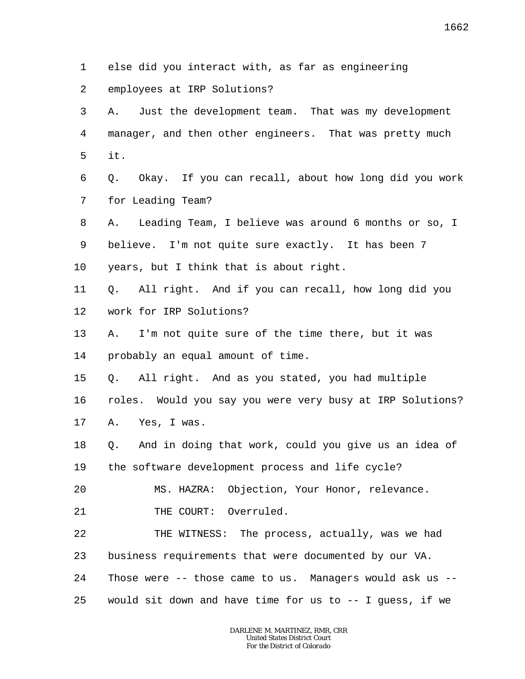- 1 else did you interact with, as far as engineering
- 2 employees at IRP Solutions?
- 3 4 5 A. Just the development team. That was my development manager, and then other engineers. That was pretty much it.
- 6 7 Q. Okay. If you can recall, about how long did you work for Leading Team?
- 8 9 A. Leading Team, I believe was around 6 months or so, I believe. I'm not quite sure exactly. It has been 7
- 10 years, but I think that is about right.
- 11 12 Q. All right. And if you can recall, how long did you work for IRP Solutions?
- 13 14 A. I'm not quite sure of the time there, but it was probably an equal amount of time.
- 15 Q. All right. And as you stated, you had multiple
- 16 17 roles. Would you say you were very busy at IRP Solutions? A. Yes, I was.
- 18 19 Q. And in doing that work, could you give us an idea of the software development process and life cycle?
- 20 MS. HAZRA: Objection, Your Honor, relevance.
- 21 THE COURT: Overruled.
- 22 23 24 THE WITNESS: The process, actually, was we had business requirements that were documented by our VA. Those were -- those came to us. Managers would ask us --
- 25 would sit down and have time for us to -- I guess, if we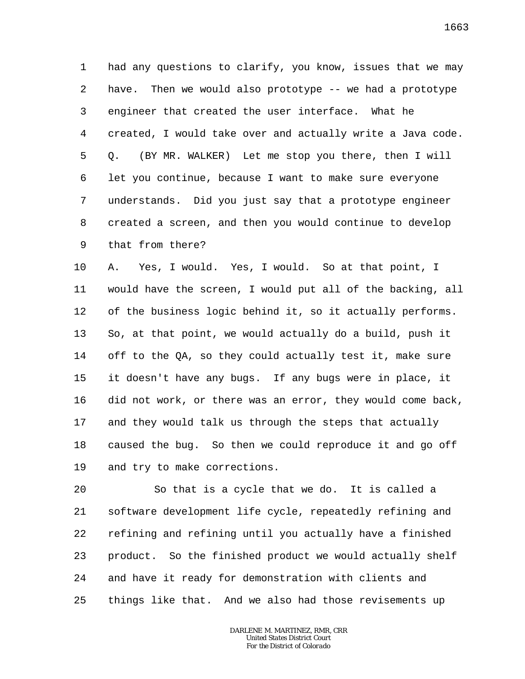1 2 3 4 5 6 7 8 9 had any questions to clarify, you know, issues that we may have. Then we would also prototype -- we had a prototype engineer that created the user interface. What he created, I would take over and actually write a Java code. Q. (BY MR. WALKER) Let me stop you there, then I will let you continue, because I want to make sure everyone understands. Did you just say that a prototype engineer created a screen, and then you would continue to develop that from there?

10 11 12 13 14 15 16 17 18 19 A. Yes, I would. Yes, I would. So at that point, I would have the screen, I would put all of the backing, all of the business logic behind it, so it actually performs. So, at that point, we would actually do a build, push it off to the QA, so they could actually test it, make sure it doesn't have any bugs. If any bugs were in place, it did not work, or there was an error, they would come back, and they would talk us through the steps that actually caused the bug. So then we could reproduce it and go off and try to make corrections.

20 21 22 23 24 25 So that is a cycle that we do. It is called a software development life cycle, repeatedly refining and refining and refining until you actually have a finished product. So the finished product we would actually shelf and have it ready for demonstration with clients and things like that. And we also had those revisements up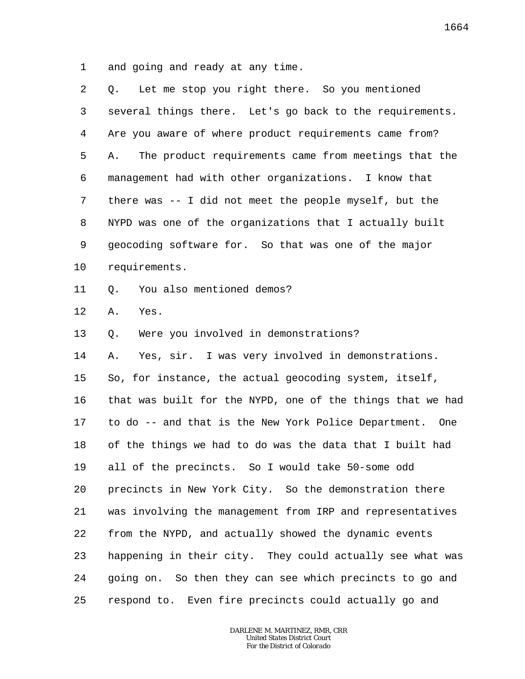1 and going and ready at any time.

| 2  | Let me stop you right there. So you mentioned<br>O.        |
|----|------------------------------------------------------------|
| 3  | several things there. Let's go back to the requirements.   |
| 4  | Are you aware of where product requirements came from?     |
| 5  | The product requirements came from meetings that the<br>Α. |
| 6  | management had with other organizations. I know that       |
| 7  | there was -- I did not meet the people myself, but the     |
| 8  | NYPD was one of the organizations that I actually built    |
| 9  | geocoding software for. So that was one of the major       |
| 10 | requirements.                                              |
| 11 | You also mentioned demos?<br>Q.                            |
| 12 | Yes.<br>Α.                                                 |
| 13 | Were you involved in demonstrations?<br>Q.                 |
| 14 | Yes, sir. I was very involved in demonstrations.<br>Α.     |
| 15 | So, for instance, the actual geocoding system, itself,     |
| 16 | that was built for the NYPD, one of the things that we had |
| 17 | to do -- and that is the New York Police Department. One   |
| 18 | of the things we had to do was the data that I built had   |
| 19 | all of the precincts. So I would take 50-some odd          |
| 20 | precincts in New York City. So the demonstration there     |
| 21 | was involving the management from IRP and representatives  |
| 22 | from the NYPD, and actually showed the dynamic events      |
| 23 | happening in their city. They could actually see what was  |
| 24 | going on. So then they can see which precincts to go and   |
| 25 | respond to. Even fire precincts could actually go and      |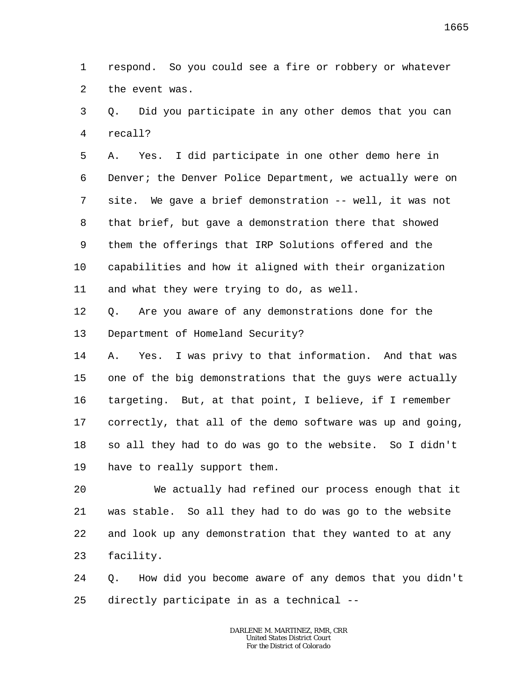1 2 respond. So you could see a fire or robbery or whatever the event was.

3 4 Q. Did you participate in any other demos that you can recall?

5 6 7 8 9 10 11 A. Yes. I did participate in one other demo here in Denver; the Denver Police Department, we actually were on site. We gave a brief demonstration -- well, it was not that brief, but gave a demonstration there that showed them the offerings that IRP Solutions offered and the capabilities and how it aligned with their organization and what they were trying to do, as well.

12 13 Q. Are you aware of any demonstrations done for the Department of Homeland Security?

14 15 16 17 18 19 A. Yes. I was privy to that information. And that was one of the big demonstrations that the guys were actually targeting. But, at that point, I believe, if I remember correctly, that all of the demo software was up and going, so all they had to do was go to the website. So I didn't have to really support them.

20 21 22 23 We actually had refined our process enough that it was stable. So all they had to do was go to the website and look up any demonstration that they wanted to at any facility.

24 25 Q. How did you become aware of any demos that you didn't directly participate in as a technical --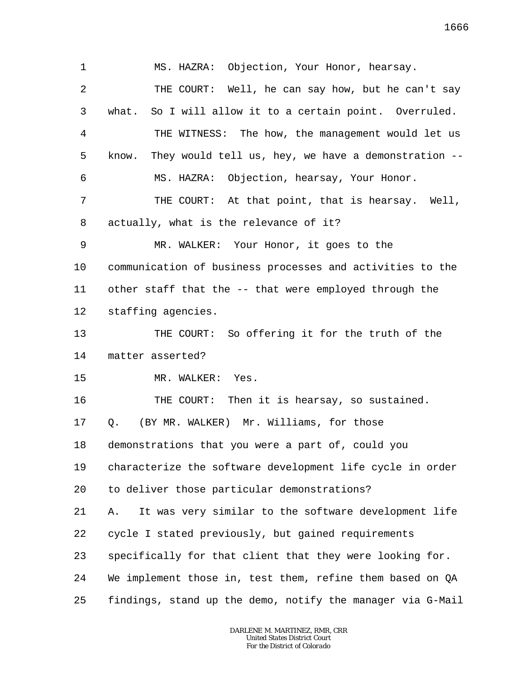1 2 3 4 5 6 7 8 9 10 11 12 13 14 15 16 17 18 19 20 21 22 23 24 25 MS. HAZRA: Objection, Your Honor, hearsay. THE COURT: Well, he can say how, but he can't say what. So I will allow it to a certain point. Overruled. THE WITNESS: The how, the management would let us know. They would tell us, hey, we have a demonstration -- MS. HAZRA: Objection, hearsay, Your Honor. THE COURT: At that point, that is hearsay. Well, actually, what is the relevance of it? MR. WALKER: Your Honor, it goes to the communication of business processes and activities to the other staff that the -- that were employed through the staffing agencies. THE COURT: So offering it for the truth of the matter asserted? MR. WALKER: Yes. THE COURT: Then it is hearsay, so sustained. Q. (BY MR. WALKER) Mr. Williams, for those demonstrations that you were a part of, could you characterize the software development life cycle in order to deliver those particular demonstrations? A. It was very similar to the software development life cycle I stated previously, but gained requirements specifically for that client that they were looking for. We implement those in, test them, refine them based on QA findings, stand up the demo, notify the manager via G-Mail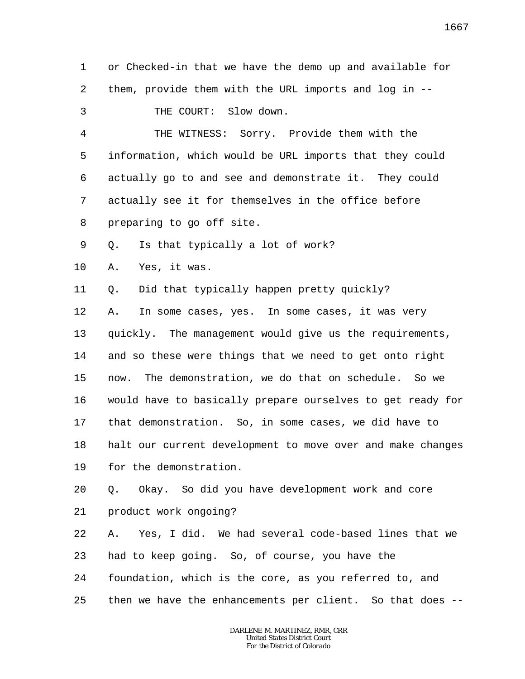1 2 3 or Checked-in that we have the demo up and available for them, provide them with the URL imports and log in -- THE COURT: Slow down.

4 5 6 7 8 THE WITNESS: Sorry. Provide them with the information, which would be URL imports that they could actually go to and see and demonstrate it. They could actually see it for themselves in the office before preparing to go off site.

9 Q. Is that typically a lot of work?

10 A. Yes, it was.

11 Q. Did that typically happen pretty quickly?

12 13 14 15 16 17 18 19 A. In some cases, yes. In some cases, it was very quickly. The management would give us the requirements, and so these were things that we need to get onto right now. The demonstration, we do that on schedule. So we would have to basically prepare ourselves to get ready for that demonstration. So, in some cases, we did have to halt our current development to move over and make changes for the demonstration.

20 21 Q. Okay. So did you have development work and core product work ongoing?

22 23 24 A. Yes, I did. We had several code-based lines that we had to keep going. So, of course, you have the foundation, which is the core, as you referred to, and

25 then we have the enhancements per client. So that does --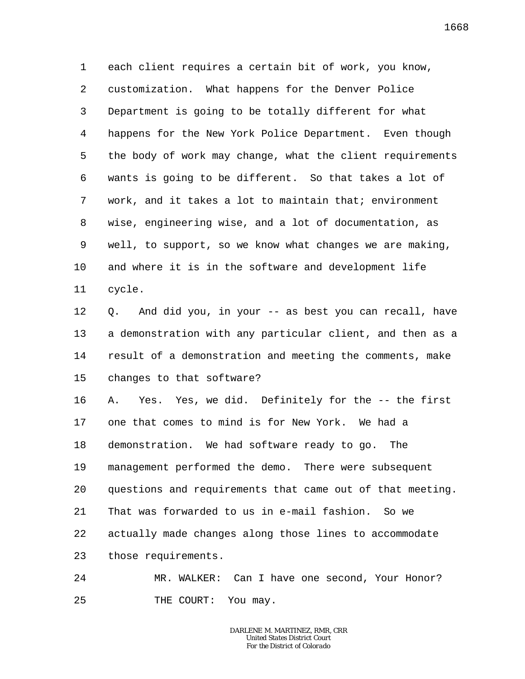1 2 3 4 5 6 7 8 9 10 11 each client requires a certain bit of work, you know, customization. What happens for the Denver Police Department is going to be totally different for what happens for the New York Police Department. Even though the body of work may change, what the client requirements wants is going to be different. So that takes a lot of work, and it takes a lot to maintain that; environment wise, engineering wise, and a lot of documentation, as well, to support, so we know what changes we are making, and where it is in the software and development life cycle.

12 13 14 15 Q. And did you, in your -- as best you can recall, have a demonstration with any particular client, and then as a result of a demonstration and meeting the comments, make changes to that software?

16 17 18 19 20 21 22 23 A. Yes. Yes, we did. Definitely for the -- the first one that comes to mind is for New York. We had a demonstration. We had software ready to go. The management performed the demo. There were subsequent questions and requirements that came out of that meeting. That was forwarded to us in e-mail fashion. So we actually made changes along those lines to accommodate those requirements.

24 25 MR. WALKER: Can I have one second, Your Honor? THE COURT: You may.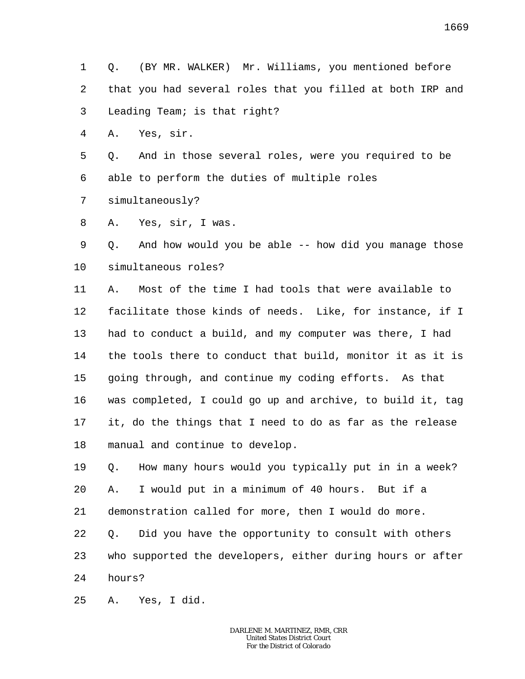1 2 3 Q. (BY MR. WALKER) Mr. Williams, you mentioned before that you had several roles that you filled at both IRP and Leading Team; is that right?

4 A. Yes, sir.

5 6 Q. And in those several roles, were you required to be able to perform the duties of multiple roles

7 simultaneously?

8 A. Yes, sir, I was.

9 10 Q. And how would you be able -- how did you manage those simultaneous roles?

11 12 13 14 15 16 17 18 A. Most of the time I had tools that were available to facilitate those kinds of needs. Like, for instance, if I had to conduct a build, and my computer was there, I had the tools there to conduct that build, monitor it as it is going through, and continue my coding efforts. As that was completed, I could go up and archive, to build it, tag it, do the things that I need to do as far as the release manual and continue to develop.

19 20 21 22 23 24 Q. How many hours would you typically put in in a week? A. I would put in a minimum of 40 hours. But if a demonstration called for more, then I would do more. Q. Did you have the opportunity to consult with others who supported the developers, either during hours or after hours?

25 A. Yes, I did.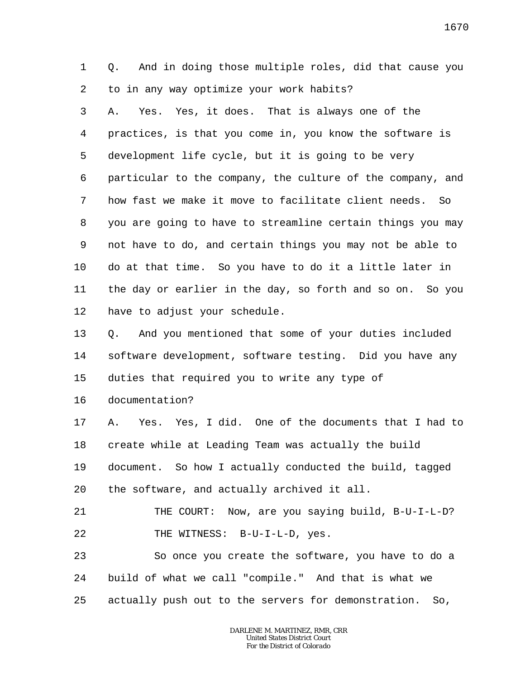1 2 Q. And in doing those multiple roles, did that cause you to in any way optimize your work habits?

3 4 5 6 7 8 9 10 11 12 A. Yes. Yes, it does. That is always one of the practices, is that you come in, you know the software is development life cycle, but it is going to be very particular to the company, the culture of the company, and how fast we make it move to facilitate client needs. So you are going to have to streamline certain things you may not have to do, and certain things you may not be able to do at that time. So you have to do it a little later in the day or earlier in the day, so forth and so on. So you have to adjust your schedule.

13 14 15 Q. And you mentioned that some of your duties included software development, software testing. Did you have any duties that required you to write any type of

16 documentation?

17 18 19 20 A. Yes. Yes, I did. One of the documents that I had to create while at Leading Team was actually the build document. So how I actually conducted the build, tagged the software, and actually archived it all.

21 22 THE COURT: Now, are you saying build, B-U-I-L-D? THE WITNESS: B-U-I-L-D, yes.

23 24 25 So once you create the software, you have to do a build of what we call "compile." And that is what we actually push out to the servers for demonstration. So,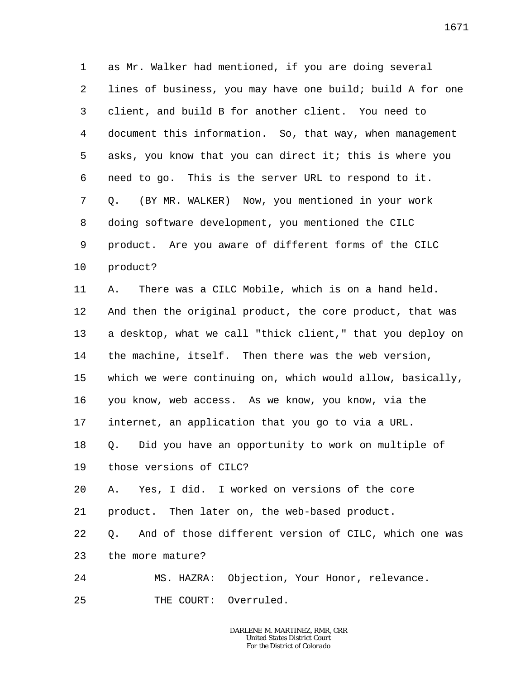1 2 3 4 5 6 7 8 9 10 as Mr. Walker had mentioned, if you are doing several lines of business, you may have one build; build A for one client, and build B for another client. You need to document this information. So, that way, when management asks, you know that you can direct it; this is where you need to go. This is the server URL to respond to it. Q. (BY MR. WALKER) Now, you mentioned in your work doing software development, you mentioned the CILC product. Are you aware of different forms of the CILC product?

11 12 13 14 15 16 17 18 19 20 21 A. There was a CILC Mobile, which is on a hand held. And then the original product, the core product, that was a desktop, what we call "thick client," that you deploy on the machine, itself. Then there was the web version, which we were continuing on, which would allow, basically, you know, web access. As we know, you know, via the internet, an application that you go to via a URL. Q. Did you have an opportunity to work on multiple of those versions of CILC? A. Yes, I did. I worked on versions of the core product. Then later on, the web-based product.

22 23 Q. And of those different version of CILC, which one was the more mature?

24 MS. HAZRA: Objection, Your Honor, relevance.

25 THE COURT: Overruled.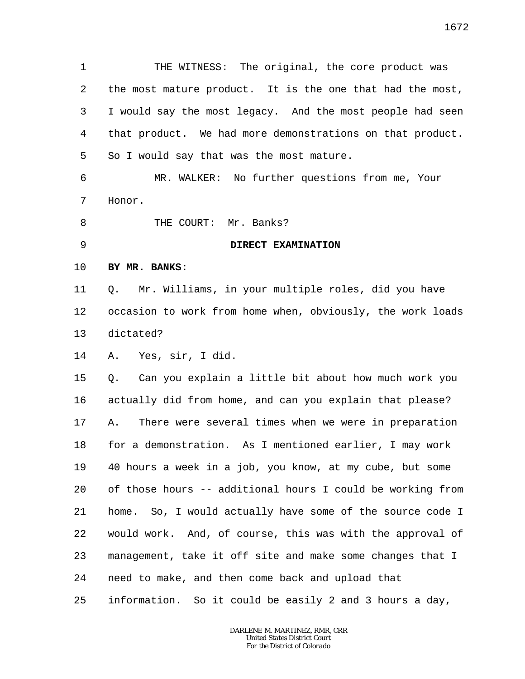1 2 3 4 5 6 7 8 9 10 11 12 13 14 15 16 17 18 19 20 21 22 23 24 25 THE WITNESS: The original, the core product was the most mature product. It is the one that had the most, I would say the most legacy. And the most people had seen that product. We had more demonstrations on that product. So I would say that was the most mature. MR. WALKER: No further questions from me, Your Honor. THE COURT: Mr. Banks? **DIRECT EXAMINATION BY MR. BANKS**: Q. Mr. Williams, in your multiple roles, did you have occasion to work from home when, obviously, the work loads dictated? A. Yes, sir, I did. Q. Can you explain a little bit about how much work you actually did from home, and can you explain that please? A. There were several times when we were in preparation for a demonstration. As I mentioned earlier, I may work 40 hours a week in a job, you know, at my cube, but some of those hours -- additional hours I could be working from home. So, I would actually have some of the source code I would work. And, of course, this was with the approval of management, take it off site and make some changes that I need to make, and then come back and upload that information. So it could be easily 2 and 3 hours a day,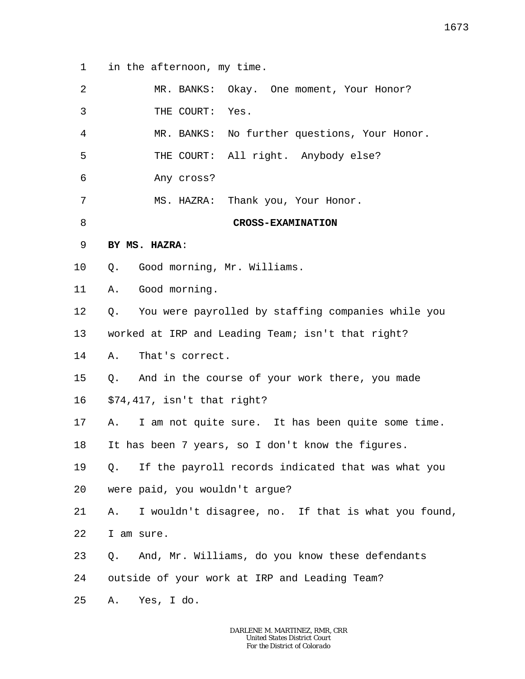1 in the afternoon, my time.

| 2  | MR. BANKS: Okay. One moment, Your Honor?                  |
|----|-----------------------------------------------------------|
| 3  | THE COURT:<br>Yes.                                        |
| 4  | MR. BANKS: No further questions, Your Honor.              |
| 5  | THE COURT: All right. Anybody else?                       |
| 6  | Any cross?                                                |
| 7  | MS. HAZRA: Thank you, Your Honor.                         |
| 8  | <b>CROSS-EXAMINATION</b>                                  |
| 9  | BY MS. HAZRA:                                             |
| 10 | Good morning, Mr. Williams.<br>Q.                         |
| 11 | Good morning.<br>Α.                                       |
| 12 | You were payrolled by staffing companies while you<br>Q.  |
| 13 | worked at IRP and Leading Team; isn't that right?         |
| 14 | That's correct.<br>Α.                                     |
| 15 | Q. And in the course of your work there, you made         |
| 16 | \$74,417, isn't that right?                               |
| 17 | I am not quite sure. It has been quite some time.<br>A.   |
| 18 | It has been 7 years, so I don't know the figures.         |
| 19 | Q. If the payroll records indicated that was what you     |
| 20 | were paid, you wouldn't argue?                            |
| 21 | I wouldn't disagree, no. If that is what you found,<br>Α. |
| 22 | I am sure.                                                |
| 23 | And, Mr. Williams, do you know these defendants<br>Q.     |
| 24 | outside of your work at IRP and Leading Team?             |
| 25 | Yes, I do.<br>Α.                                          |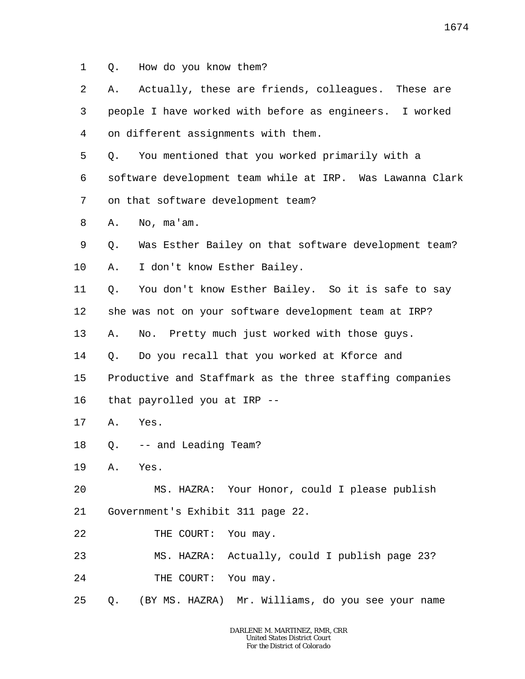1 Q. How do you know them?

| 2  | Α. | Actually, these are friends, colleagues. These are        |
|----|----|-----------------------------------------------------------|
| 3  |    | people I have worked with before as engineers. I worked   |
| 4  |    | on different assignments with them.                       |
| 5  | Q. | You mentioned that you worked primarily with a            |
| 6  |    | software development team while at IRP. Was Lawanna Clark |
| 7  |    | on that software development team?                        |
| 8  | Α. | No, ma'am.                                                |
| 9  | Q. | Was Esther Bailey on that software development team?      |
| 10 | Α. | I don't know Esther Bailey.                               |
| 11 | Q. | You don't know Esther Bailey. So it is safe to say        |
| 12 |    | she was not on your software development team at IRP?     |
| 13 | Α. | No. Pretty much just worked with those guys.              |
| 14 | Q. | Do you recall that you worked at Kforce and               |
| 15 |    | Productive and Staffmark as the three staffing companies  |
| 16 |    | that payrolled you at IRP --                              |
| 17 | Α. | Yes.                                                      |
| 18 | Q. | -- and Leading Team?                                      |
| 19 | Α. | Yes.                                                      |
| 20 |    | MS. HAZRA: Your Honor, could I please publish             |
| 21 |    | Government's Exhibit 311 page 22.                         |
| 22 |    | THE COURT:<br>You may.                                    |
| 23 |    | MS. HAZRA: Actually, could I publish page 23?             |
| 24 |    | You may.<br>THE COURT:                                    |

25 Q. (BY MS. HAZRA) Mr. Williams, do you see your name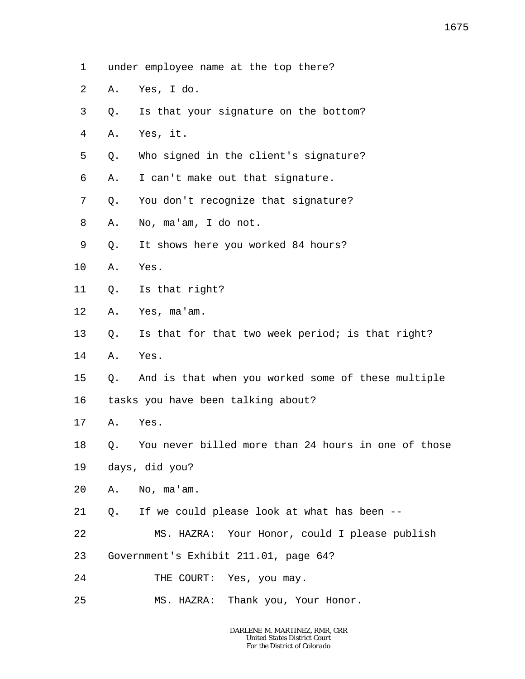- 1 under employee name at the top there?
- 2 A. Yes, I do.
- 3 Q. Is that your signature on the bottom?
- 4 A. Yes, it.
- 5 Q. Who signed in the client's signature?
- 6 A. I can't make out that signature.
- 7 Q. You don't recognize that signature?
- 8 A. No, ma'am, I do not.
- 9 Q. It shows here you worked 84 hours?
- 10 A. Yes.
- 11 Q. Is that right?
- 12 A. Yes, ma'am.
- 13 Q. Is that for that two week period; is that right?
- 14 A. Yes.
- 15 Q. And is that when you worked some of these multiple
- 16 tasks you have been talking about?
- 17 A. Yes.
- 18 Q. You never billed more than 24 hours in one of those
- 19 days, did you?
- 20 A. No, ma'am.
- 21 Q. If we could please look at what has been --
- 22 MS. HAZRA: Your Honor, could I please publish
- 23 Government's Exhibit 211.01, page 64?
- 24 THE COURT: Yes, you may.
- 25 MS. HAZRA: Thank you, Your Honor.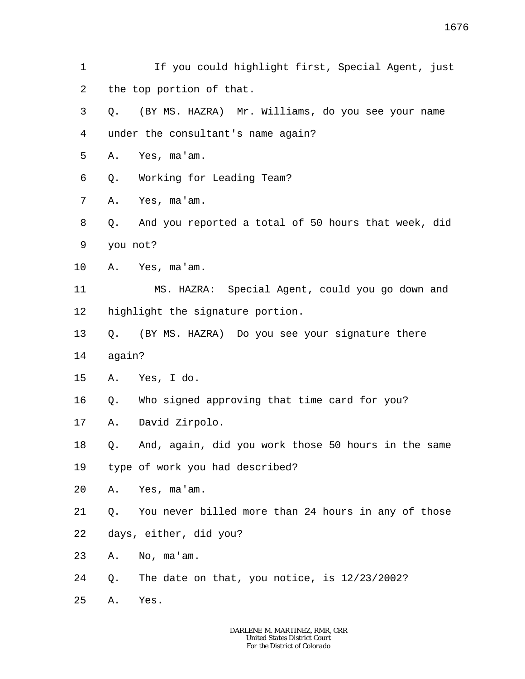- 1 2 If you could highlight first, Special Agent, just the top portion of that.
- 3 4 Q. (BY MS. HAZRA) Mr. Williams, do you see your name under the consultant's name again?
- 5 A. Yes, ma'am.
- 6 Q. Working for Leading Team?
- 7 A. Yes, ma'am.
- 8 9 Q. And you reported a total of 50 hours that week, did you not?
- 10 A. Yes, ma'am.

11 12 MS. HAZRA: Special Agent, could you go down and highlight the signature portion.

- 13 Q. (BY MS. HAZRA) Do you see your signature there
- 14 again?
- 15 A. Yes, I do.
- 16 Q. Who signed approving that time card for you?
- 17 A. David Zirpolo.
- 18 Q. And, again, did you work those 50 hours in the same
- 19 type of work you had described?
- 20 A. Yes, ma'am.
- 21 Q. You never billed more than 24 hours in any of those
- 22 days, either, did you?
- 23 A. No, ma'am.
- 24 Q. The date on that, you notice, is 12/23/2002?
- 25 A. Yes.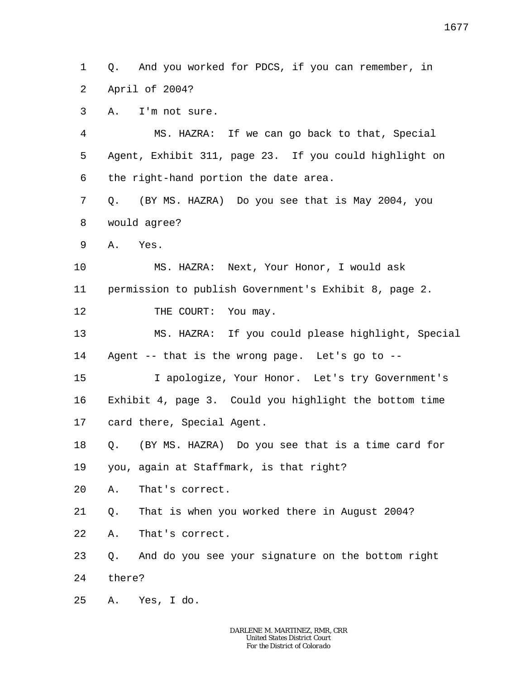1 2 Q. And you worked for PDCS, if you can remember, in April of 2004?

3 A. I'm not sure.

4 5 6 MS. HAZRA: If we can go back to that, Special Agent, Exhibit 311, page 23. If you could highlight on the right-hand portion the date area.

7 8 Q. (BY MS. HAZRA) Do you see that is May 2004, you would agree?

9 A. Yes.

10 MS. HAZRA: Next, Your Honor, I would ask

11 permission to publish Government's Exhibit 8, page 2.

12 THE COURT: You may.

13 14 MS. HAZRA: If you could please highlight, Special Agent -- that is the wrong page. Let's go to --

15 16 17 I apologize, Your Honor. Let's try Government's Exhibit 4, page 3. Could you highlight the bottom time card there, Special Agent.

18 Q. (BY MS. HAZRA) Do you see that is a time card for

19 you, again at Staffmark, is that right?

20 A. That's correct.

21 Q. That is when you worked there in August 2004?

22 A. That's correct.

23 24 Q. And do you see your signature on the bottom right there?

25 A. Yes, I do.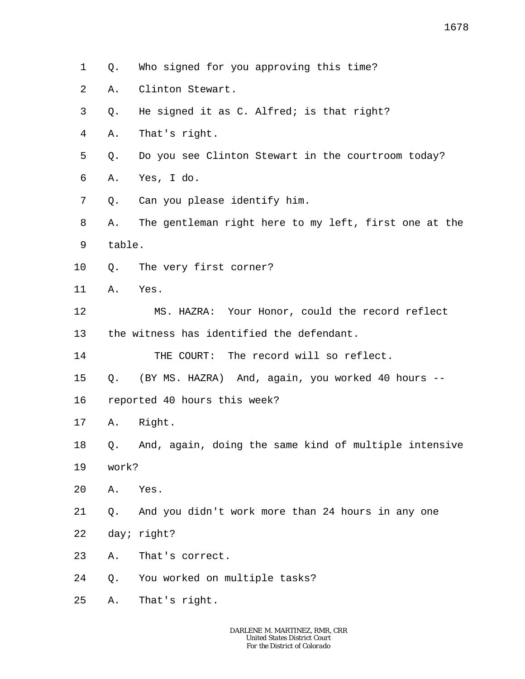- 1 Q. Who signed for you approving this time?
- 2 A. Clinton Stewart.
- 3 Q. He signed it as C. Alfred; is that right?
- 4 A. That's right.
- 5 Q. Do you see Clinton Stewart in the courtroom today?
- 6 A. Yes, I do.
- 7 Q. Can you please identify him.
- 8 9 A. The gentleman right here to my left, first one at the table.
- 10 Q. The very first corner?
- 11 A. Yes.
- 12 13 MS. HAZRA: Your Honor, could the record reflect the witness has identified the defendant.

14 THE COURT: The record will so reflect.

- 15 Q. (BY MS. HAZRA) And, again, you worked 40 hours --
- 16 reported 40 hours this week?
- 17 A. Right.
- 18 Q. And, again, doing the same kind of multiple intensive
- 19 work?
- 20 A. Yes.
- 21 22 Q. And you didn't work more than 24 hours in any one day; right?
- 23 A. That's correct.
- 24 Q. You worked on multiple tasks?
- 25 A. That's right.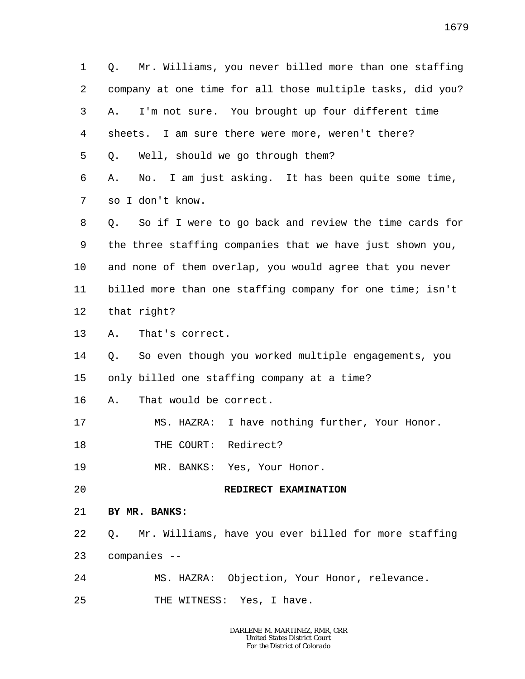1 2 3 4 5 6 7 8 9 10 11 12 13 14 15 16 17 18 19 20 21 22 23 24 25 Q. Mr. Williams, you never billed more than one staffing company at one time for all those multiple tasks, did you? A. I'm not sure. You brought up four different time sheets. I am sure there were more, weren't there? Q. Well, should we go through them? A. No. I am just asking. It has been quite some time, so I don't know. Q. So if I were to go back and review the time cards for the three staffing companies that we have just shown you, and none of them overlap, you would agree that you never billed more than one staffing company for one time; isn't that right? A. That's correct. Q. So even though you worked multiple engagements, you only billed one staffing company at a time? A. That would be correct. MS. HAZRA: I have nothing further, Your Honor. THE COURT: Redirect? MR. BANKS: Yes, Your Honor. **REDIRECT EXAMINATION BY MR. BANKS**: Q. Mr. Williams, have you ever billed for more staffing companies -- MS. HAZRA: Objection, Your Honor, relevance. THE WITNESS: Yes, I have.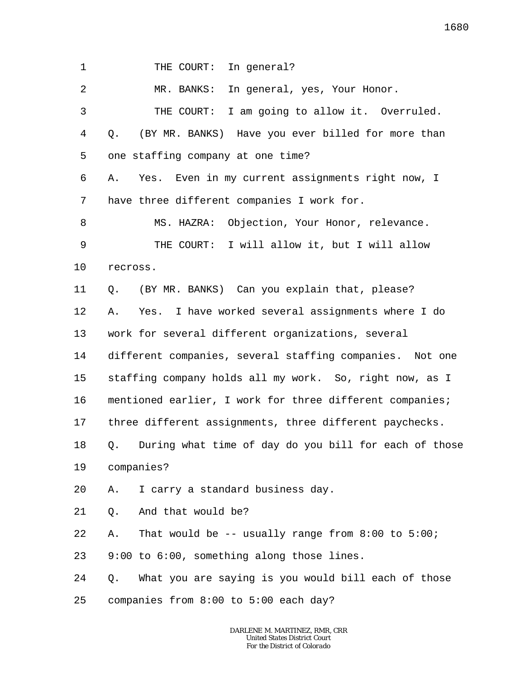1 THE COURT: In general?

2 3 4 5 6 7 8 9 10 11 12 13 14 15 16 17 18 19 20 21 22 23 24 25 MR. BANKS: In general, yes, Your Honor. THE COURT: I am going to allow it. Overruled. Q. (BY MR. BANKS) Have you ever billed for more than one staffing company at one time? A. Yes. Even in my current assignments right now, I have three different companies I work for. MS. HAZRA: Objection, Your Honor, relevance. THE COURT: I will allow it, but I will allow recross. Q. (BY MR. BANKS) Can you explain that, please? A. Yes. I have worked several assignments where I do work for several different organizations, several different companies, several staffing companies. Not one staffing company holds all my work. So, right now, as I mentioned earlier, I work for three different companies; three different assignments, three different paychecks. Q. During what time of day do you bill for each of those companies? A. I carry a standard business day. Q. And that would be? A. That would be -- usually range from 8:00 to 5:00; 9:00 to 6:00, something along those lines. Q. What you are saying is you would bill each of those companies from 8:00 to 5:00 each day?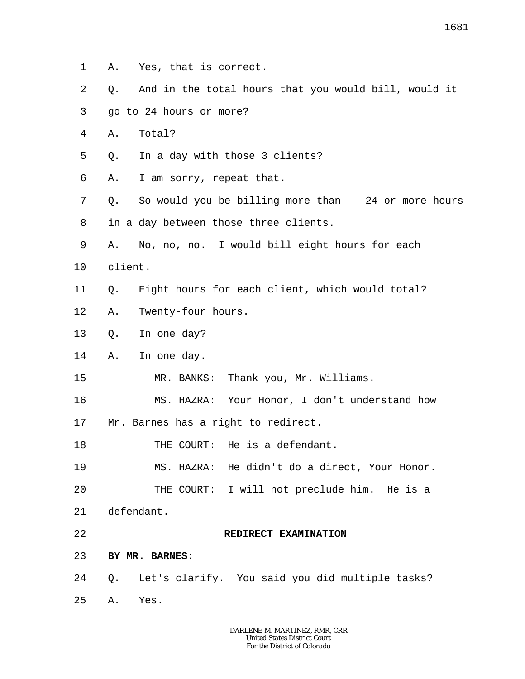- 1 A. Yes, that is correct.
- 2 Q. And in the total hours that you would bill, would it
- 3 go to 24 hours or more?
- 4 A. Total?
- 5 Q. In a day with those 3 clients?
- 6 A. I am sorry, repeat that.
- 7 8 Q. So would you be billing more than -- 24 or more hours in a day between those three clients.
- 9 A. No, no, no. I would bill eight hours for each
- 10 client.
- 11 Q. Eight hours for each client, which would total?
- 12 A. Twenty-four hours.
- 13 Q. In one day?
- 14 A. In one day.
- 15 MR. BANKS: Thank you, Mr. Williams.
- 16 17 MS. HAZRA: Your Honor, I don't understand how Mr. Barnes has a right to redirect.
- 18 THE COURT: He is a defendant.
- 19 20 MS. HAZRA: He didn't do a direct, Your Honor. THE COURT: I will not preclude him. He is a
- 
- 21 defendant.
- 22

**REDIRECT EXAMINATION**

- 23 **BY MR. BARNES**:
- 24 Q. Let's clarify. You said you did multiple tasks?
- 25 A. Yes.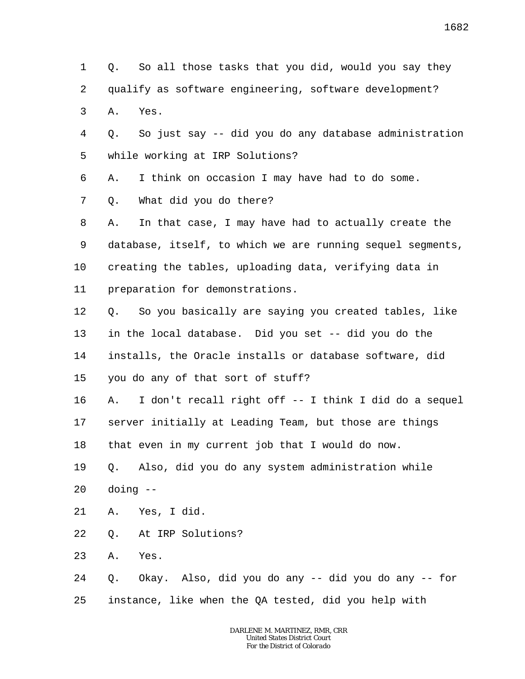1 2 3 4 5 6 7 8 9 10 11 12 13 14 15 16 17 18 19 20 21 22 23 24 25 Q. So all those tasks that you did, would you say they qualify as software engineering, software development? A. Yes. Q. So just say -- did you do any database administration while working at IRP Solutions? A. I think on occasion I may have had to do some. Q. What did you do there? A. In that case, I may have had to actually create the database, itself, to which we are running sequel segments, creating the tables, uploading data, verifying data in preparation for demonstrations. Q. So you basically are saying you created tables, like in the local database. Did you set -- did you do the installs, the Oracle installs or database software, did you do any of that sort of stuff? A. I don't recall right off -- I think I did do a sequel server initially at Leading Team, but those are things that even in my current job that I would do now. Q. Also, did you do any system administration while doing -- A. Yes, I did. Q. At IRP Solutions? A. Yes. Q. Okay. Also, did you do any -- did you do any -- for instance, like when the QA tested, did you help with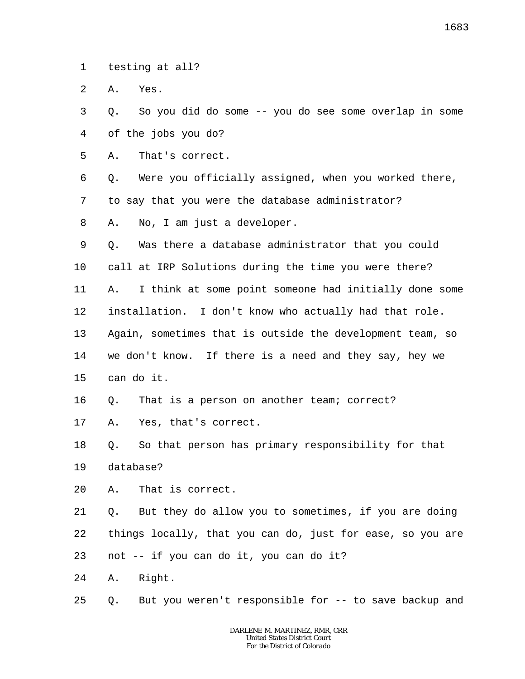1 testing at all?

2 A. Yes.

3 4 Q. So you did do some -- you do see some overlap in some of the jobs you do?

5 A. That's correct.

6 7 Q. Were you officially assigned, when you worked there, to say that you were the database administrator?

8 A. No, I am just a developer.

9 Q. Was there a database administrator that you could

10 call at IRP Solutions during the time you were there?

11 12 A. I think at some point someone had initially done some installation. I don't know who actually had that role.

13 Again, sometimes that is outside the development team, so

14 we don't know. If there is a need and they say, hey we

15 can do it.

16 Q. That is a person on another team; correct?

17 A. Yes, that's correct.

18 19 Q. So that person has primary responsibility for that database?

20 A. That is correct.

21 22 Q. But they do allow you to sometimes, if you are doing things locally, that you can do, just for ease, so you are

23 not -- if you can do it, you can do it?

24 A. Right.

25 Q. But you weren't responsible for -- to save backup and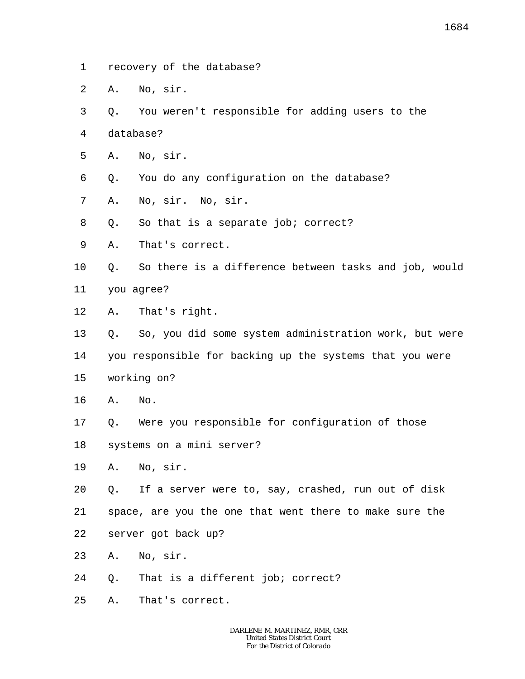- 1 recovery of the database?
- 2 A. No, sir.
- 3 Q. You weren't responsible for adding users to the
- 4 database?
- 5 A. No, sir.
- 6 Q. You do any configuration on the database?
- 7 A. No, sir. No, sir.
- 8 Q. So that is a separate job; correct?
- 9 A. That's correct.
- 10 11 Q. So there is a difference between tasks and job, would you agree?
- 
- 12 A. That's right.
- 13 Q. So, you did some system administration work, but were
- 14 you responsible for backing up the systems that you were
- 15 working on?
- 16 A. No.
- 17 Q. Were you responsible for configuration of those
- 18 systems on a mini server?
- 19 A. No, sir.
- 20 Q. If a server were to, say, crashed, run out of disk
- 21 space, are you the one that went there to make sure the
- 22 server got back up?
- 23 A. No, sir.
- 24 Q. That is a different job; correct?
- 25 A. That's correct.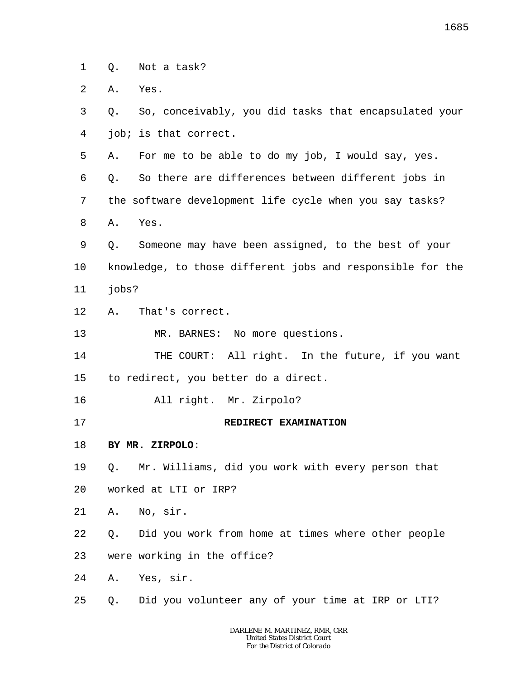1 Q. Not a task?

2 A. Yes.

3 4 Q. So, conceivably, you did tasks that encapsulated your job; is that correct.

5 A. For me to be able to do my job, I would say, yes.

6 Q. So there are differences between different jobs in

7 the software development life cycle when you say tasks?

8 A. Yes.

9 10 11 Q. Someone may have been assigned, to the best of your knowledge, to those different jobs and responsible for the jobs?

12 A. That's correct.

13 MR. BARNES: No more questions.

14 15 THE COURT: All right. In the future, if you want to redirect, you better do a direct.

16 All right. Mr. Zirpolo?

17

## **REDIRECT EXAMINATION**

18 **BY MR. ZIRPOLO**:

19 Q. Mr. Williams, did you work with every person that

- 20 worked at LTI or IRP?
- 21 A. No, sir.

22 Q. Did you work from home at times where other people

23 were working in the office?

24 A. Yes, sir.

25 Q. Did you volunteer any of your time at IRP or LTI?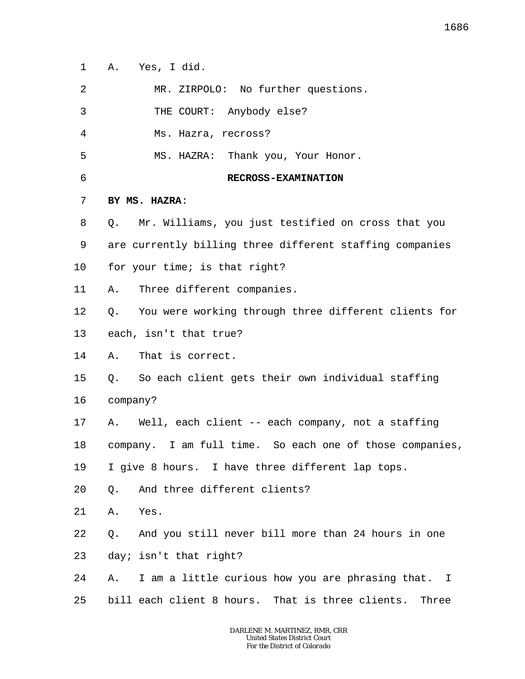1 A. Yes, I did.

2 MR. ZIRPOLO: No further questions.

3 THE COURT: Anybody else?

4 Ms. Hazra, recross?

5 MS. HAZRA: Thank you, Your Honor.

6

## **RECROSS-EXAMINATION**

## 7 **BY MS. HAZRA**:

8 9 10 Q. Mr. Williams, you just testified on cross that you are currently billing three different staffing companies for your time; is that right?

11 A. Three different companies.

12 Q. You were working through three different clients for

13 each, isn't that true?

14 A. That is correct.

15 Q. So each client gets their own individual staffing

16 company?

17 A. Well, each client -- each company, not a staffing

18 company. I am full time. So each one of those companies,

19 I give 8 hours. I have three different lap tops.

- 20 Q. And three different clients?
- 21 A. Yes.
- 22 Q. And you still never bill more than 24 hours in one
- 23 day; isn't that right?
- 24 25 A. I am a little curious how you are phrasing that. I bill each client 8 hours. That is three clients. Three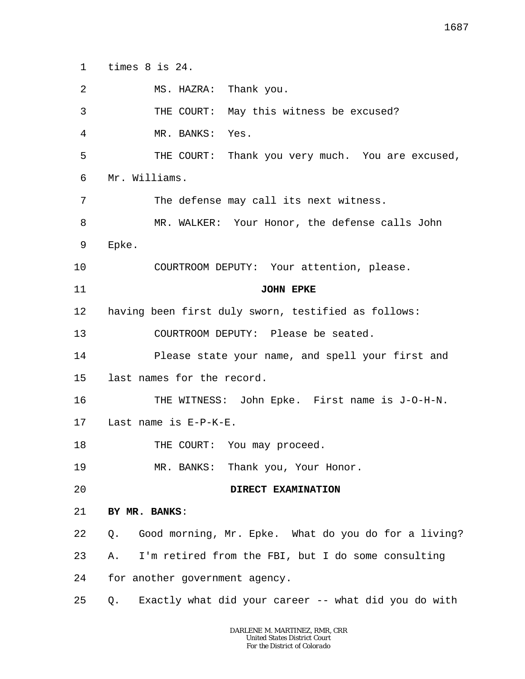1 times 8 is 24.

| 2  | MS. HAZRA: Thank you.                                      |
|----|------------------------------------------------------------|
| 3  | THE COURT: May this witness be excused?                    |
| 4  | MR. BANKS: Yes.                                            |
| 5  | THE COURT: Thank you very much. You are excused,           |
| 6  | Mr. Williams.                                              |
| 7  | The defense may call its next witness.                     |
| 8  | MR. WALKER: Your Honor, the defense calls John             |
| 9  | Epke.                                                      |
| 10 | COURTROOM DEPUTY: Your attention, please.                  |
| 11 | <b>JOHN EPKE</b>                                           |
| 12 | having been first duly sworn, testified as follows:        |
| 13 | COURTROOM DEPUTY: Please be seated.                        |
| 14 | Please state your name, and spell your first and           |
| 15 | last names for the record.                                 |
| 16 | THE WITNESS: John Epke. First name is J-O-H-N.             |
| 17 | Last name is E-P-K-E.                                      |
| 18 | THE COURT: You may proceed.                                |
| 19 | MR. BANKS: Thank you, Your Honor.                          |
| 20 | DIRECT EXAMINATION                                         |
| 21 | BY MR. BANKS:                                              |
| 22 | Good morning, Mr. Epke. What do you do for a living?<br>Q. |
| 23 | I'm retired from the FBI, but I do some consulting<br>Α.   |
| 24 | for another government agency.                             |
| 25 | Exactly what did your career -- what did you do with<br>Q. |

1687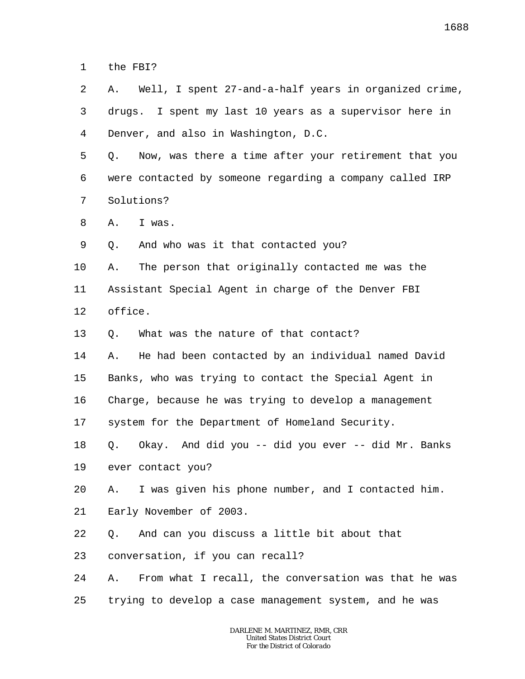1 the FBI?

2 3 4 A. Well, I spent 27-and-a-half years in organized crime, drugs. I spent my last 10 years as a supervisor here in Denver, and also in Washington, D.C.

5 6 7 Q. Now, was there a time after your retirement that you were contacted by someone regarding a company called IRP Solutions?

8 A. I was.

9 Q. And who was it that contacted you?

10 A. The person that originally contacted me was the

11 Assistant Special Agent in charge of the Denver FBI

12 office.

13 Q. What was the nature of that contact?

14 A. He had been contacted by an individual named David

15 Banks, who was trying to contact the Special Agent in

16 Charge, because he was trying to develop a management

17 system for the Department of Homeland Security.

18 Q. Okay. And did you -- did you ever -- did Mr. Banks

19 ever contact you?

20 A. I was given his phone number, and I contacted him.

21 Early November of 2003.

22 Q. And can you discuss a little bit about that

23 conversation, if you can recall?

24 25 A. From what I recall, the conversation was that he was trying to develop a case management system, and he was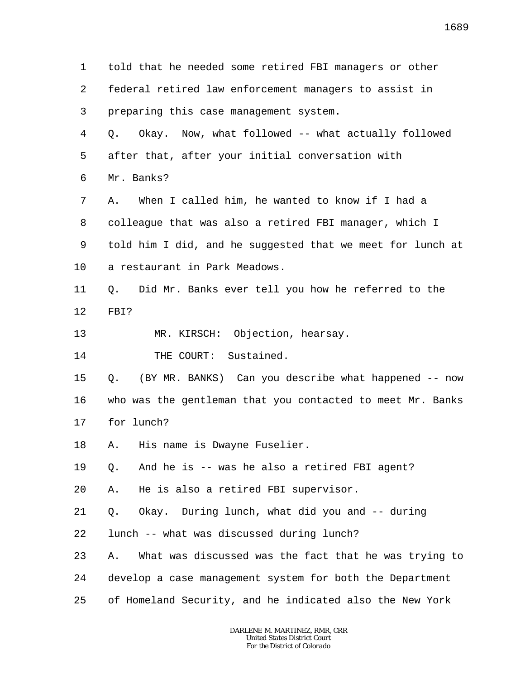1 2 3 4 5 6 7 8 9 10 11 12 13 14 15 16 17 18 19 20 21 22 23 24 25 told that he needed some retired FBI managers or other federal retired law enforcement managers to assist in preparing this case management system. Q. Okay. Now, what followed -- what actually followed after that, after your initial conversation with Mr. Banks? A. When I called him, he wanted to know if I had a colleague that was also a retired FBI manager, which I told him I did, and he suggested that we meet for lunch at a restaurant in Park Meadows. Q. Did Mr. Banks ever tell you how he referred to the FBI? MR. KIRSCH: Objection, hearsay. THE COURT: Sustained. Q. (BY MR. BANKS) Can you describe what happened -- now who was the gentleman that you contacted to meet Mr. Banks for lunch? A. His name is Dwayne Fuselier. Q. And he is -- was he also a retired FBI agent? A. He is also a retired FBI supervisor. Q. Okay. During lunch, what did you and -- during lunch -- what was discussed during lunch? A. What was discussed was the fact that he was trying to develop a case management system for both the Department of Homeland Security, and he indicated also the New York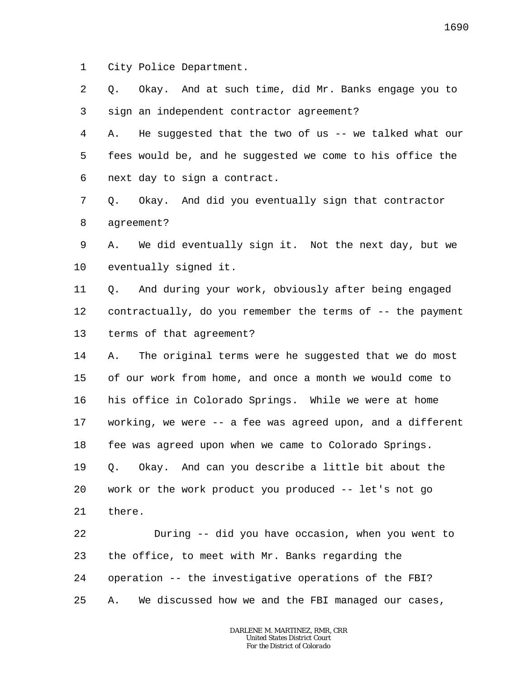1 City Police Department.

2 3 Q. Okay. And at such time, did Mr. Banks engage you to sign an independent contractor agreement?

4 5 6 A. He suggested that the two of us -- we talked what our fees would be, and he suggested we come to his office the next day to sign a contract.

7 8 Q. Okay. And did you eventually sign that contractor agreement?

9 10 A. We did eventually sign it. Not the next day, but we eventually signed it.

11 12 13 Q. And during your work, obviously after being engaged contractually, do you remember the terms of -- the payment terms of that agreement?

14 15 16 17 18 19 20 21 A. The original terms were he suggested that we do most of our work from home, and once a month we would come to his office in Colorado Springs. While we were at home working, we were -- a fee was agreed upon, and a different fee was agreed upon when we came to Colorado Springs. Q. Okay. And can you describe a little bit about the work or the work product you produced -- let's not go there.

22 23 24 25 During -- did you have occasion, when you went to the office, to meet with Mr. Banks regarding the operation -- the investigative operations of the FBI? A. We discussed how we and the FBI managed our cases,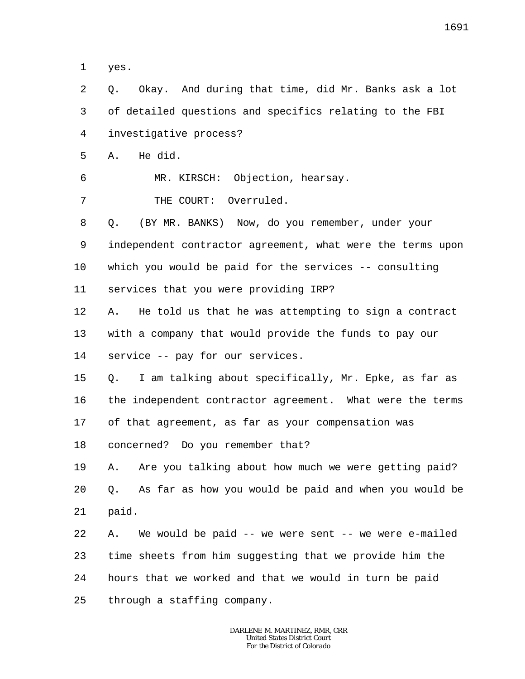1 yes.

2 3 4 5 6 7 8 9 10 11 12 13 14 15 16 17 18 19 20 21 22 23 24 25 Q. Okay. And during that time, did Mr. Banks ask a lot of detailed questions and specifics relating to the FBI investigative process? A. He did. MR. KIRSCH: Objection, hearsay. THE COURT: Overruled. Q. (BY MR. BANKS) Now, do you remember, under your independent contractor agreement, what were the terms upon which you would be paid for the services -- consulting services that you were providing IRP? A. He told us that he was attempting to sign a contract with a company that would provide the funds to pay our service -- pay for our services. Q. I am talking about specifically, Mr. Epke, as far as the independent contractor agreement. What were the terms of that agreement, as far as your compensation was concerned? Do you remember that? A. Are you talking about how much we were getting paid? Q. As far as how you would be paid and when you would be paid. A. We would be paid -- we were sent -- we were e-mailed time sheets from him suggesting that we provide him the hours that we worked and that we would in turn be paid through a staffing company.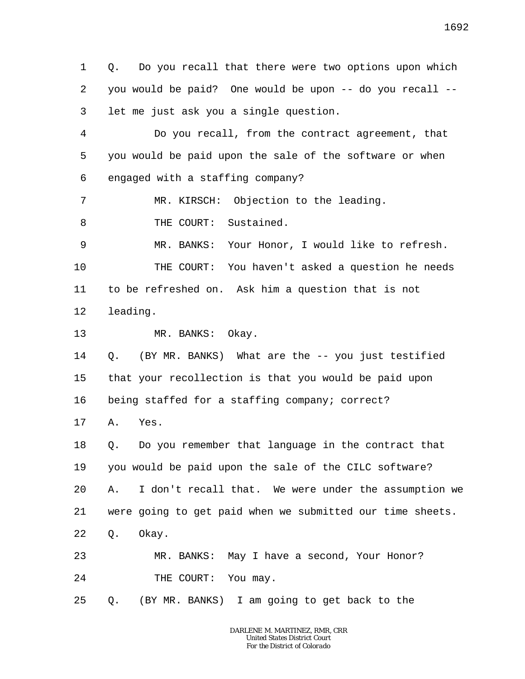1 2 3 Q. Do you recall that there were two options upon which you would be paid? One would be upon -- do you recall - let me just ask you a single question.

4 5 6 Do you recall, from the contract agreement, that you would be paid upon the sale of the software or when engaged with a staffing company?

7 MR. KIRSCH: Objection to the leading.

8 THE COURT: Sustained.

9 MR. BANKS: Your Honor, I would like to refresh.

10 11 THE COURT: You haven't asked a question he needs to be refreshed on. Ask him a question that is not

12 leading.

13 MR. BANKS: Okay.

14 15 16 Q. (BY MR. BANKS) What are the -- you just testified that your recollection is that you would be paid upon being staffed for a staffing company; correct?

17 A. Yes.

18 19 20 21 22 Q. Do you remember that language in the contract that you would be paid upon the sale of the CILC software? A. I don't recall that. We were under the assumption we were going to get paid when we submitted our time sheets. Q. Okay.

23 24 MR. BANKS: May I have a second, Your Honor? THE COURT: You may.

25 Q. (BY MR. BANKS) I am going to get back to the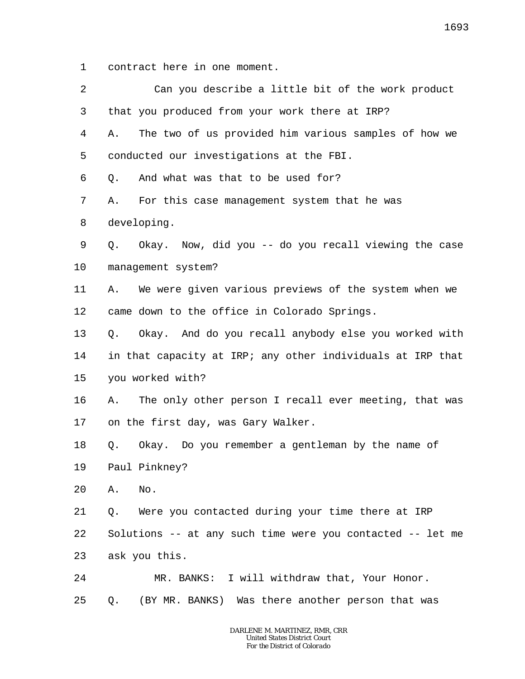1 contract here in one moment.

| 2       |    | Can you describe a little bit of the work product          |
|---------|----|------------------------------------------------------------|
| 3       |    | that you produced from your work there at IRP?             |
| 4       | Α. | The two of us provided him various samples of how we       |
| 5       |    | conducted our investigations at the FBI.                   |
| 6       | Q. | And what was that to be used for?                          |
| 7       | Α. | For this case management system that he was                |
| 8       |    | developing.                                                |
| 9       |    | Q. Okay. Now, did you -- do you recall viewing the case    |
| $10 \,$ |    | management system?                                         |
| 11      | Α. | We were given various previews of the system when we       |
| 12      |    | came down to the office in Colorado Springs.               |
| 13      | Q. | Okay. And do you recall anybody else you worked with       |
| 14      |    | in that capacity at IRP; any other individuals at IRP that |
| 15      |    | you worked with?                                           |
| 16      | Α. | The only other person I recall ever meeting, that was      |
| 17      |    | on the first day, was Gary Walker.                         |
| 18      | Q. | Okay. Do you remember a gentleman by the name of           |
| 19      |    | Paul Pinkney?                                              |
| 20      | Α. | No.                                                        |
| 21      | Q. | Were you contacted during your time there at IRP           |
| 22      |    | Solutions -- at any such time were you contacted -- let me |
| 23      |    | ask you this.                                              |
| 24      |    | MR. BANKS: I will withdraw that, Your Honor.               |
| 25      | Q. | (BY MR. BANKS) Was there another person that was           |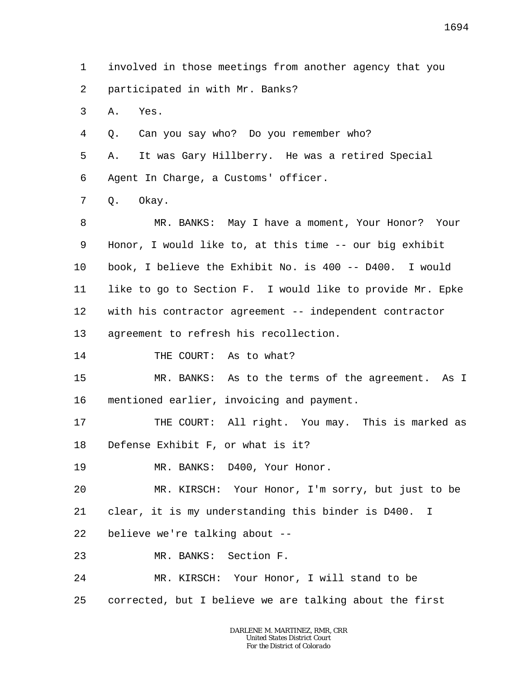1 2 3 4 5 6 7 8 9 10 11 12 13 14 15 16 17 18 19 20 21 22 23 24 25 involved in those meetings from another agency that you participated in with Mr. Banks? A. Yes. Q. Can you say who? Do you remember who? A. It was Gary Hillberry. He was a retired Special Agent In Charge, a Customs' officer. Q. Okay. MR. BANKS: May I have a moment, Your Honor? Your Honor, I would like to, at this time -- our big exhibit book, I believe the Exhibit No. is 400 -- D400. I would like to go to Section F. I would like to provide Mr. Epke with his contractor agreement -- independent contractor agreement to refresh his recollection. THE COURT: As to what? MR. BANKS: As to the terms of the agreement. As I mentioned earlier, invoicing and payment. THE COURT: All right. You may. This is marked as Defense Exhibit F, or what is it? MR. BANKS: D400, Your Honor. MR. KIRSCH: Your Honor, I'm sorry, but just to be clear, it is my understanding this binder is D400. I believe we're talking about -- MR. BANKS: Section F. MR. KIRSCH: Your Honor, I will stand to be corrected, but I believe we are talking about the first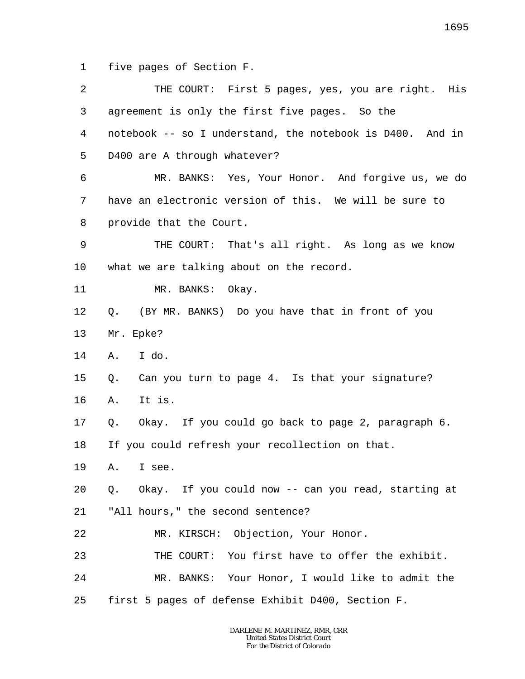1 five pages of Section F.

| 2  | THE COURT: First 5 pages, yes, you are right. His         |
|----|-----------------------------------------------------------|
| 3  | agreement is only the first five pages. So the            |
| 4  | notebook -- so I understand, the notebook is D400. And in |
| 5  | D400 are A through whatever?                              |
| 6  | MR. BANKS: Yes, Your Honor. And forgive us, we do         |
| 7  | have an electronic version of this. We will be sure to    |
| 8  | provide that the Court.                                   |
| 9  | THE COURT: That's all right. As long as we know           |
| 10 | what we are talking about on the record.                  |
| 11 | MR. BANKS: Okay.                                          |
| 12 | (BY MR. BANKS) Do you have that in front of you<br>Q.     |
| 13 | Mr. Epke?                                                 |
| 14 | I do.<br>Α.                                               |
| 15 | Can you turn to page 4. Is that your signature?<br>Q.     |
| 16 | It is.<br>Α.                                              |
| 17 | Q. Okay. If you could go back to page 2, paragraph 6.     |
| 18 | If you could refresh your recollection on that.           |
| 19 | A. I see.                                                 |
| 20 | Q. Okay. If you could now -- can you read, starting at    |
| 21 | "All hours," the second sentence?                         |
| 22 | MR. KIRSCH: Objection, Your Honor.                        |
| 23 | THE COURT: You first have to offer the exhibit.           |
| 24 | MR. BANKS: Your Honor, I would like to admit the          |
| 25 | first 5 pages of defense Exhibit D400, Section F.         |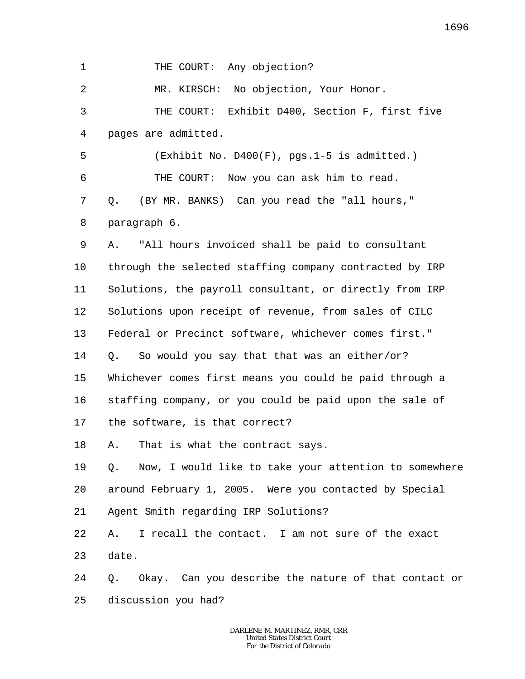1 THE COURT: Any objection?

2 MR. KIRSCH: No objection, Your Honor.

3 4 THE COURT: Exhibit D400, Section F, first five pages are admitted.

5 6 7 8 (Exhibit No. D400(F), pgs.1-5 is admitted.) THE COURT: Now you can ask him to read. Q. (BY MR. BANKS) Can you read the "all hours," paragraph 6.

9 10 11 12 13 14 15 16 17 A. "All hours invoiced shall be paid to consultant through the selected staffing company contracted by IRP Solutions, the payroll consultant, or directly from IRP Solutions upon receipt of revenue, from sales of CILC Federal or Precinct software, whichever comes first." Q. So would you say that that was an either/or? Whichever comes first means you could be paid through a staffing company, or you could be paid upon the sale of the software, is that correct?

18 A. That is what the contract says.

19 20 Q. Now, I would like to take your attention to somewhere around February 1, 2005. Were you contacted by Special

21 Agent Smith regarding IRP Solutions?

22 23 A. I recall the contact. I am not sure of the exact date.

24 25 Q. Okay. Can you describe the nature of that contact or discussion you had?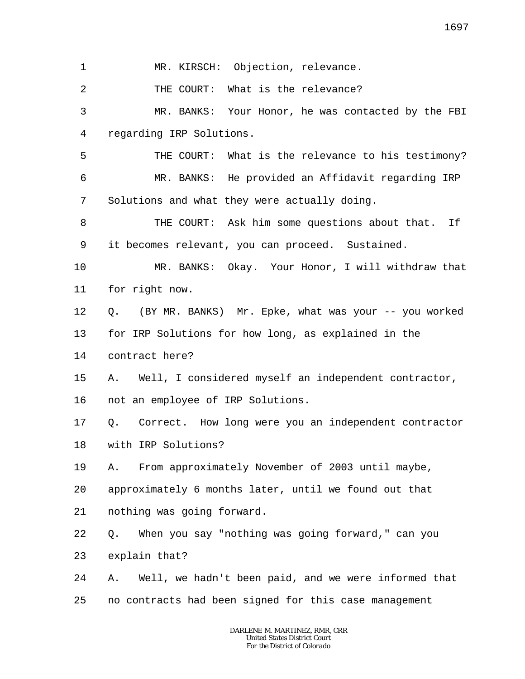1 MR. KIRSCH: Objection, relevance.

2 THE COURT: What is the relevance?

3 4 MR. BANKS: Your Honor, he was contacted by the FBI regarding IRP Solutions.

5 6 7 THE COURT: What is the relevance to his testimony? MR. BANKS: He provided an Affidavit regarding IRP Solutions and what they were actually doing.

8 9 THE COURT: Ask him some questions about that. If it becomes relevant, you can proceed. Sustained.

10 11 MR. BANKS: Okay. Your Honor, I will withdraw that for right now.

12 Q. (BY MR. BANKS) Mr. Epke, what was your -- you worked

13 for IRP Solutions for how long, as explained in the

14 contract here?

15 16 A. Well, I considered myself an independent contractor, not an employee of IRP Solutions.

17 Q. Correct. How long were you an independent contractor

18 with IRP Solutions?

19 A. From approximately November of 2003 until maybe,

20 approximately 6 months later, until we found out that

21 nothing was going forward.

22 Q. When you say "nothing was going forward," can you

23 explain that?

24 25 A. Well, we hadn't been paid, and we were informed that no contracts had been signed for this case management

> *DARLENE M. MARTINEZ, RMR, CRR United States District Court For the District of Colorado*

1697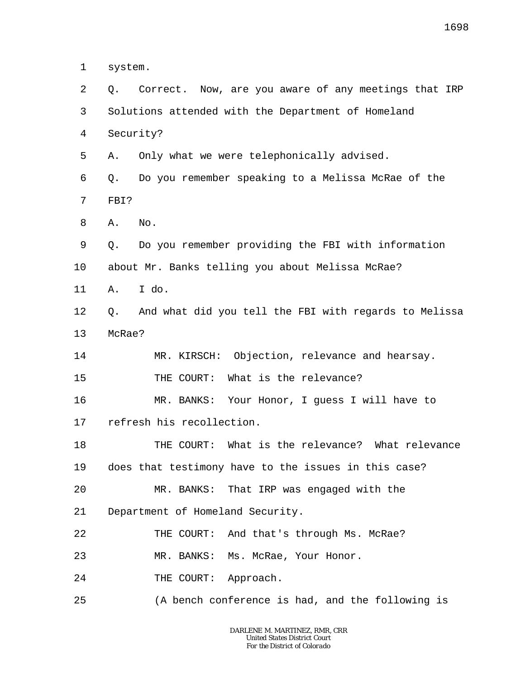1 system.

2 3 4 5 6 7 8 9 10 11 12 13 14 15 16 17 18 19 20 21 22 23 24 25 Q. Correct. Now, are you aware of any meetings that IRP Solutions attended with the Department of Homeland Security? A. Only what we were telephonically advised. Q. Do you remember speaking to a Melissa McRae of the FBI? A. No. Q. Do you remember providing the FBI with information about Mr. Banks telling you about Melissa McRae? A. I do. Q. And what did you tell the FBI with regards to Melissa McRae? MR. KIRSCH: Objection, relevance and hearsay. THE COURT: What is the relevance? MR. BANKS: Your Honor, I guess I will have to refresh his recollection. THE COURT: What is the relevance? What relevance does that testimony have to the issues in this case? MR. BANKS: That IRP was engaged with the Department of Homeland Security. THE COURT: And that's through Ms. McRae? MR. BANKS: Ms. McRae, Your Honor. THE COURT: Approach. (A bench conference is had, and the following is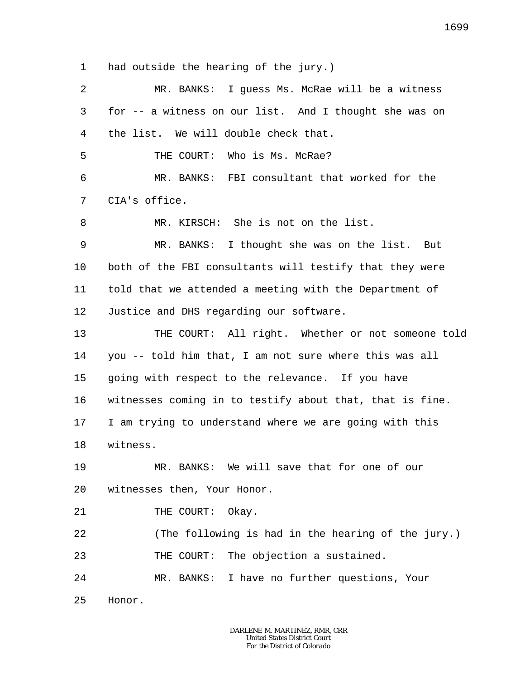1 had outside the hearing of the jury.)

| 2       | MR. BANKS: I guess Ms. McRae will be a witness           |
|---------|----------------------------------------------------------|
| 3       | for -- a witness on our list. And I thought she was on   |
| 4       | the list. We will double check that.                     |
| 5       | THE COURT: Who is Ms. McRae?                             |
| 6       | MR. BANKS: FBI consultant that worked for the            |
| 7       | CIA's office.                                            |
| 8       | MR. KIRSCH: She is not on the list.                      |
| 9       | MR. BANKS: I thought she was on the list. But            |
| $10 \,$ | both of the FBI consultants will testify that they were  |
| 11      | told that we attended a meeting with the Department of   |
| 12      | Justice and DHS regarding our software.                  |
| 13      | THE COURT: All right. Whether or not someone told        |
| 14      | you -- told him that, I am not sure where this was all   |
| 15      | going with respect to the relevance. If you have         |
| 16      | witnesses coming in to testify about that, that is fine. |
| 17      | I am trying to understand where we are going with this   |
| 18      | witness.                                                 |
| 19      | MR. BANKS: We will save that for one of our              |
| 20      | witnesses then, Your Honor.                              |
| 21      | THE COURT:<br>Okay.                                      |
| 22      | (The following is had in the hearing of the jury.)       |
| 23      | THE COURT: The objection a sustained.                    |
| 24      | MR. BANKS: I have no further questions, Your             |
| 25      | Honor.                                                   |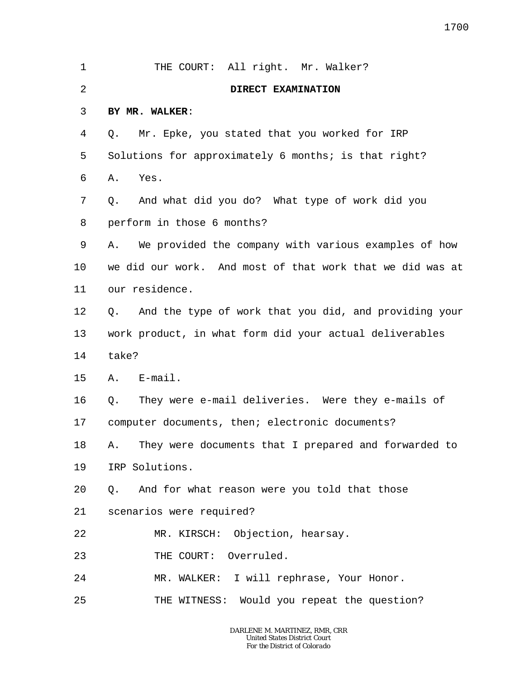| 1              | THE COURT: All right. Mr. Walker?                           |
|----------------|-------------------------------------------------------------|
| $\overline{2}$ | DIRECT EXAMINATION                                          |
| 3              | BY MR. WALKER:                                              |
| 4              | Mr. Epke, you stated that you worked for IRP<br>Q.          |
| 5              | Solutions for approximately 6 months; is that right?        |
| 6              | Yes.<br>Α.                                                  |
| 7              | And what did you do? What type of work did you<br>Q.        |
| 8              | perform in those 6 months?                                  |
| 9              | We provided the company with various examples of how<br>Α.  |
| 10             | we did our work. And most of that work that we did was at   |
| 11             | our residence.                                              |
| 12             | And the type of work that you did, and providing your<br>Q. |
| 13             | work product, in what form did your actual deliverables     |
| 14             | take?                                                       |
| 15             | $E$ -mail.<br>Α.                                            |
| 16             | They were e-mail deliveries. Were they e-mails of<br>Q.     |
| 17             | computer documents, then; electronic documents?             |
| 18             | They were documents that I prepared and forwarded to<br>А.  |
| 19             | IRP Solutions.                                              |
| 20             | Q. And for what reason were you told that those             |
| 21             | scenarios were required?                                    |
| 22             | MR. KIRSCH: Objection, hearsay.                             |
| 23             | THE COURT: Overruled.                                       |
| 24             | MR. WALKER: I will rephrase, Your Honor.                    |
| 25             | THE WITNESS: Would you repeat the question?                 |
|                |                                                             |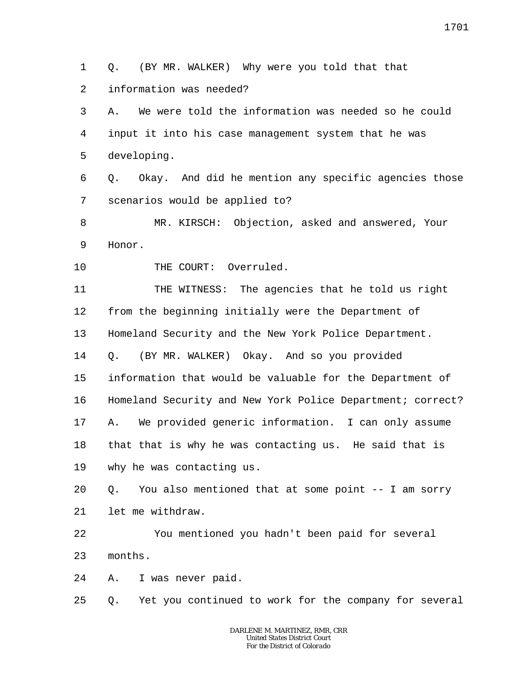1  $\overline{a}$ Q. (BY MR. WALKER) Why were you told that that information was needed?

3 4 5 A. We were told the information was needed so he could input it into his case management system that he was developing.

6 7 Q. Okay. And did he mention any specific agencies those scenarios would be applied to?

8 9 MR. KIRSCH: Objection, asked and answered, Your Honor.

10 THE COURT: Overruled.

11 12 13 14 15 16 17 18 19 20 21 22 23 THE WITNESS: The agencies that he told us right from the beginning initially were the Department of Homeland Security and the New York Police Department. Q. (BY MR. WALKER) Okay. And so you provided information that would be valuable for the Department of Homeland Security and New York Police Department; correct? A. We provided generic information. I can only assume that that is why he was contacting us. He said that is why he was contacting us. Q. You also mentioned that at some point -- I am sorry let me withdraw. You mentioned you hadn't been paid for several months.

24 A. I was never paid.

25 Q. Yet you continued to work for the company for several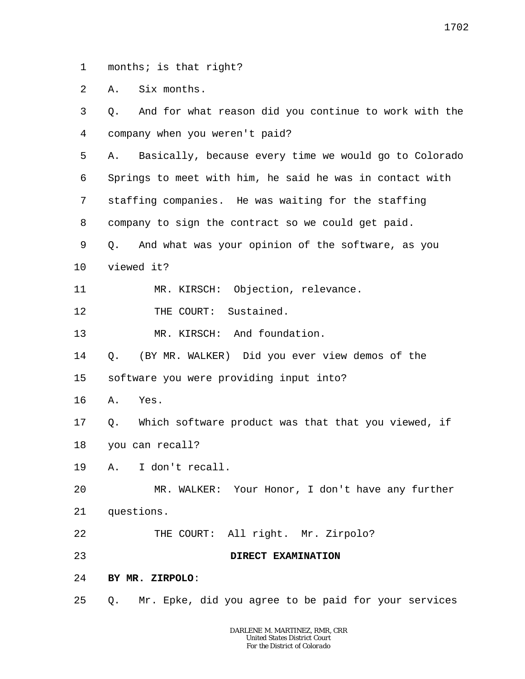1 months; is that right?

 $\overline{a}$ A. Six months.

3 4 5 6 7 8 9 10 11 12 13 14 15 16 17 18 19 20 21 22 23 24 25 Q. And for what reason did you continue to work with the company when you weren't paid? A. Basically, because every time we would go to Colorado Springs to meet with him, he said he was in contact with staffing companies. He was waiting for the staffing company to sign the contract so we could get paid. Q. And what was your opinion of the software, as you viewed it? MR. KIRSCH: Objection, relevance. THE COURT: Sustained. MR. KIRSCH: And foundation. Q. (BY MR. WALKER) Did you ever view demos of the software you were providing input into? A. Yes. Q. Which software product was that that you viewed, if you can recall? A. I don't recall. MR. WALKER: Your Honor, I don't have any further questions. THE COURT: All right. Mr. Zirpolo? **DIRECT EXAMINATION BY MR. ZIRPOLO**: Q. Mr. Epke, did you agree to be paid for your services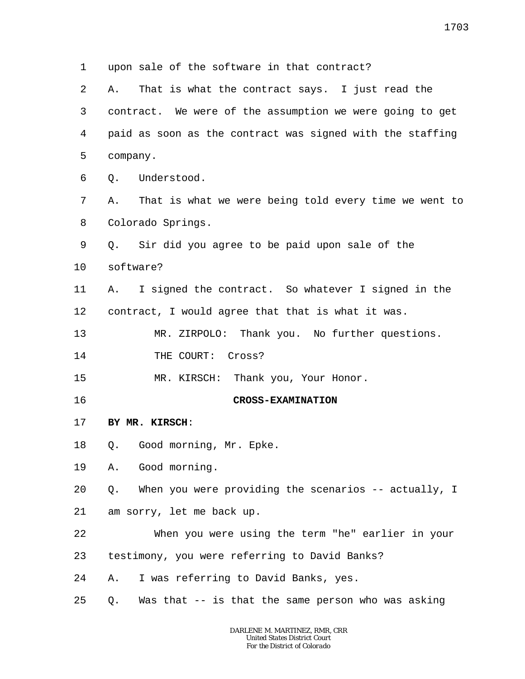1 2 3 4 5 6 7 8 9 10 11 12 13 14 15 16 17 18 19 20 21 22 23 24 25 upon sale of the software in that contract? A. That is what the contract says. I just read the contract. We were of the assumption we were going to get paid as soon as the contract was signed with the staffing company. Q. Understood. A. That is what we were being told every time we went to Colorado Springs. Q. Sir did you agree to be paid upon sale of the software? A. I signed the contract. So whatever I signed in the contract, I would agree that that is what it was. MR. ZIRPOLO: Thank you. No further questions. THE COURT: Cross? MR. KIRSCH: Thank you, Your Honor. **CROSS-EXAMINATION BY MR. KIRSCH**: Q. Good morning, Mr. Epke. A. Good morning. Q. When you were providing the scenarios -- actually, I am sorry, let me back up. When you were using the term "he" earlier in your testimony, you were referring to David Banks? A. I was referring to David Banks, yes. Q. Was that -- is that the same person who was asking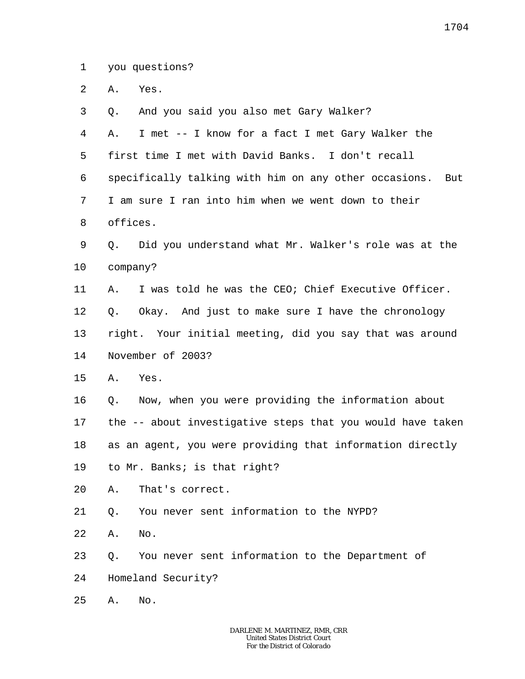1 you questions?

 $\overline{a}$ A. Yes.

3 4 5 6 7 8 9 10 11 12 13 14 15 16 17 18 19 20 21 22 23 24 25 Q. And you said you also met Gary Walker? A. I met -- I know for a fact I met Gary Walker the first time I met with David Banks. I don't recall specifically talking with him on any other occasions. But I am sure I ran into him when we went down to their offices. Q. Did you understand what Mr. Walker's role was at the company? A. I was told he was the CEO; Chief Executive Officer. Q. Okay. And just to make sure I have the chronology right. Your initial meeting, did you say that was around November of 2003? A. Yes. Q. Now, when you were providing the information about the -- about investigative steps that you would have taken as an agent, you were providing that information directly to Mr. Banks; is that right? A. That's correct. Q. You never sent information to the NYPD? A. No. Q. You never sent information to the Department of Homeland Security? A. No.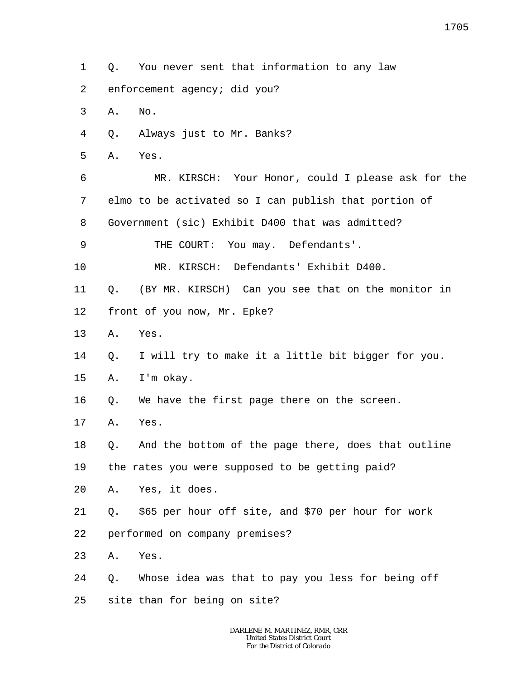- 1 Q. You never sent that information to any law
- 2 enforcement agency; did you?
- 3 A. No.
- 4 Q. Always just to Mr. Banks?
- 5 A. Yes.

6 7 8 MR. KIRSCH: Your Honor, could I please ask for the elmo to be activated so I can publish that portion of Government (sic) Exhibit D400 that was admitted?

9 THE COURT: You may. Defendants'.

10 MR. KIRSCH: Defendants' Exhibit D400.

11 Q. (BY MR. KIRSCH) Can you see that on the monitor in

- 12 front of you now, Mr. Epke?
- 13 A. Yes.
- 14 Q. I will try to make it a little bit bigger for you.
- 15 A. I'm okay.

16 Q. We have the first page there on the screen.

17 A. Yes.

18 Q. And the bottom of the page there, does that outline

19 the rates you were supposed to be getting paid?

- 20 A. Yes, it does.
- 21 Q. \$65 per hour off site, and \$70 per hour for work
- 22 performed on company premises?
- 23 A. Yes.
- 24 Q. Whose idea was that to pay you less for being off
- 25 site than for being on site?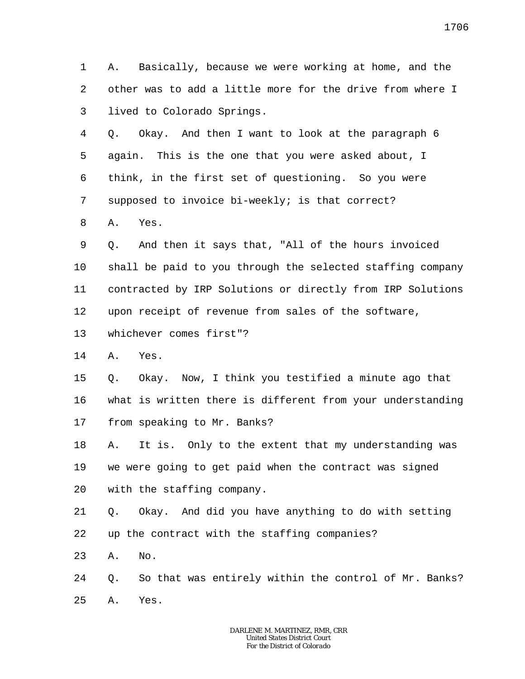1 2 3 A. Basically, because we were working at home, and the other was to add a little more for the drive from where I lived to Colorado Springs.

4 5 6 7 Q. Okay. And then I want to look at the paragraph 6 again. This is the one that you were asked about, I think, in the first set of questioning. So you were supposed to invoice bi-weekly; is that correct?

8 A. Yes.

9 10 11 12 Q. And then it says that, "All of the hours invoiced shall be paid to you through the selected staffing company contracted by IRP Solutions or directly from IRP Solutions upon receipt of revenue from sales of the software,

13 whichever comes first"?

14 A. Yes.

15 16 17 Q. Okay. Now, I think you testified a minute ago that what is written there is different from your understanding from speaking to Mr. Banks?

18 19 20 A. It is. Only to the extent that my understanding was we were going to get paid when the contract was signed with the staffing company.

21 22 Q. Okay. And did you have anything to do with setting up the contract with the staffing companies?

23 A. No.

24 25 Q. So that was entirely within the control of Mr. Banks? A. Yes.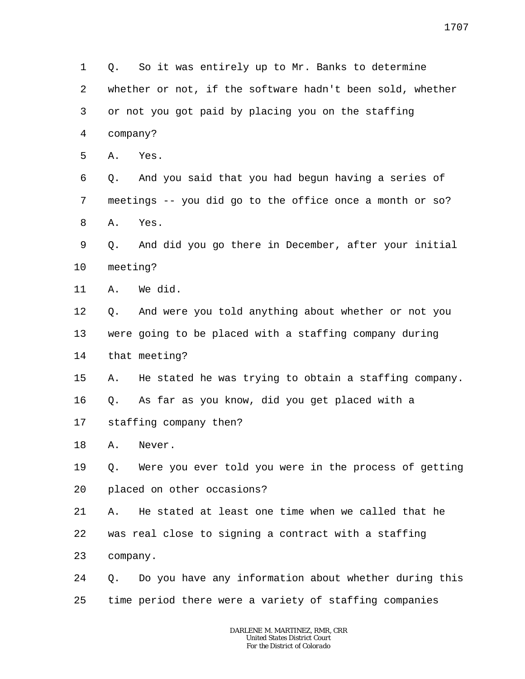1 2 3 4 5 6 7 8 9 10 11 12 13 14 15 16 17 18 19 20 21 22 23 24 25 Q. So it was entirely up to Mr. Banks to determine whether or not, if the software hadn't been sold, whether or not you got paid by placing you on the staffing company? A. Yes. Q. And you said that you had begun having a series of meetings -- you did go to the office once a month or so? A. Yes. Q. And did you go there in December, after your initial meeting? A. We did. Q. And were you told anything about whether or not you were going to be placed with a staffing company during that meeting? A. He stated he was trying to obtain a staffing company. Q. As far as you know, did you get placed with a staffing company then? A. Never. Q. Were you ever told you were in the process of getting placed on other occasions? A. He stated at least one time when we called that he was real close to signing a contract with a staffing company. Q. Do you have any information about whether during this time period there were a variety of staffing companies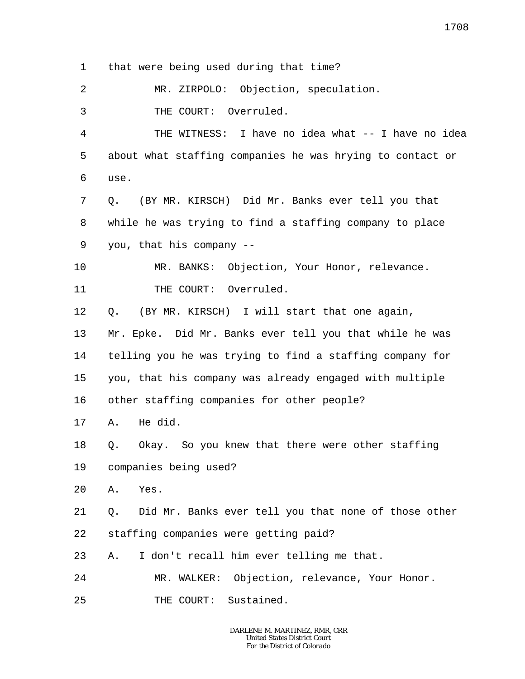1 that were being used during that time?

2 MR. ZIRPOLO: Objection, speculation.

3 THE COURT: Overruled.

4 5 6 THE WITNESS: I have no idea what -- I have no idea about what staffing companies he was hrying to contact or use.

7 8 9 Q. (BY MR. KIRSCH) Did Mr. Banks ever tell you that while he was trying to find a staffing company to place you, that his company --

10 11 MR. BANKS: Objection, Your Honor, relevance. THE COURT: Overruled.

12 Q. (BY MR. KIRSCH) I will start that one again,

13 14 15 Mr. Epke. Did Mr. Banks ever tell you that while he was telling you he was trying to find a staffing company for you, that his company was already engaged with multiple

16 other staffing companies for other people?

17 A. He did.

18 Q. Okay. So you knew that there were other staffing

19 companies being used?

20 A. Yes.

21 22 Q. Did Mr. Banks ever tell you that none of those other staffing companies were getting paid?

23 A. I don't recall him ever telling me that.

24 MR. WALKER: Objection, relevance, Your Honor.

25 THE COURT: Sustained.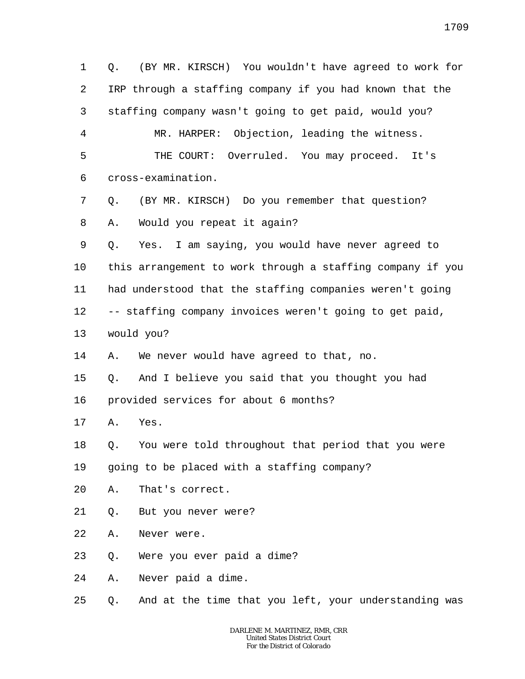1 2 3 4 5 6 7 8 9 10 11 12 13 14 15 16 17 18 19 20 21 22 23 24 25 Q. (BY MR. KIRSCH) You wouldn't have agreed to work for IRP through a staffing company if you had known that the staffing company wasn't going to get paid, would you? MR. HARPER: Objection, leading the witness. THE COURT: Overruled. You may proceed. It's cross-examination. Q. (BY MR. KIRSCH) Do you remember that question? A. Would you repeat it again? Q. Yes. I am saying, you would have never agreed to this arrangement to work through a staffing company if you had understood that the staffing companies weren't going -- staffing company invoices weren't going to get paid, would you? A. We never would have agreed to that, no. Q. And I believe you said that you thought you had provided services for about 6 months? A. Yes. Q. You were told throughout that period that you were going to be placed with a staffing company? A. That's correct. Q. But you never were? A. Never were. Q. Were you ever paid a dime? A. Never paid a dime. Q. And at the time that you left, your understanding was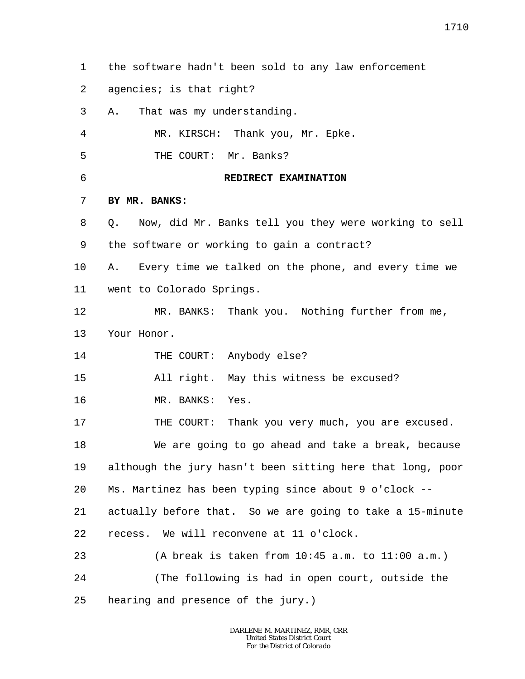- 1 the software hadn't been sold to any law enforcement
- 2 agencies; is that right?
- 3 A. That was my understanding.

4 MR. KIRSCH: Thank you, Mr. Epke.

- 5 THE COURT: Mr. Banks?
- 6

## **REDIRECT EXAMINATION**

## 7 **BY MR. BANKS**:

- 8 9 Q. Now, did Mr. Banks tell you they were working to sell the software or working to gain a contract?
- 10 11 A. Every time we talked on the phone, and every time we went to Colorado Springs.
- 12 13 MR. BANKS: Thank you. Nothing further from me, Your Honor.
- 14 THE COURT: Anybody else?

15 All right. May this witness be excused?

16 MR. BANKS: Yes.

17 THE COURT: Thank you very much, you are excused.

18 19 20 We are going to go ahead and take a break, because although the jury hasn't been sitting here that long, poor Ms. Martinez has been typing since about 9 o'clock --

21 22 actually before that. So we are going to take a 15-minute recess. We will reconvene at 11 o'clock.

23 24 25 (A break is taken from 10:45 a.m. to 11:00 a.m.) (The following is had in open court, outside the hearing and presence of the jury.)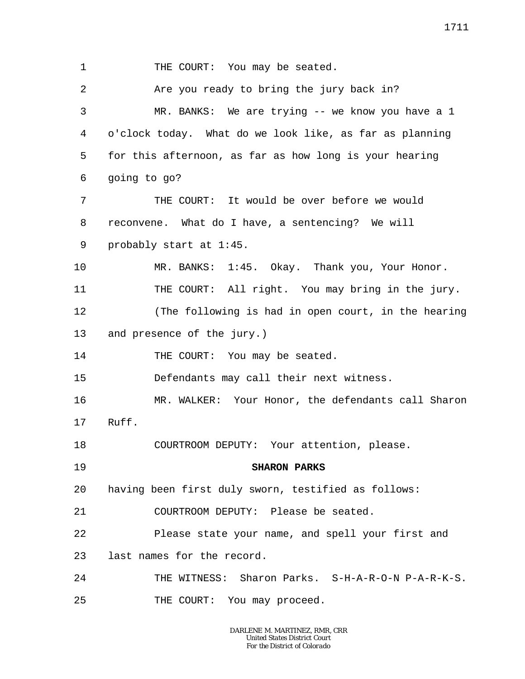1 2 3 4 5 6 7 8 9 10 11 12 13 14 15 16 17 18 19 20 21 22 23 24 25 THE COURT: You may be seated. Are you ready to bring the jury back in? MR. BANKS: We are trying -- we know you have a 1 o'clock today. What do we look like, as far as planning for this afternoon, as far as how long is your hearing going to go? THE COURT: It would be over before we would reconvene. What do I have, a sentencing? We will probably start at 1:45. MR. BANKS: 1:45. Okay. Thank you, Your Honor. THE COURT: All right. You may bring in the jury. (The following is had in open court, in the hearing and presence of the jury.) THE COURT: You may be seated. Defendants may call their next witness. MR. WALKER: Your Honor, the defendants call Sharon Ruff. COURTROOM DEPUTY: Your attention, please. **SHARON PARKS** having been first duly sworn, testified as follows: COURTROOM DEPUTY: Please be seated. Please state your name, and spell your first and last names for the record. THE WITNESS: Sharon Parks. S-H-A-R-O-N P-A-R-K-S. THE COURT: You may proceed.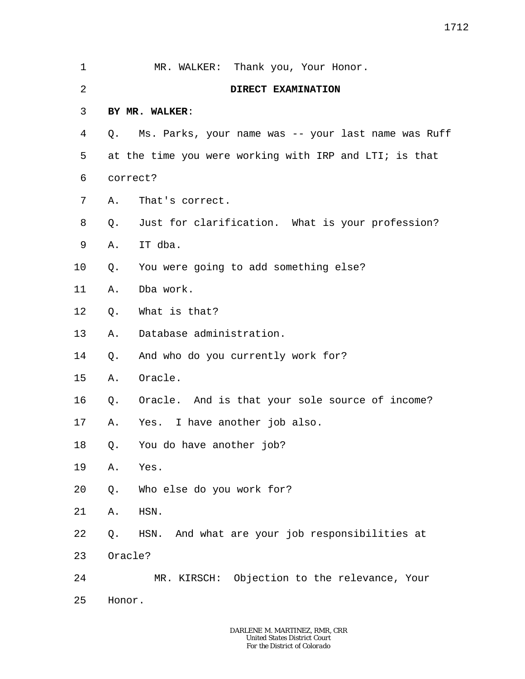| 1       |          | MR. WALKER: Thank you, Your Honor.                     |  |
|---------|----------|--------------------------------------------------------|--|
| 2       |          | DIRECT EXAMINATION                                     |  |
| 3       |          | BY MR. WALKER:                                         |  |
| 4       | Q.       | Ms. Parks, your name was -- your last name was Ruff    |  |
| 5       |          | at the time you were working with IRP and LTI; is that |  |
| 6       | correct? |                                                        |  |
| 7       | Α.       | That's correct.                                        |  |
| 8       |          | Q. Just for clarification. What is your profession?    |  |
| 9       | Α.       | IT dba.                                                |  |
| $10 \,$ | Q.       | You were going to add something else?                  |  |
| 11      | Α.       | Dba work.                                              |  |
| 12      | Q.       | What is that?                                          |  |
| 13      | Α.       | Database administration.                               |  |
| 14      | Q.       | And who do you currently work for?                     |  |
| 15      | Α.       | Oracle.                                                |  |
| 16      | Q.       | Oracle. And is that your sole source of income?        |  |
| 17      | Α.       | Yes. I have another job also.                          |  |
| 18      |          | Q. You do have another job?                            |  |
| 19      | Α.       | Yes.                                                   |  |
| 20      | Q.       | Who else do you work for?                              |  |
| 21      | Α.       | HSN.                                                   |  |
| 22      | Q.       | HSN. And what are your job responsibilities at         |  |
| 23      | Oracle?  |                                                        |  |
| 24      |          | MR. KIRSCH: Objection to the relevance, Your           |  |
| 25      | Honor.   |                                                        |  |
|         |          |                                                        |  |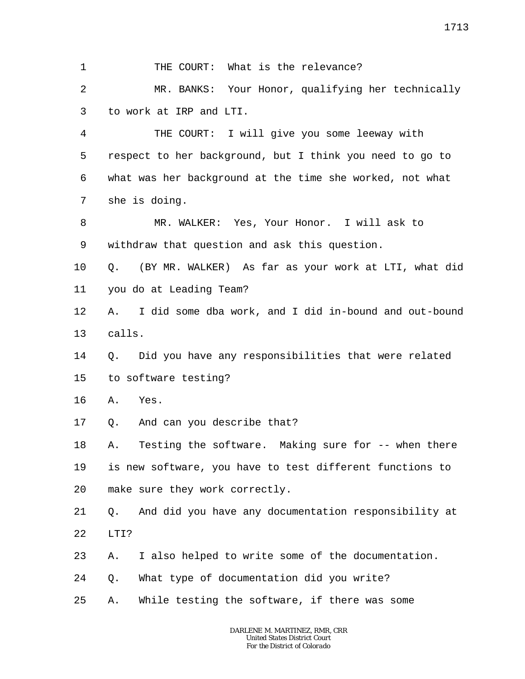1 2 3 4 5 6 7 8 9 10 11 12 13 14 15 16 17 18 19 20 21 22 23 24 25 THE COURT: What is the relevance? MR. BANKS: Your Honor, qualifying her technically to work at IRP and LTI. THE COURT: I will give you some leeway with respect to her background, but I think you need to go to what was her background at the time she worked, not what she is doing. MR. WALKER: Yes, Your Honor. I will ask to withdraw that question and ask this question. Q. (BY MR. WALKER) As far as your work at LTI, what did you do at Leading Team? A. I did some dba work, and I did in-bound and out-bound calls. Q. Did you have any responsibilities that were related to software testing? A. Yes. Q. And can you describe that? A. Testing the software. Making sure for -- when there is new software, you have to test different functions to make sure they work correctly. Q. And did you have any documentation responsibility at LTI? A. I also helped to write some of the documentation. Q. What type of documentation did you write? A. While testing the software, if there was some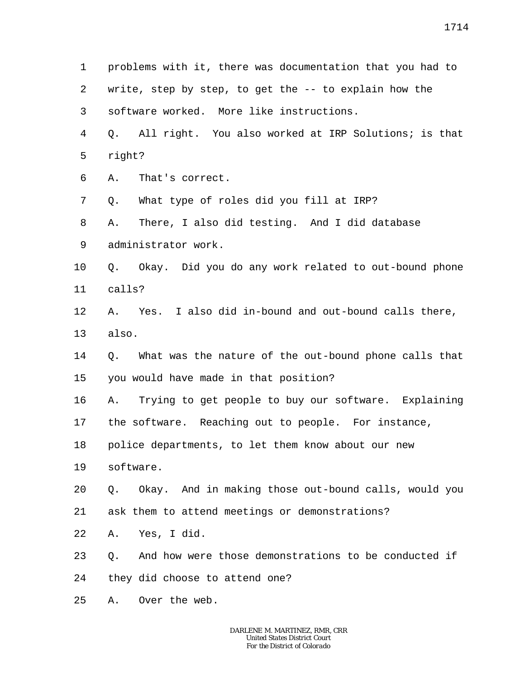1 2 3 4 5 6 7 8 9 10 11 12 13 14 15 16 17 18 19 20 21 22 23 24 25 problems with it, there was documentation that you had to write, step by step, to get the -- to explain how the software worked. More like instructions. Q. All right. You also worked at IRP Solutions; is that right? A. That's correct. Q. What type of roles did you fill at IRP? A. There, I also did testing. And I did database administrator work. Q. Okay. Did you do any work related to out-bound phone calls? A. Yes. I also did in-bound and out-bound calls there, also. Q. What was the nature of the out-bound phone calls that you would have made in that position? A. Trying to get people to buy our software. Explaining the software. Reaching out to people. For instance, police departments, to let them know about our new software. Q. Okay. And in making those out-bound calls, would you ask them to attend meetings or demonstrations? A. Yes, I did. Q. And how were those demonstrations to be conducted if they did choose to attend one? A. Over the web.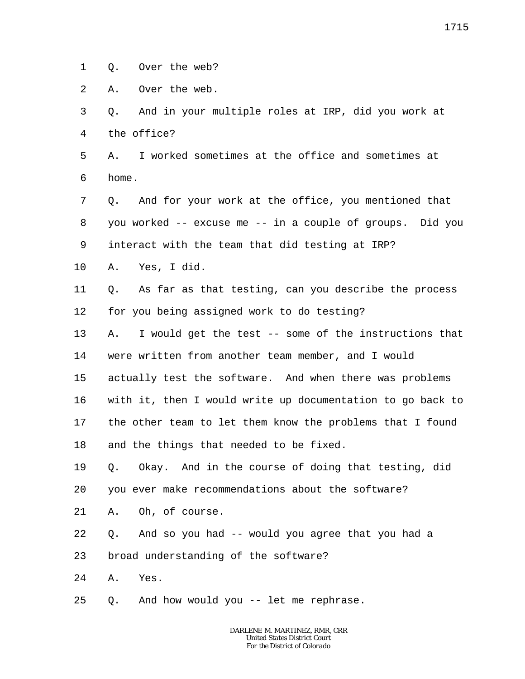1 Q. Over the web?

2 A. Over the web.

3 4 Q. And in your multiple roles at IRP, did you work at the office?

5 6 A. I worked sometimes at the office and sometimes at home.

7 8 9 Q. And for your work at the office, you mentioned that you worked -- excuse me -- in a couple of groups. Did you interact with the team that did testing at IRP?

10 A. Yes, I did.

11 12 Q. As far as that testing, can you describe the process for you being assigned work to do testing?

13 14 15 16 17 18 A. I would get the test -- some of the instructions that were written from another team member, and I would actually test the software. And when there was problems with it, then I would write up documentation to go back to the other team to let them know the problems that I found and the things that needed to be fixed.

19 20 Q. Okay. And in the course of doing that testing, did you ever make recommendations about the software?

21 A. Oh, of course.

22 Q. And so you had -- would you agree that you had a

23 broad understanding of the software?

24 A. Yes.

25 Q. And how would you -- let me rephrase.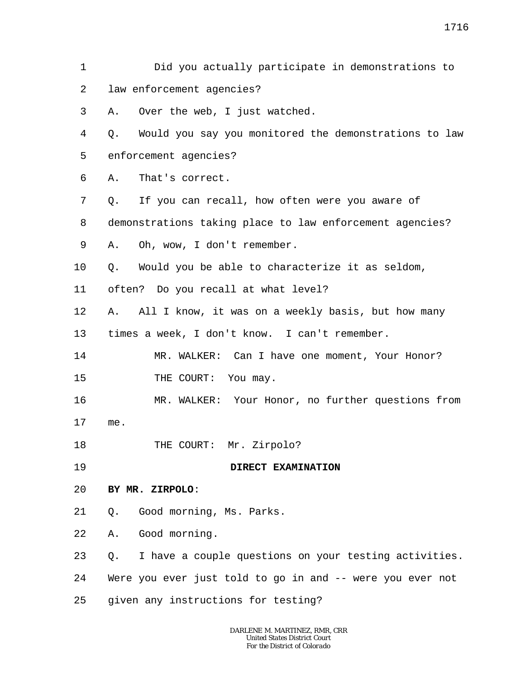2 3 4 5 6 7 8 9 10 11 12 13 14 15 16 17 18 19 20 21 22 23 24 25 *DARLENE M. MARTINEZ, RMR, CRR United States District Court For the District of Colorado* law enforcement agencies? A. Over the web, I just watched. Q. Would you say you monitored the demonstrations to law enforcement agencies? A. That's correct. Q. If you can recall, how often were you aware of demonstrations taking place to law enforcement agencies? A. Oh, wow, I don't remember. Q. Would you be able to characterize it as seldom, often? Do you recall at what level? A. All I know, it was on a weekly basis, but how many times a week, I don't know. I can't remember. MR. WALKER: Can I have one moment, Your Honor? THE COURT: You may. MR. WALKER: Your Honor, no further questions from me. THE COURT: Mr. Zirpolo? **DIRECT EXAMINATION BY MR. ZIRPOLO**: Q. Good morning, Ms. Parks. A. Good morning. Q. I have a couple questions on your testing activities. Were you ever just told to go in and -- were you ever not given any instructions for testing?

Did you actually participate in demonstrations to

1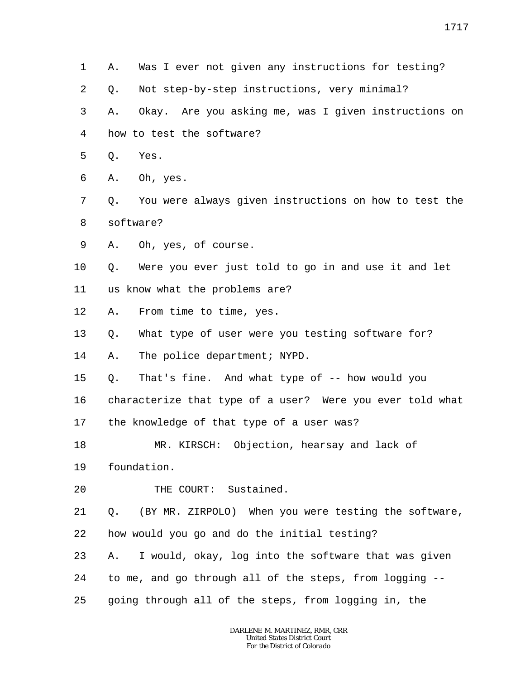- 1 A. Was I ever not given any instructions for testing?
- 2 Q. Not step-by-step instructions, very minimal?

3 4 A. Okay. Are you asking me, was I given instructions on how to test the software?

- 5 Q. Yes.
- 6 A. Oh, yes.
- 7 8 Q. You were always given instructions on how to test the software?
- 9 A. Oh, yes, of course.

10 11 Q. Were you ever just told to go in and use it and let us know what the problems are?

12 A. From time to time, yes.

13 Q. What type of user were you testing software for?

14 A. The police department; NYPD.

- 15 Q. That's fine. And what type of -- how would you
- 16 characterize that type of a user? Were you ever told what
- 17 the knowledge of that type of a user was?
- 18 MR. KIRSCH: Objection, hearsay and lack of
- 19 foundation.
- 20 THE COURT: Sustained.

21 22 Q. (BY MR. ZIRPOLO) When you were testing the software, how would you go and do the initial testing?

23 24 25 A. I would, okay, log into the software that was given to me, and go through all of the steps, from logging - going through all of the steps, from logging in, the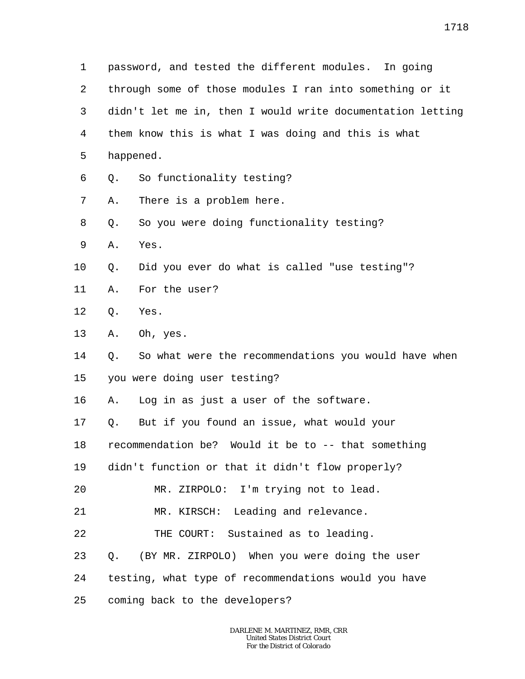1 2 3 4 5 6 7 8 9 10 11 12 13 14 15 16 17 18 19 20 21 22 23 24 25 password, and tested the different modules. In going through some of those modules I ran into something or it didn't let me in, then I would write documentation letting them know this is what I was doing and this is what happened. Q. So functionality testing? A. There is a problem here. Q. So you were doing functionality testing? A. Yes. Q. Did you ever do what is called "use testing"? A. For the user? Q. Yes. A. Oh, yes. Q. So what were the recommendations you would have when you were doing user testing? A. Log in as just a user of the software. Q. But if you found an issue, what would your recommendation be? Would it be to -- that something didn't function or that it didn't flow properly? MR. ZIRPOLO: I'm trying not to lead. MR. KIRSCH: Leading and relevance. THE COURT: Sustained as to leading. Q. (BY MR. ZIRPOLO) When you were doing the user testing, what type of recommendations would you have coming back to the developers?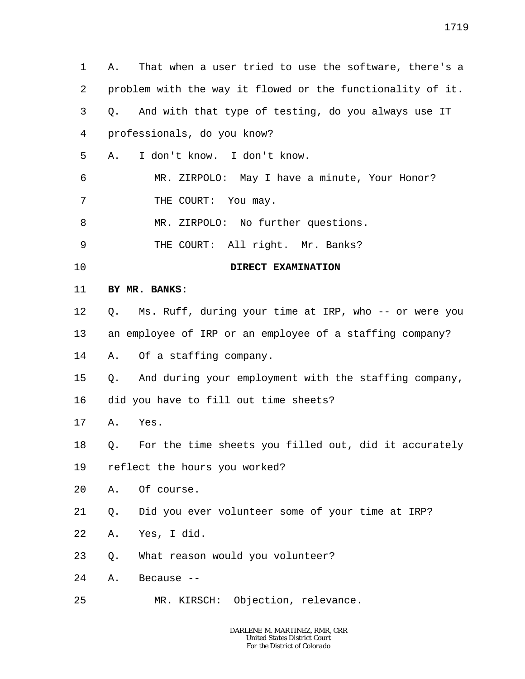1 2 3 4 5 6 7 8 9 10 11 12 13 14 15 16 17 18 19 20 21 22 23 24 25 A. That when a user tried to use the software, there's a problem with the way it flowed or the functionality of it. Q. And with that type of testing, do you always use IT professionals, do you know? A. I don't know. I don't know. MR. ZIRPOLO: May I have a minute, Your Honor? THE COURT: You may. MR. ZIRPOLO: No further questions. THE COURT: All right. Mr. Banks? **DIRECT EXAMINATION BY MR. BANKS**: Q. Ms. Ruff, during your time at IRP, who -- or were you an employee of IRP or an employee of a staffing company? A. Of a staffing company. Q. And during your employment with the staffing company, did you have to fill out time sheets? A. Yes. Q. For the time sheets you filled out, did it accurately reflect the hours you worked? A. Of course. Q. Did you ever volunteer some of your time at IRP? A. Yes, I did. Q. What reason would you volunteer? A. Because -- MR. KIRSCH: Objection, relevance.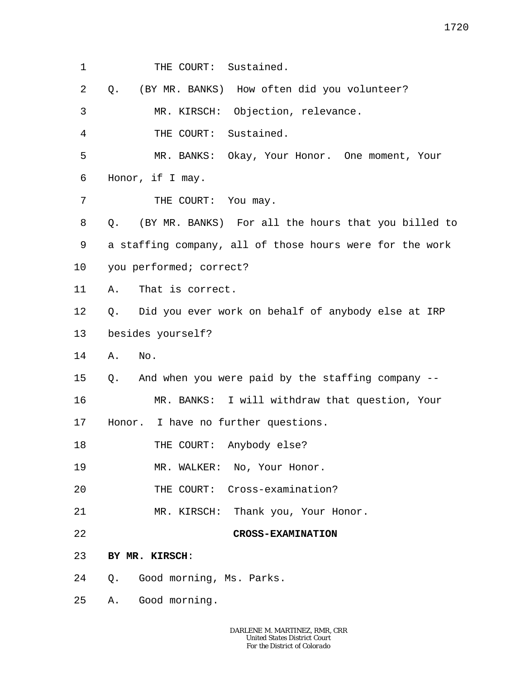1 THE COURT: Sustained.

2 Q. (BY MR. BANKS) How often did you volunteer?

3 MR. KIRSCH: Objection, relevance.

4 THE COURT: Sustained.

5 6 MR. BANKS: Okay, Your Honor. One moment, Your Honor, if I may.

7 THE COURT: You may.

8 9 10 Q. (BY MR. BANKS) For all the hours that you billed to a staffing company, all of those hours were for the work you performed; correct?

- 11 A. That is correct.
- 12 13 Q. Did you ever work on behalf of anybody else at IRP besides yourself?
- 14 A. No.

15 Q. And when you were paid by the staffing company --

16 17 MR. BANKS: I will withdraw that question, Your Honor. I have no further questions.

18 THE COURT: Anybody else?

19 MR. WALKER: No, Your Honor.

- 20 THE COURT: Cross-examination?
- 21 MR. KIRSCH: Thank you, Your Honor.
- 22

**CROSS-EXAMINATION**

## 23 **BY MR. KIRSCH**:

- 24 Q. Good morning, Ms. Parks.
- 25 A. Good morning.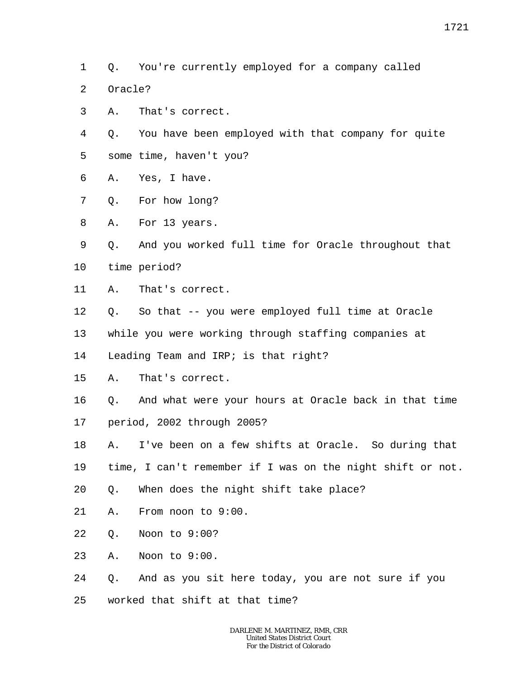- 1 Q. You're currently employed for a company called
- $\overline{a}$ Oracle?
- 3 A. That's correct.
- 4 5 Q. You have been employed with that company for quite some time, haven't you?
- 6 A. Yes, I have.
- 7 Q. For how long?
- 8 A. For 13 years.
- 9 10 Q. And you worked full time for Oracle throughout that time period?
- 11 A. That's correct.
- 12 Q. So that -- you were employed full time at Oracle
- 13 while you were working through staffing companies at
- 14 Leading Team and IRP; is that right?
- 15 A. That's correct.
- 16 17 Q. And what were your hours at Oracle back in that time period, 2002 through 2005?
- 18 A. I've been on a few shifts at Oracle. So during that
- 19 time, I can't remember if I was on the night shift or not.
- 20 Q. When does the night shift take place?
- 21 A. From noon to 9:00.
- 22 Q. Noon to 9:00?
- 23 A. Noon to 9:00.
- 24 Q. And as you sit here today, you are not sure if you
- 25 worked that shift at that time?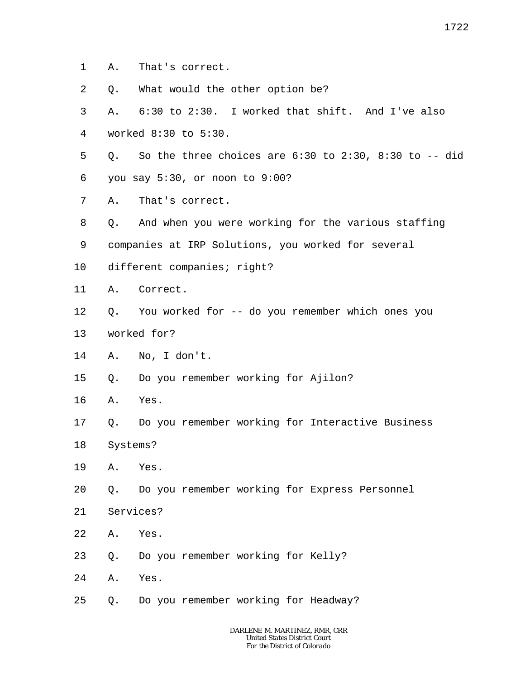- 1 A. That's correct.
- 2 Q. What would the other option be?
- 3 4 A. 6:30 to 2:30. I worked that shift. And I've also worked 8:30 to 5:30.
- 5 Q. So the three choices are  $6:30$  to  $2:30$ ,  $8:30$  to  $-$ - did
- 6 you say 5:30, or noon to 9:00?
- 7 A. That's correct.
- 8 Q. And when you were working for the various staffing
- 9 companies at IRP Solutions, you worked for several
- 10 different companies; right?
- 11 A. Correct.
- 12 Q. You worked for -- do you remember which ones you
- 13 worked for?
- 14 A. No, I don't.
- 15 Q. Do you remember working for Ajilon?
- 16 A. Yes.
- 17 18 Q. Do you remember working for Interactive Business Systems?
- 19 A. Yes.
- 20 Q. Do you remember working for Express Personnel
- 21 Services?
- 22 A. Yes.
- 23 Q. Do you remember working for Kelly?
- 24 A. Yes.
- 25 Q. Do you remember working for Headway?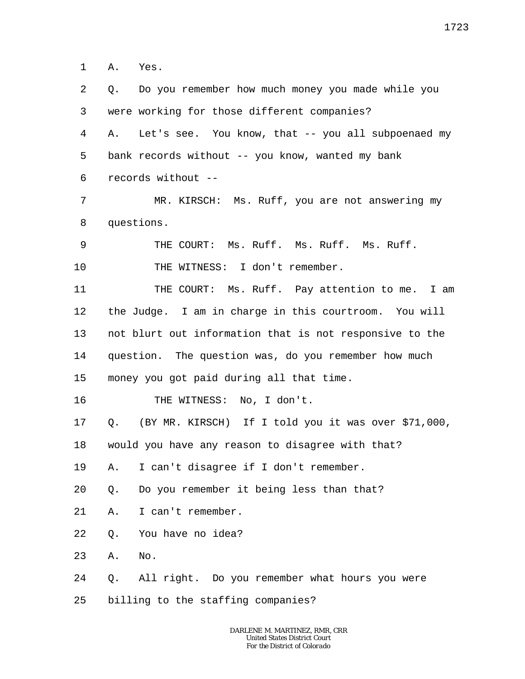1 A. Yes.

2 3 4 5 6 7 8 9 10 11 12 13 14 15 16 17 18 19 20 21 22 23 24 25 Q. Do you remember how much money you made while you were working for those different companies? A. Let's see. You know, that -- you all subpoenaed my bank records without -- you know, wanted my bank records without -- MR. KIRSCH: Ms. Ruff, you are not answering my questions. THE COURT: Ms. Ruff. Ms. Ruff. Ms. Ruff. THE WITNESS: I don't remember. THE COURT: Ms. Ruff. Pay attention to me. I am the Judge. I am in charge in this courtroom. You will not blurt out information that is not responsive to the question. The question was, do you remember how much money you got paid during all that time. THE WITNESS: No, I don't. Q. (BY MR. KIRSCH) If I told you it was over \$71,000, would you have any reason to disagree with that? A. I can't disagree if I don't remember. Q. Do you remember it being less than that? A. I can't remember. Q. You have no idea? A. No. Q. All right. Do you remember what hours you were billing to the staffing companies?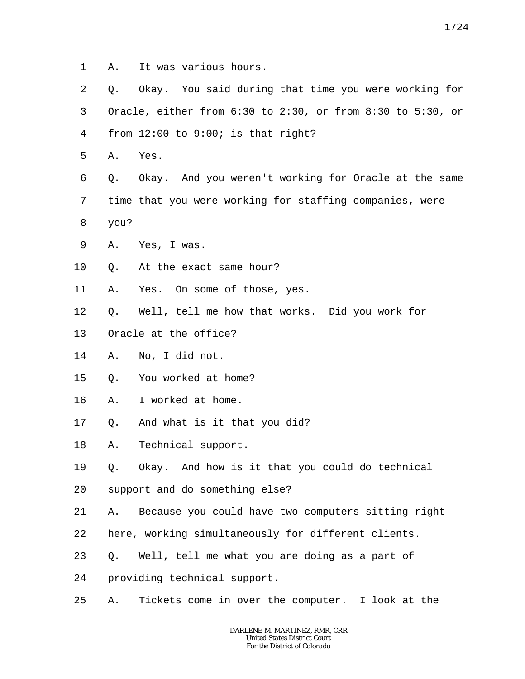- 1 A. It was various hours.
- 2 3 4 Q. Okay. You said during that time you were working for Oracle, either from 6:30 to 2:30, or from 8:30 to 5:30, or from  $12:00$  to  $9:00$ ; is that right?
- 5 A. Yes.

6 7 8 Q. Okay. And you weren't working for Oracle at the same time that you were working for staffing companies, were you?

- 9 A. Yes, I was.
- 10 Q. At the exact same hour?
- 11 A. Yes. On some of those, yes.
- 12 Q. Well, tell me how that works. Did you work for
- 13 Oracle at the office?
- 14 A. No, I did not.
- 15 Q. You worked at home?
- 16 A. I worked at home.
- 17 Q. And what is it that you did?
- 18 A. Technical support.
- 19 Q. Okay. And how is it that you could do technical
- 20 support and do something else?
- 21 A. Because you could have two computers sitting right
- 22 here, working simultaneously for different clients.
- 23 Q. Well, tell me what you are doing as a part of
- 24 providing technical support.
- 25 A. Tickets come in over the computer. I look at the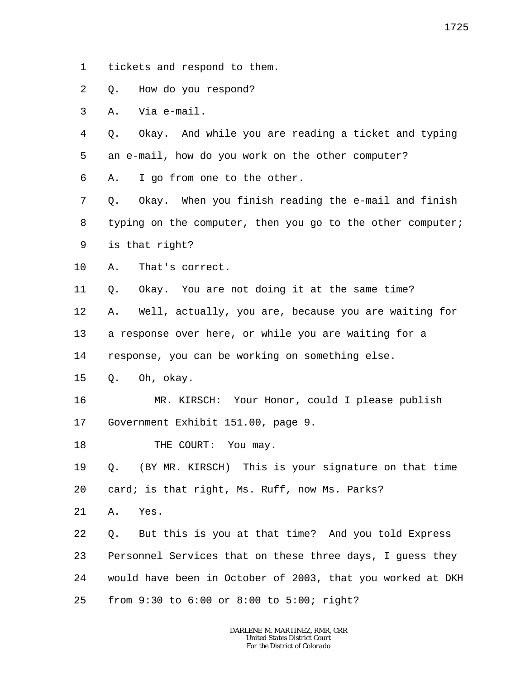- 1 tickets and respond to them.
- 2 Q. How do you respond?
- 3 A. Via e-mail.

4 5 Q. Okay. And while you are reading a ticket and typing an e-mail, how do you work on the other computer?

6 A. I go from one to the other.

7 8 9 Q. Okay. When you finish reading the e-mail and finish typing on the computer, then you go to the other computer; is that right?

10 A. That's correct.

11 Q. Okay. You are not doing it at the same time?

12 A. Well, actually, you are, because you are waiting for

13 a response over here, or while you are waiting for a

14 response, you can be working on something else.

15 Q. Oh, okay.

16 17 MR. KIRSCH: Your Honor, could I please publish Government Exhibit 151.00, page 9.

18 THE COURT: You may.

19 20 Q. (BY MR. KIRSCH) This is your signature on that time card; is that right, Ms. Ruff, now Ms. Parks?

21 A. Yes.

22 23 24 25 Q. But this is you at that time? And you told Express Personnel Services that on these three days, I guess they would have been in October of 2003, that you worked at DKH from 9:30 to 6:00 or 8:00 to 5:00; right?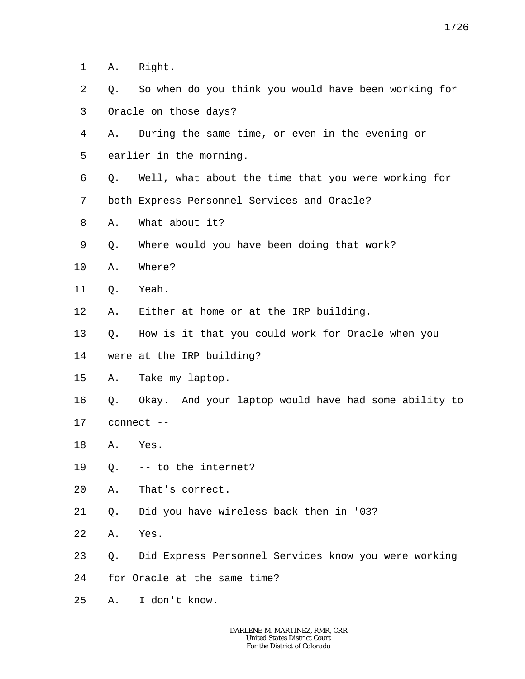1 A. Right.

- 2 3 Q. So when do you think you would have been working for Oracle on those days?
- 4 5 A. During the same time, or even in the evening or earlier in the morning.
- 6 7 Q. Well, what about the time that you were working for both Express Personnel Services and Oracle?
- 8 A. What about it?
- 9 Q. Where would you have been doing that work?
- 10 A. Where?
- 11 Q. Yeah.
- 12 A. Either at home or at the IRP building.
- 13 Q. How is it that you could work for Oracle when you
- 14 were at the IRP building?
- 15 A. Take my laptop.
- 16 17 Q. Okay. And your laptop would have had some ability to connect --
- 18 A. Yes.
- 19 Q. -- to the internet?
- 20 A. That's correct.
- 21 Q. Did you have wireless back then in '03?
- 22 A. Yes.
- 23 Q. Did Express Personnel Services know you were working
- 24 for Oracle at the same time?
- 25 A. I don't know.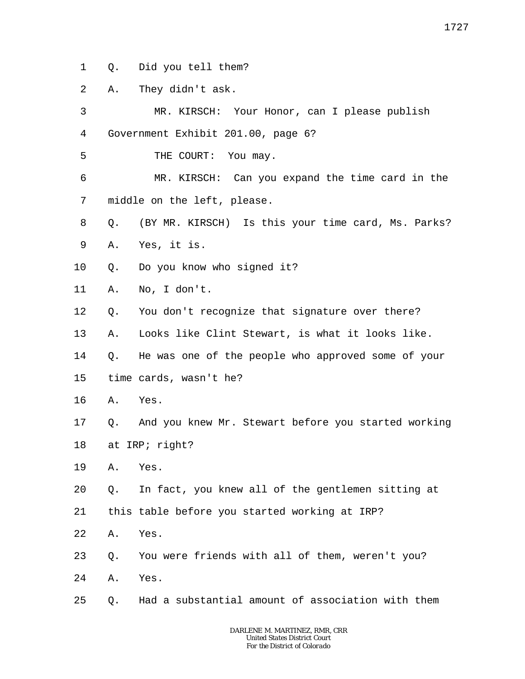- 1 Q. Did you tell them?
- 2 A. They didn't ask.

3 4 MR. KIRSCH: Your Honor, can I please publish Government Exhibit 201.00, page 6?

5 THE COURT: You may.

6 7 MR. KIRSCH: Can you expand the time card in the middle on the left, please.

- 8 Q. (BY MR. KIRSCH) Is this your time card, Ms. Parks?
- 9 A. Yes, it is.
- 10 Q. Do you know who signed it?
- 11 A. No, I don't.
- 12 Q. You don't recognize that signature over there?
- 13 A. Looks like Clint Stewart, is what it looks like.

14 15 Q. He was one of the people who approved some of your time cards, wasn't he?

- 16 A. Yes.
- 17 18 Q. And you knew Mr. Stewart before you started working at IRP; right?
- 19 A. Yes.
- 20 Q. In fact, you knew all of the gentlemen sitting at
- 21 this table before you started working at IRP?
- 22 A. Yes.
- 23 Q. You were friends with all of them, weren't you?
- 24 A. Yes.
- 25 Q. Had a substantial amount of association with them

1727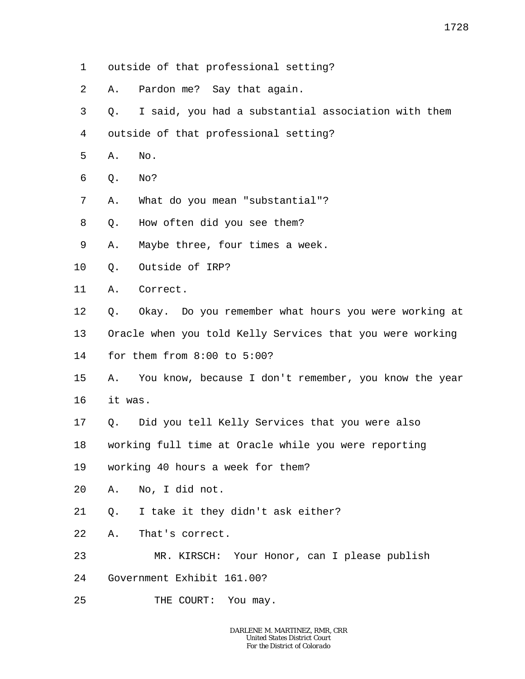- 1 outside of that professional setting?
- 2 A. Pardon me? Say that again.
- 3 Q. I said, you had a substantial association with them
- 4 outside of that professional setting?
- 5 A. No.
- 6 Q. No?
- 7 A. What do you mean "substantial"?
- 8 Q. How often did you see them?
- 9 A. Maybe three, four times a week.
- 10 Q. Outside of IRP?
- 11 A. Correct.
- 12 Q. Okay. Do you remember what hours you were working at
- 13 Oracle when you told Kelly Services that you were working
- 14 for them from 8:00 to 5:00?
- 15 16 A. You know, because I don't remember, you know the year it was.
- 17 Q. Did you tell Kelly Services that you were also
- 18 working full time at Oracle while you were reporting
- 19 working 40 hours a week for them?
- 20 A. No, I did not.
- 21 Q. I take it they didn't ask either?
- 22 A. That's correct.
- 23 MR. KIRSCH: Your Honor, can I please publish
- 24 Government Exhibit 161.00?
- 25 THE COURT: You may.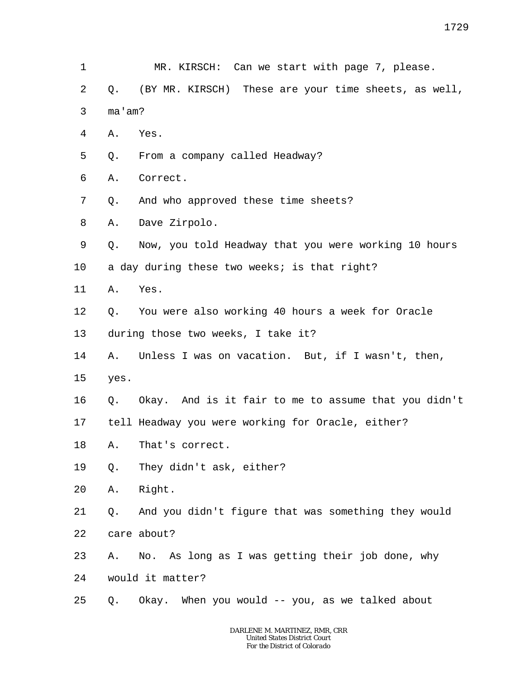1 2 3 4 5 6 7 8 9 10 11 12 13 14 15 16 17 18 19 20 21 22 23 24 25 MR. KIRSCH: Can we start with page 7, please. Q. (BY MR. KIRSCH) These are your time sheets, as well, ma'am? A. Yes. Q. From a company called Headway? A. Correct. Q. And who approved these time sheets? A. Dave Zirpolo. Q. Now, you told Headway that you were working 10 hours a day during these two weeks; is that right? A. Yes. Q. You were also working 40 hours a week for Oracle during those two weeks, I take it? A. Unless I was on vacation. But, if I wasn't, then, yes. Q. Okay. And is it fair to me to assume that you didn't tell Headway you were working for Oracle, either? A. That's correct. Q. They didn't ask, either? A. Right. Q. And you didn't figure that was something they would care about? A. No. As long as I was getting their job done, why would it matter? Q. Okay. When you would -- you, as we talked about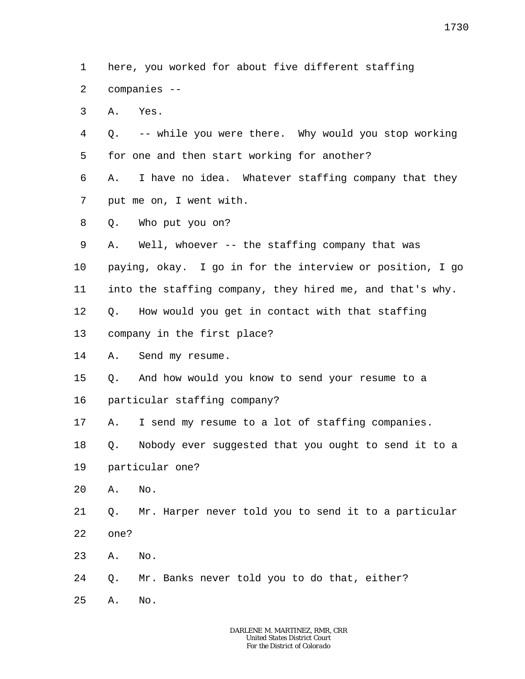1 2 here, you worked for about five different staffing companies --

3 A. Yes.

4 5 Q. -- while you were there. Why would you stop working for one and then start working for another?

6 7 A. I have no idea. Whatever staffing company that they put me on, I went with.

8 Q. Who put you on?

9 A. Well, whoever -- the staffing company that was

10 paying, okay. I go in for the interview or position, I go

11 into the staffing company, they hired me, and that's why.

12 Q. How would you get in contact with that staffing

13 company in the first place?

14 A. Send my resume.

15 Q. And how would you know to send your resume to a

16 particular staffing company?

17 A. I send my resume to a lot of staffing companies.

18 Q. Nobody ever suggested that you ought to send it to a

19 particular one?

20 A. No.

21 22 Q. Mr. Harper never told you to send it to a particular one?

23 A. No.

24 Q. Mr. Banks never told you to do that, either?

25 A. No.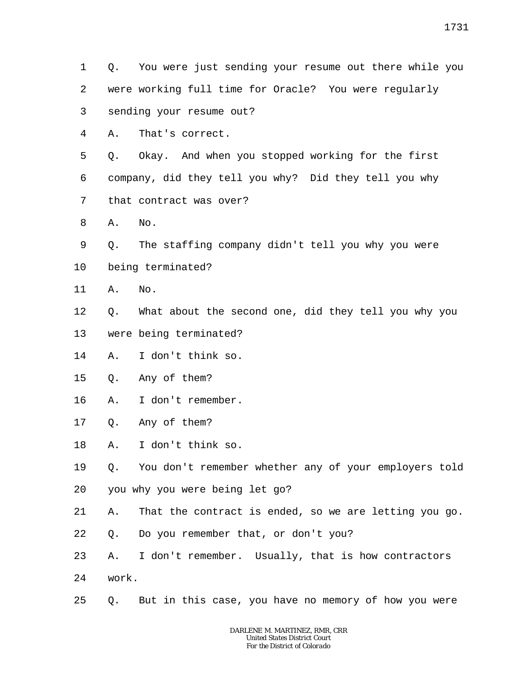- 1 2 Q. You were just sending your resume out there while you were working full time for Oracle? You were regularly
- 3 sending your resume out?
- 4 A. That's correct.

5 6 7 Q. Okay. And when you stopped working for the first company, did they tell you why? Did they tell you why that contract was over?

- 8 A. No.
- 9 Q. The staffing company didn't tell you why you were
- 10 being terminated?
- 11 A. No.
- 12 Q. What about the second one, did they tell you why you
- 13 were being terminated?
- 14 A. I don't think so.
- 15 Q. Any of them?
- 16 A. I don't remember.
- 17 Q. Any of them?
- 18 A. I don't think so.
- 19 20 Q. You don't remember whether any of your employers told you why you were being let go?
- 21 A. That the contract is ended, so we are letting you go.
- 22 Q. Do you remember that, or don't you?
- 23 24 A. I don't remember. Usually, that is how contractors work.
- 25 Q. But in this case, you have no memory of how you were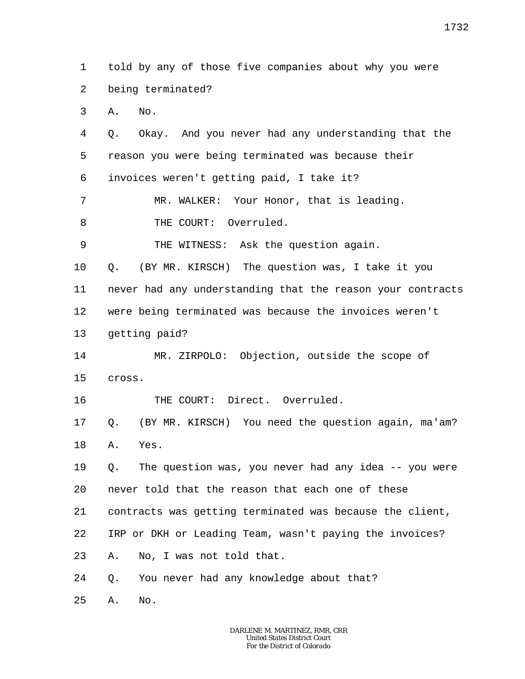1 2 3 4 5 6 7 8 9 10 11 12 13 14 15 16 17 18 19 20 21 22 23 24 25 told by any of those five companies about why you were being terminated? A. No. Q. Okay. And you never had any understanding that the reason you were being terminated was because their invoices weren't getting paid, I take it? MR. WALKER: Your Honor, that is leading. THE COURT: Overruled. THE WITNESS: Ask the question again. Q. (BY MR. KIRSCH) The question was, I take it you never had any understanding that the reason your contracts were being terminated was because the invoices weren't getting paid? MR. ZIRPOLO: Objection, outside the scope of cross. THE COURT: Direct. Overruled. Q. (BY MR. KIRSCH) You need the question again, ma'am? A. Yes. Q. The question was, you never had any idea -- you were never told that the reason that each one of these contracts was getting terminated was because the client, IRP or DKH or Leading Team, wasn't paying the invoices? A. No, I was not told that. Q. You never had any knowledge about that? A. No.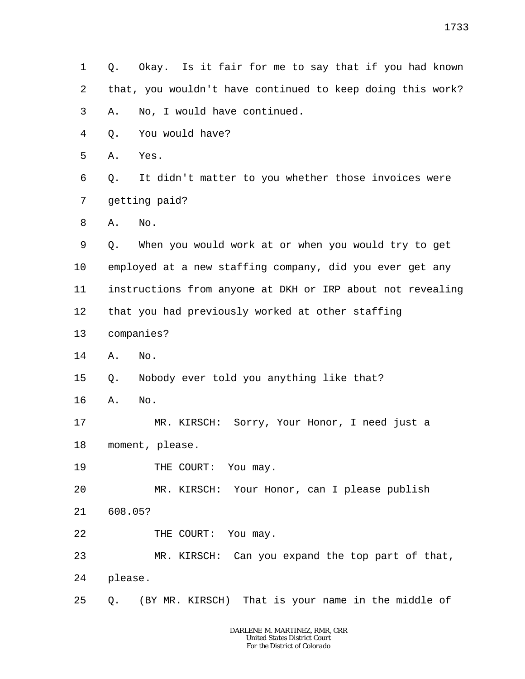1 2 3 4 5 6 7 8 9 10 11 12 13 14 15 16 17 18 19 20 21 22 23 24 25 Q. Okay. Is it fair for me to say that if you had known that, you wouldn't have continued to keep doing this work? A. No, I would have continued. Q. You would have? A. Yes. Q. It didn't matter to you whether those invoices were getting paid? A. No. Q. When you would work at or when you would try to get employed at a new staffing company, did you ever get any instructions from anyone at DKH or IRP about not revealing that you had previously worked at other staffing companies? A. No. Q. Nobody ever told you anything like that? A. No. MR. KIRSCH: Sorry, Your Honor, I need just a moment, please. THE COURT: You may. MR. KIRSCH: Your Honor, can I please publish 608.05? THE COURT: You may. MR. KIRSCH: Can you expand the top part of that, please. Q. (BY MR. KIRSCH) That is your name in the middle of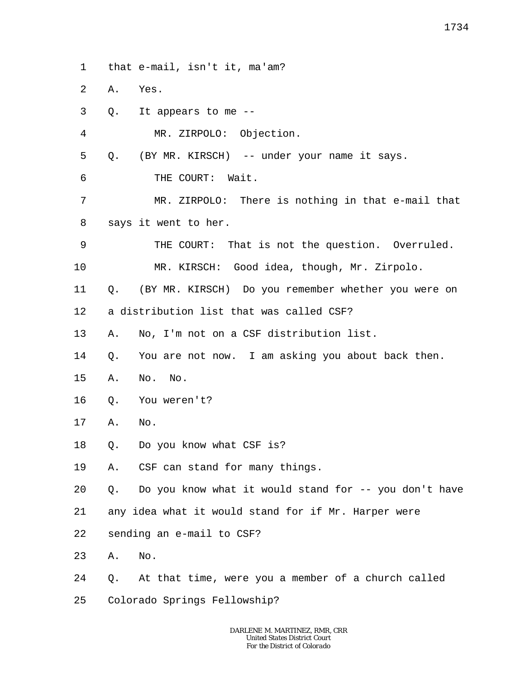1 that e-mail, isn't it, ma'am?

 $\overline{a}$ A. Yes.

4

- 3 Q. It appears to me --
	- MR. ZIRPOLO: Objection.

5 Q. (BY MR. KIRSCH) -- under your name it says.

6 THE COURT: Wait.

7 8 MR. ZIRPOLO: There is nothing in that e-mail that says it went to her.

9 THE COURT: That is not the question. Overruled.

10 MR. KIRSCH: Good idea, though, Mr. Zirpolo.

11 Q. (BY MR. KIRSCH) Do you remember whether you were on

12 a distribution list that was called CSF?

13 A. No, I'm not on a CSF distribution list.

14 Q. You are not now. I am asking you about back then.

- 15 A. No. No.
- 16 Q. You weren't?
- 17 A. No.
- 18 Q. Do you know what CSF is?

19 A. CSF can stand for many things.

20 Q. Do you know what it would stand for -- you don't have

21 any idea what it would stand for if Mr. Harper were

22 sending an e-mail to CSF?

23 A. No.

24 Q. At that time, were you a member of a church called

25 Colorado Springs Fellowship?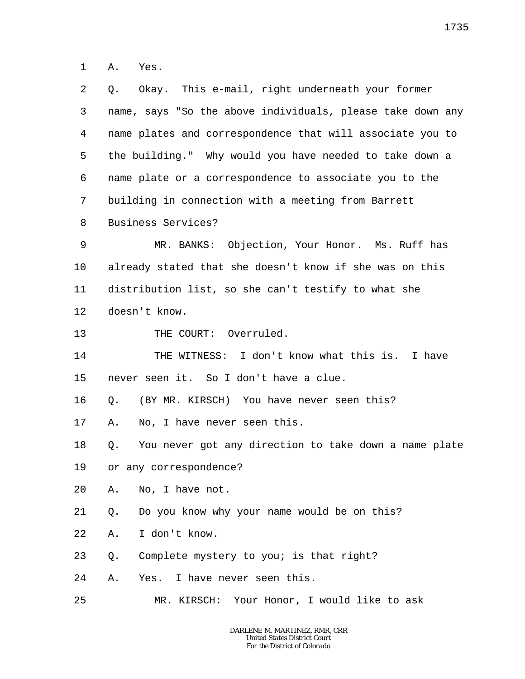1 A. Yes.

| 2       | Okay. This e-mail, right underneath your former<br>Q.       |  |  |
|---------|-------------------------------------------------------------|--|--|
| 3       | name, says "So the above individuals, please take down any  |  |  |
| 4       | name plates and correspondence that will associate you to   |  |  |
| 5       | the building." Why would you have needed to take down a     |  |  |
| 6       | name plate or a correspondence to associate you to the      |  |  |
| 7       | building in connection with a meeting from Barrett          |  |  |
| 8       | Business Services?                                          |  |  |
| 9       | MR. BANKS: Objection, Your Honor. Ms. Ruff has              |  |  |
| $10 \,$ | already stated that she doesn't know if she was on this     |  |  |
| 11      | distribution list, so she can't testify to what she         |  |  |
| 12      | doesn't know.                                               |  |  |
| 13      | THE COURT: Overruled.                                       |  |  |
| 14      | THE WITNESS: I don't know what this is. I have              |  |  |
| 15      | never seen it. So I don't have a clue.                      |  |  |
| 16      | (BY MR. KIRSCH) You have never seen this?<br>Q.             |  |  |
| 17      | No, I have never seen this.<br>Α.                           |  |  |
| 18      | You never got any direction to take down a name plate<br>Q. |  |  |
| 19      | or any correspondence?                                      |  |  |
| 20      | No, I have not.<br>Α.                                       |  |  |
| 21      | Do you know why your name would be on this?<br>Q.           |  |  |
| 22      | I don't know.<br>Α.                                         |  |  |
| 23      | Complete mystery to you; is that right?<br>Q.               |  |  |
| 24      | Yes. I have never seen this.<br>Α.                          |  |  |
| 25      | MR. KIRSCH: Your Honor, I would like to ask                 |  |  |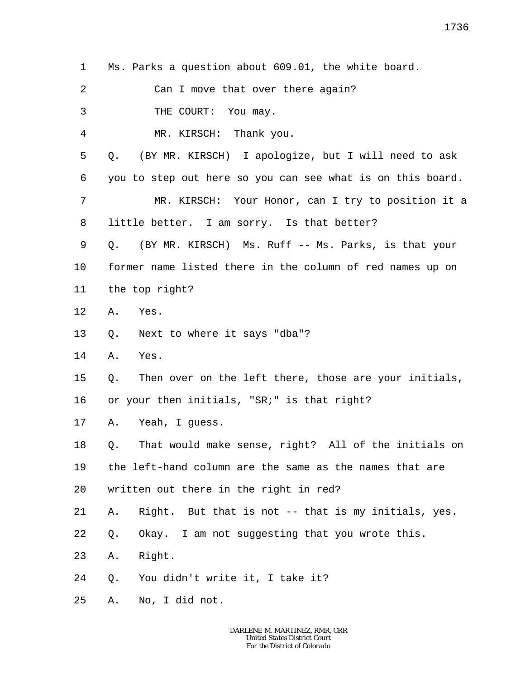1 Ms. Parks a question about 609.01, the white board.

2 Can I move that over there again?

3 THE COURT: You may.

4 MR. KIRSCH: Thank you.

5 Q. (BY MR. KIRSCH) I apologize, but I will need to ask

6 you to step out here so you can see what is on this board.

7 8 MR. KIRSCH: Your Honor, can I try to position it a little better. I am sorry. Is that better?

9 10 11 Q. (BY MR. KIRSCH) Ms. Ruff -- Ms. Parks, is that your former name listed there in the column of red names up on the top right?

12 A. Yes.

13 Q. Next to where it says "dba"?

14 A. Yes.

15 Q. Then over on the left there, those are your initials,

16 or your then initials, "SR;" is that right?

17 A. Yeah, I guess.

18 19 20 Q. That would make sense, right? All of the initials on the left-hand column are the same as the names that are written out there in the right in red?

21 A. Right. But that is not -- that is my initials, yes.

22 Q. Okay. I am not suggesting that you wrote this.

23 A. Right.

24 Q. You didn't write it, I take it?

25 A. No, I did not.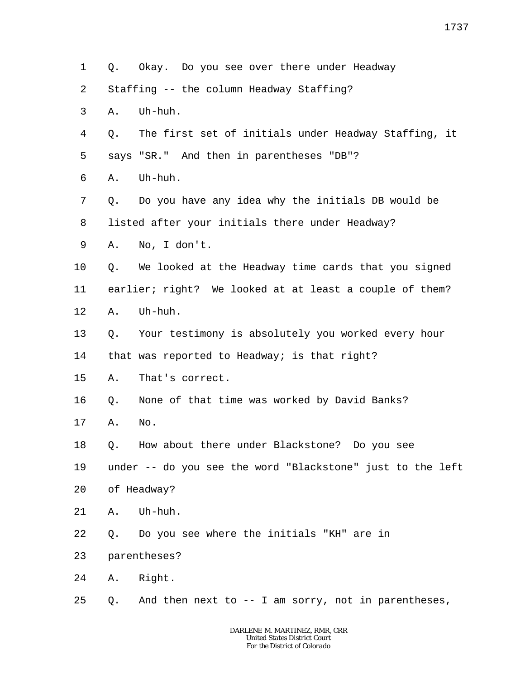| 1  | Q.           | Okay. Do you see over there under Headway                  |
|----|--------------|------------------------------------------------------------|
| 2  |              | Staffing -- the column Headway Staffing?                   |
| 3  | Α.           | Uh-huh.                                                    |
| 4  | Q.           | The first set of initials under Headway Staffing, it       |
| 5  |              | says "SR." And then in parentheses "DB"?                   |
| 6  | Α.           | Uh-huh.                                                    |
| 7  | Q.           | Do you have any idea why the initials DB would be          |
| 8  |              | listed after your initials there under Headway?            |
| 9  | Α.           | No, I don't.                                               |
| 10 | Q.           | We looked at the Headway time cards that you signed        |
| 11 |              | earlier; right? We looked at at least a couple of them?    |
| 12 | Α.           | Uh-huh.                                                    |
| 13 | Q.           | Your testimony is absolutely you worked every hour         |
| 14 |              | that was reported to Headway; is that right?               |
| 15 | Α.           | That's correct.                                            |
| 16 | Q.           | None of that time was worked by David Banks?               |
| 17 | Α.           | No.                                                        |
| 18 | Q.           | How about there under Blackstone? Do you see               |
| 19 |              | under -- do you see the word "Blackstone" just to the left |
| 20 |              | of Headway?                                                |
| 21 | Α.           | Uh-huh.                                                    |
| 22 | Q.           | Do you see where the initials "KH" are in                  |
| 23 | parentheses? |                                                            |
| 24 |              | A. Right.                                                  |
| 25 | Q.           | And then next to $-$ - I am sorry, not in parentheses,     |
|    |              |                                                            |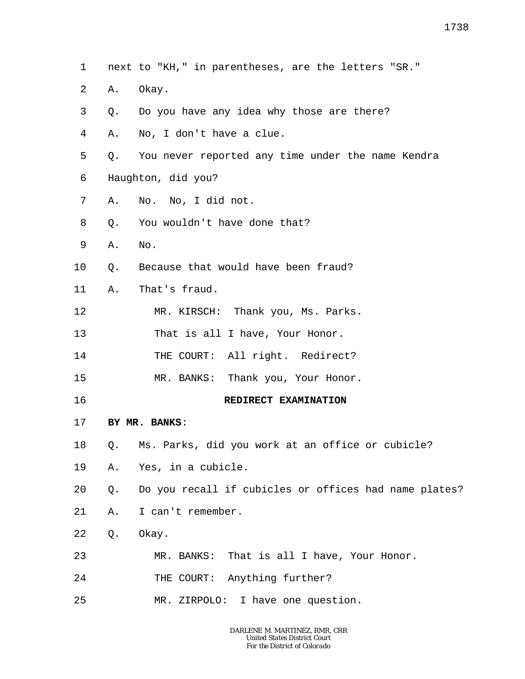- 1 next to "KH," in parentheses, are the letters "SR."
- 2 A. Okay.
- 3 Q. Do you have any idea why those are there?
- 4 A. No, I don't have a clue.
- 5 6 Q. You never reported any time under the name Kendra Haughton, did you?
- 
- 7 A. No. No, I did not.
- 8 Q. You wouldn't have done that?
- 9 A. No.
- 10 Q. Because that would have been fraud?
- 11 A. That's fraud.
- 12 MR. KIRSCH: Thank you, Ms. Parks.
- 13 That is all I have, Your Honor.
- 14 THE COURT: All right. Redirect?
- 15 MR. BANKS: Thank you, Your Honor.
- 16

## **REDIRECT EXAMINATION**

- 17 **BY MR. BANKS**:
- 18 Q. Ms. Parks, did you work at an office or cubicle?
- 19 A. Yes, in a cubicle.
- 20 Q. Do you recall if cubicles or offices had name plates?
- 21 A. I can't remember.
- 22 Q. Okay.
- 23 MR. BANKS: That is all I have, Your Honor.
- 24 THE COURT: Anything further?
- 25 MR. ZIRPOLO: I have one question.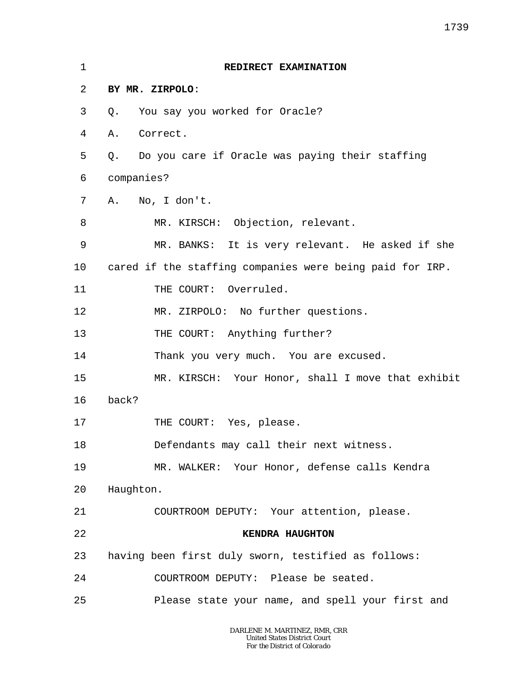| $\mathbf 1$ | REDIRECT EXAMINATION                                     |  |  |
|-------------|----------------------------------------------------------|--|--|
| 2           | BY MR. ZIRPOLO:                                          |  |  |
| 3           | You say you worked for Oracle?<br>Q.                     |  |  |
| 4           | Correct.<br>Α.                                           |  |  |
| 5           | Q. Do you care if Oracle was paying their staffing       |  |  |
| 6           | companies?                                               |  |  |
| 7           | A. No, I don't.                                          |  |  |
| 8           | MR. KIRSCH: Objection, relevant.                         |  |  |
| 9           | MR. BANKS: It is very relevant. He asked if she          |  |  |
| 10          | cared if the staffing companies were being paid for IRP. |  |  |
| 11          | THE COURT: Overruled.                                    |  |  |
| 12          | MR. ZIRPOLO: No further questions.                       |  |  |
| 13          | THE COURT: Anything further?                             |  |  |
| 14          | Thank you very much. You are excused.                    |  |  |
| 15          | MR. KIRSCH: Your Honor, shall I move that exhibit        |  |  |
| 16          | back?                                                    |  |  |
| 17          | THE COURT: Yes, please.                                  |  |  |
| 18          | Defendants may call their next witness.                  |  |  |
| 19          | MR. WALKER: Your Honor, defense calls Kendra             |  |  |
| 20          | Haughton.                                                |  |  |
| 21          | COURTROOM DEPUTY: Your attention, please.                |  |  |
| 22          | KENDRA HAUGHTON                                          |  |  |
| 23          | having been first duly sworn, testified as follows:      |  |  |
| 24          | COURTROOM DEPUTY: Please be seated.                      |  |  |
| 25          | Please state your name, and spell your first and         |  |  |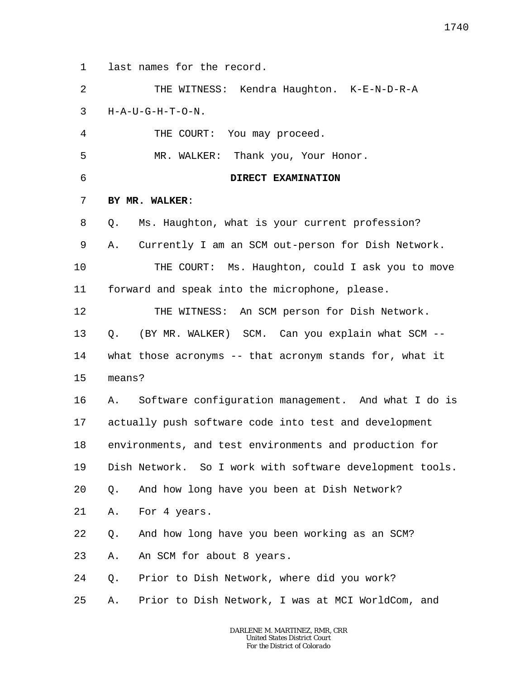1 last names for the record.

2 3 4 5 6 7 8 9 10 11 12 13 14 15 16 17 18 19 20 21 22 23 24 25 THE WITNESS: Kendra Haughton. K-E-N-D-R-A H-A-U-G-H-T-O-N. THE COURT: You may proceed. MR. WALKER: Thank you, Your Honor. **DIRECT EXAMINATION BY MR. WALKER**: Q. Ms. Haughton, what is your current profession? A. Currently I am an SCM out-person for Dish Network. THE COURT: Ms. Haughton, could I ask you to move forward and speak into the microphone, please. THE WITNESS: An SCM person for Dish Network. Q. (BY MR. WALKER) SCM. Can you explain what SCM - what those acronyms -- that acronym stands for, what it means? A. Software configuration management. And what I do is actually push software code into test and development environments, and test environments and production for Dish Network. So I work with software development tools. Q. And how long have you been at Dish Network? A. For 4 years. Q. And how long have you been working as an SCM? A. An SCM for about 8 years. Q. Prior to Dish Network, where did you work? A. Prior to Dish Network, I was at MCI WorldCom, and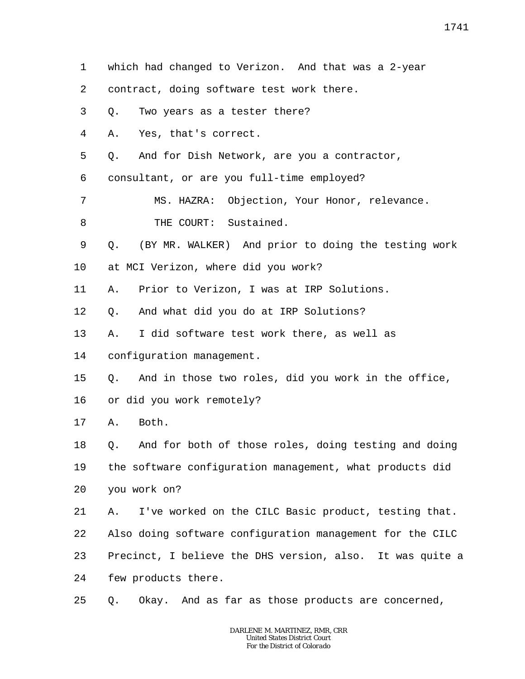- 1 which had changed to Verizon. And that was a 2-year
- 2 contract, doing software test work there.
- 3 Q. Two years as a tester there?
- 4 A. Yes, that's correct.
- 5 Q. And for Dish Network, are you a contractor,
- 6 consultant, or are you full-time employed?
- 7 8 MS. HAZRA: Objection, Your Honor, relevance. THE COURT: Sustained.
- 9 Q. (BY MR. WALKER) And prior to doing the testing work
- 10 at MCI Verizon, where did you work?
- 11 A. Prior to Verizon, I was at IRP Solutions.
- 12 Q. And what did you do at IRP Solutions?
- 13 A. I did software test work there, as well as
- 14 configuration management.
- 15 Q. And in those two roles, did you work in the office,
- 16 or did you work remotely?
- 17 A. Both.

18 19 20 Q. And for both of those roles, doing testing and doing the software configuration management, what products did you work on?

21 22 23 24 A. I've worked on the CILC Basic product, testing that. Also doing software configuration management for the CILC Precinct, I believe the DHS version, also. It was quite a few products there.

25 Q. Okay. And as far as those products are concerned,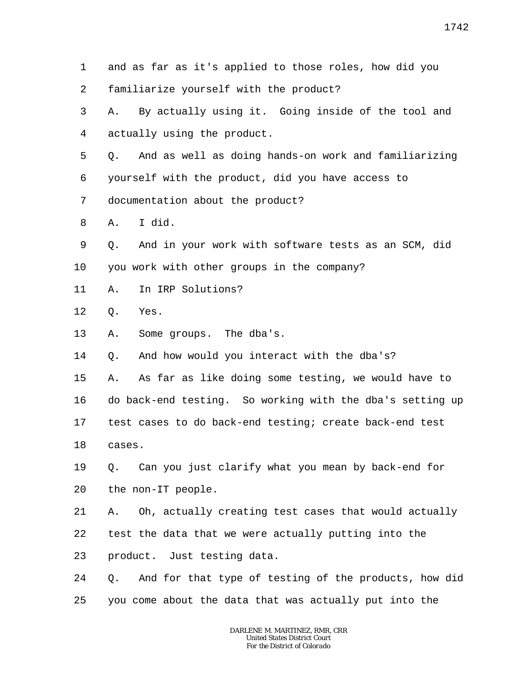1 2 3 4 5 6 7 8 9 10 11 12 13 14 15 16 17 18 19 20 21 22 23 24 25 and as far as it's applied to those roles, how did you familiarize yourself with the product? A. By actually using it. Going inside of the tool and actually using the product. Q. And as well as doing hands-on work and familiarizing yourself with the product, did you have access to documentation about the product? A. I did. Q. And in your work with software tests as an SCM, did you work with other groups in the company? A. In IRP Solutions? Q. Yes. A. Some groups. The dba's. Q. And how would you interact with the dba's? A. As far as like doing some testing, we would have to do back-end testing. So working with the dba's setting up test cases to do back-end testing; create back-end test cases. Q. Can you just clarify what you mean by back-end for the non-IT people. A. Oh, actually creating test cases that would actually test the data that we were actually putting into the product. Just testing data. Q. And for that type of testing of the products, how did you come about the data that was actually put into the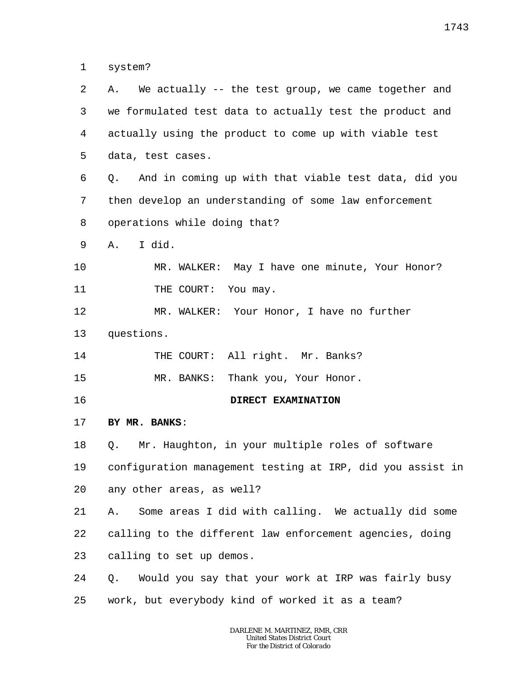1 system?

| 2  | We actually -- the test group, we came together and<br>Α.  |
|----|------------------------------------------------------------|
| 3  | we formulated test data to actually test the product and   |
| 4  | actually using the product to come up with viable test     |
| 5  | data, test cases.                                          |
| 6  | And in coming up with that viable test data, did you<br>Q. |
| 7  | then develop an understanding of some law enforcement      |
| 8  | operations while doing that?                               |
| 9  | I did.<br>Α.                                               |
| 10 | MR. WALKER: May I have one minute, Your Honor?             |
| 11 | THE COURT: You may.                                        |
| 12 | MR. WALKER: Your Honor, I have no further                  |
| 13 | questions.                                                 |
|    |                                                            |
| 14 | THE COURT: All right. Mr. Banks?                           |
| 15 | MR. BANKS: Thank you, Your Honor.                          |
| 16 | DIRECT EXAMINATION                                         |
| 17 | BY MR. BANKS:                                              |
| 18 | Mr. Haughton, in your multiple roles of software<br>Q.     |
| 19 | configuration management testing at IRP, did you assist in |
| 20 | any other areas, as well?                                  |
| 21 | Some areas I did with calling. We actually did some<br>Α.  |
| 22 | calling to the different law enforcement agencies, doing   |
| 23 | calling to set up demos.                                   |
| 24 | Would you say that your work at IRP was fairly busy<br>Q.  |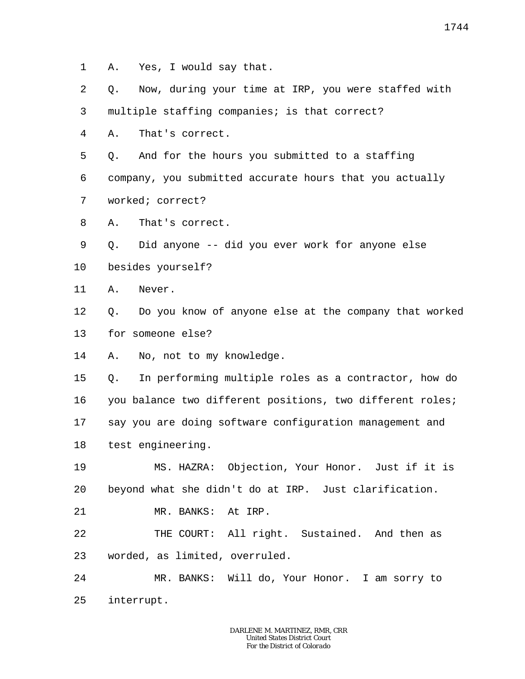- 1 A. Yes, I would say that.
- 2 Q. Now, during your time at IRP, you were staffed with

3 multiple staffing companies; is that correct?

4 A. That's correct.

5 Q. And for the hours you submitted to a staffing

6 company, you submitted accurate hours that you actually

- 7 worked; correct?
- 8 A. That's correct.
- 9 Q. Did anyone -- did you ever work for anyone else
- 10 besides yourself?
- 11 A. Never.
- 12 13 Q. Do you know of anyone else at the company that worked for someone else?
- 14 A. No, not to my knowledge.

15 16 17 18 Q. In performing multiple roles as a contractor, how do you balance two different positions, two different roles; say you are doing software configuration management and test engineering.

19 20 MS. HAZRA: Objection, Your Honor. Just if it is beyond what she didn't do at IRP. Just clarification.

21 MR. BANKS: At IRP.

22 23 THE COURT: All right. Sustained. And then as worded, as limited, overruled.

24 25 MR. BANKS: Will do, Your Honor. I am sorry to interrupt.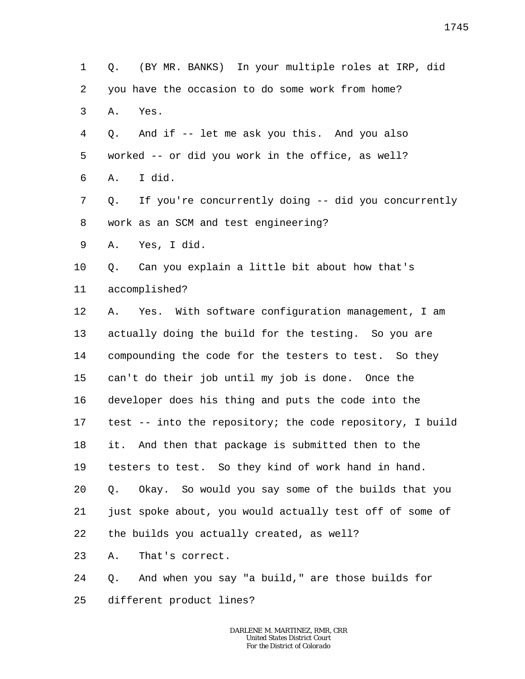1 2 3 4 5 6 7 8 9 10 11 12 13 14 15 16 17 18 19 20 21 22 23 24 25 Q. (BY MR. BANKS) In your multiple roles at IRP, did you have the occasion to do some work from home? A. Yes. Q. And if -- let me ask you this. And you also worked -- or did you work in the office, as well? A. I did. Q. If you're concurrently doing -- did you concurrently work as an SCM and test engineering? A. Yes, I did. Q. Can you explain a little bit about how that's accomplished? A. Yes. With software configuration management, I am actually doing the build for the testing. So you are compounding the code for the testers to test. So they can't do their job until my job is done. Once the developer does his thing and puts the code into the test -- into the repository; the code repository, I build it. And then that package is submitted then to the testers to test. So they kind of work hand in hand. Q. Okay. So would you say some of the builds that you just spoke about, you would actually test off of some of the builds you actually created, as well? A. That's correct. Q. And when you say "a build," are those builds for different product lines?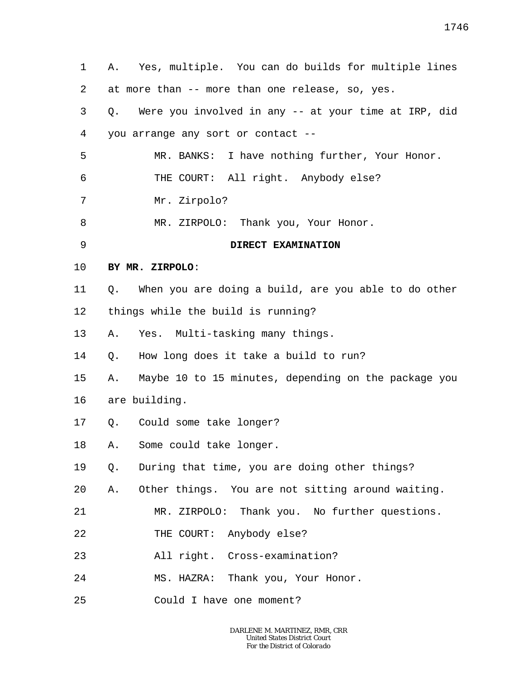| $\mathbf 1$ | Yes, multiple. You can do builds for multiple lines<br>Α.  |
|-------------|------------------------------------------------------------|
| 2           | at more than -- more than one release, so, yes.            |
| 3           | Were you involved in any -- at your time at IRP, did<br>Q. |
| 4           | you arrange any sort or contact --                         |
| 5           | MR. BANKS: I have nothing further, Your Honor.             |
| 6           | THE COURT: All right. Anybody else?                        |
| 7           | Mr. Zirpolo?                                               |
| 8           | MR. ZIRPOLO: Thank you, Your Honor.                        |
| 9           | DIRECT EXAMINATION                                         |
| 10          | BY MR. ZIRPOLO:                                            |
| 11          | When you are doing a build, are you able to do other<br>Q. |
| 12          | things while the build is running?                         |
| 13          | Yes. Multi-tasking many things.<br>Α.                      |
| 14          | How long does it take a build to run?<br>Q.                |
| 15          | Maybe 10 to 15 minutes, depending on the package you<br>Α. |
| 16          | are building.                                              |
| 17          | Q.<br>Could some take longer?                              |
| 18          | A. Some could take longer.                                 |
| 19          | During that time, you are doing other things?<br>$Q$ .     |
| 20          | Other things. You are not sitting around waiting.<br>Α.    |
| 21          | MR. ZIRPOLO: Thank you. No further questions.              |
| 22          | THE COURT: Anybody else?                                   |
| 23          | All right. Cross-examination?                              |
| 24          | MS. HAZRA: Thank you, Your Honor.                          |
| 25          | Could I have one moment?                                   |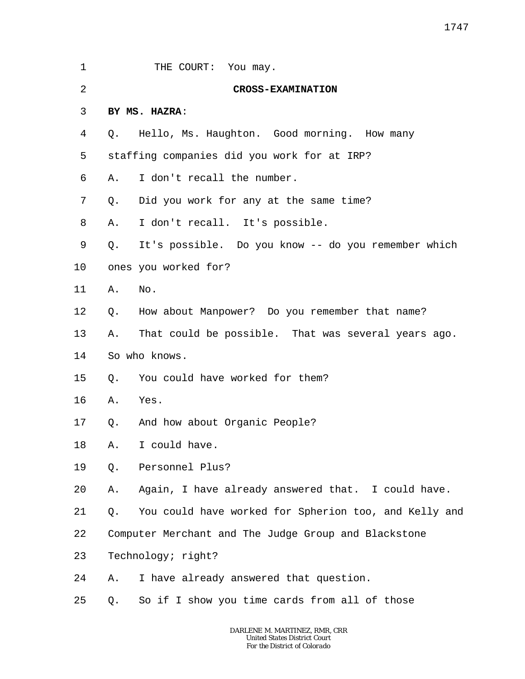| 1       |    | THE COURT: You may.                                   |
|---------|----|-------------------------------------------------------|
| 2       |    | <b>CROSS-EXAMINATION</b>                              |
| 3       |    | BY MS. HAZRA:                                         |
| 4       | Q. | Hello, Ms. Haughton. Good morning. How many           |
| 5       |    | staffing companies did you work for at IRP?           |
| 6       | Α. | I don't recall the number.                            |
| 7       | Q. | Did you work for any at the same time?                |
| 8       | Α. | I don't recall. It's possible.                        |
| 9       | Q. | It's possible. Do you know -- do you remember which   |
| $10 \,$ |    | ones you worked for?                                  |
| 11      | Α. | No.                                                   |
| 12      | Q. | How about Manpower? Do you remember that name?        |
| 13      | Α. | That could be possible. That was several years ago.   |
| 14      |    | So who knows.                                         |
| 15      | Q. | You could have worked for them?                       |
| 16      | Α. | Yes.                                                  |
| 17      | Q. | And how about Organic People?                         |
| 18      |    | A. I could have.                                      |
| 19      | Q. | Personnel Plus?                                       |
| 20      | Α. | Again, I have already answered that. I could have.    |
| 21      | Q. | You could have worked for Spherion too, and Kelly and |
| 22      |    | Computer Merchant and The Judge Group and Blackstone  |
| 23      |    | Technology; right?                                    |
| 24      | Α. | I have already answered that question.                |
| 25      | Q. | So if I show you time cards from all of those         |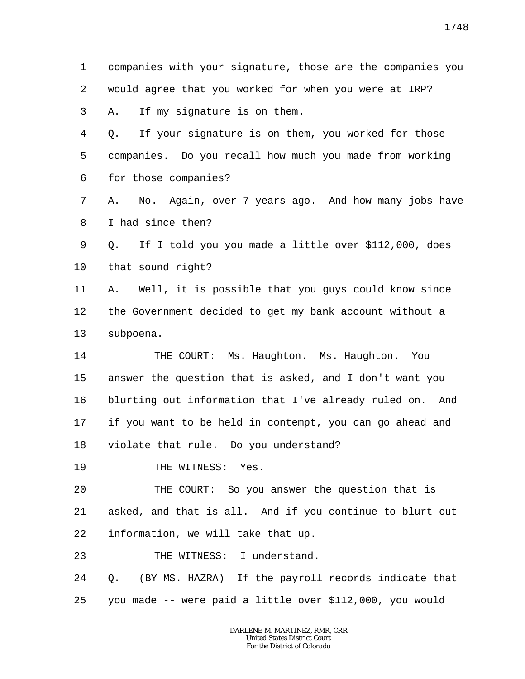1 2 3 companies with your signature, those are the companies you would agree that you worked for when you were at IRP? A. If my signature is on them.

4 5 6 Q. If your signature is on them, you worked for those companies. Do you recall how much you made from working for those companies?

7 8 A. No. Again, over 7 years ago. And how many jobs have I had since then?

9 10 Q. If I told you you made a little over \$112,000, does that sound right?

11 12 13 A. Well, it is possible that you guys could know since the Government decided to get my bank account without a subpoena.

14 15 16 17 18 THE COURT: Ms. Haughton. Ms. Haughton. You answer the question that is asked, and I don't want you blurting out information that I've already ruled on. And if you want to be held in contempt, you can go ahead and violate that rule. Do you understand?

19 THE WITNESS: Yes.

20 21 22 THE COURT: So you answer the question that is asked, and that is all. And if you continue to blurt out information, we will take that up.

23 THE WITNESS: I understand.

24 25 Q. (BY MS. HAZRA) If the payroll records indicate that you made -- were paid a little over \$112,000, you would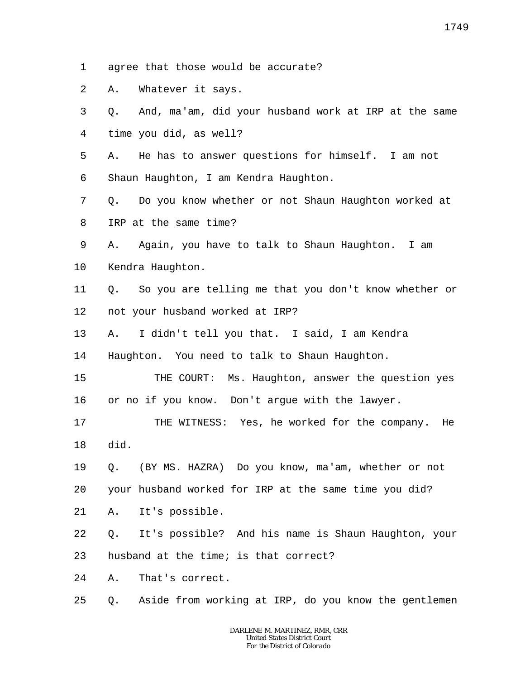- 1 agree that those would be accurate?
- 2 A. Whatever it says.
- 3 4 Q. And, ma'am, did your husband work at IRP at the same time you did, as well?
- 5 6 A. He has to answer questions for himself. I am not Shaun Haughton, I am Kendra Haughton.
- 7 8 Q. Do you know whether or not Shaun Haughton worked at IRP at the same time?
- 9 10 A. Again, you have to talk to Shaun Haughton. I am Kendra Haughton.
- 11 12 Q. So you are telling me that you don't know whether or not your husband worked at IRP?
- 13 A. I didn't tell you that. I said, I am Kendra

14 Haughton. You need to talk to Shaun Haughton.

- 15 16 THE COURT: Ms. Haughton, answer the question yes or no if you know. Don't argue with the lawyer.
- 17 18 THE WITNESS: Yes, he worked for the company. He did.
- 19 20 Q. (BY MS. HAZRA) Do you know, ma'am, whether or not your husband worked for IRP at the same time you did?
- 
- 21 A. It's possible.
- 22 Q. It's possible? And his name is Shaun Haughton, your

23 husband at the time; is that correct?

24 A. That's correct.

25 Q. Aside from working at IRP, do you know the gentlemen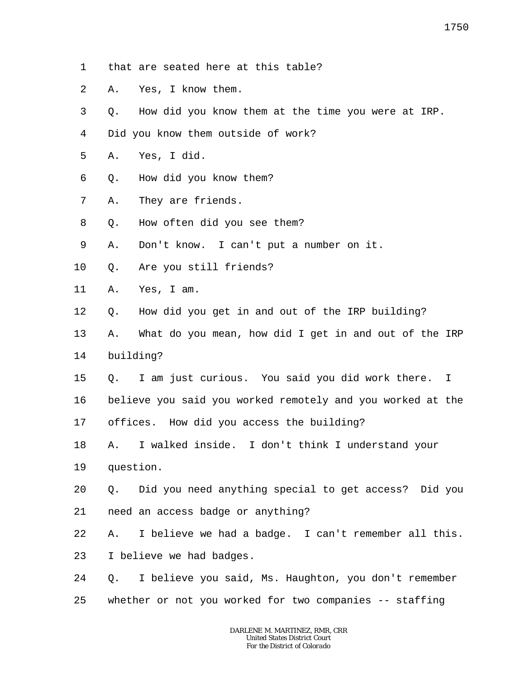- 1 that are seated here at this table?
- 2 A. Yes, I know them.
- 3 Q. How did you know them at the time you were at IRP.
- 4 Did you know them outside of work?
- 5 A. Yes, I did.
- 6 Q. How did you know them?
- 7 A. They are friends.
- 8 Q. How often did you see them?
- 9 A. Don't know. I can't put a number on it.
- 10 Q. Are you still friends?
- 11 A. Yes, I am.
- 12 Q. How did you get in and out of the IRP building?
- 13 A. What do you mean, how did I get in and out of the IRP
- 14 building?
- 15 Q. I am just curious. You said you did work there. I
- 16 believe you said you worked remotely and you worked at the
- 17 offices. How did you access the building?
- 18 A. I walked inside. I don't think I understand your
- 19 question.
- 20 21 Q. Did you need anything special to get access? Did you need an access badge or anything?

22 A. I believe we had a badge. I can't remember all this.

- 23 I believe we had badges.
- 24 25 Q. I believe you said, Ms. Haughton, you don't remember whether or not you worked for two companies -- staffing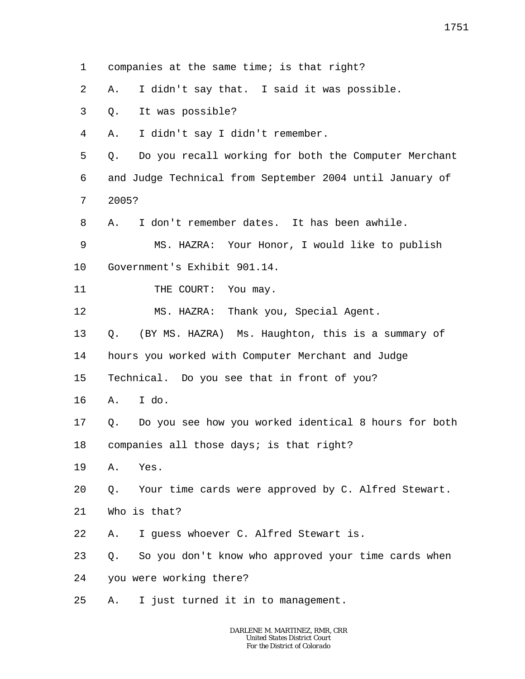1 2 3 4 5 6 7 8 9 10 11 12 13 14 15 16 17 18 19 20 21 22 23 24 25 companies at the same time; is that right? A. I didn't say that. I said it was possible. Q. It was possible? A. I didn't say I didn't remember. Q. Do you recall working for both the Computer Merchant and Judge Technical from September 2004 until January of 2005? A. I don't remember dates. It has been awhile. MS. HAZRA: Your Honor, I would like to publish Government's Exhibit 901.14. THE COURT: You may. MS. HAZRA: Thank you, Special Agent. Q. (BY MS. HAZRA) Ms. Haughton, this is a summary of hours you worked with Computer Merchant and Judge Technical. Do you see that in front of you? A. I do. Q. Do you see how you worked identical 8 hours for both companies all those days; is that right? A. Yes. Q. Your time cards were approved by C. Alfred Stewart. Who is that? A. I guess whoever C. Alfred Stewart is. Q. So you don't know who approved your time cards when you were working there? A. I just turned it in to management.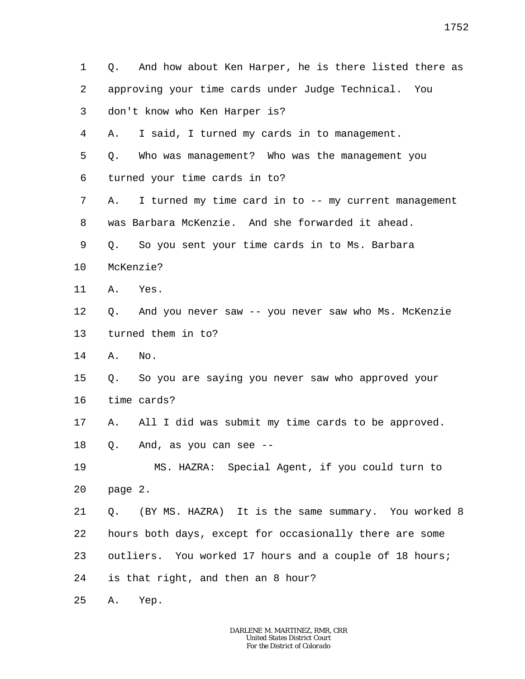1 2 3 4 5 6 7 8 9 10 11 12 13 14 15 16 17 18 19 20 21 22 23 24 25 Q. And how about Ken Harper, he is there listed there as approving your time cards under Judge Technical. You don't know who Ken Harper is? A. I said, I turned my cards in to management. Q. Who was management? Who was the management you turned your time cards in to? A. I turned my time card in to -- my current management was Barbara McKenzie. And she forwarded it ahead. Q. So you sent your time cards in to Ms. Barbara McKenzie? A. Yes. Q. And you never saw -- you never saw who Ms. McKenzie turned them in to? A. No. Q. So you are saying you never saw who approved your time cards? A. All I did was submit my time cards to be approved. Q. And, as you can see -- MS. HAZRA: Special Agent, if you could turn to page 2. Q. (BY MS. HAZRA) It is the same summary. You worked 8 hours both days, except for occasionally there are some outliers. You worked 17 hours and a couple of 18 hours; is that right, and then an 8 hour? A. Yep.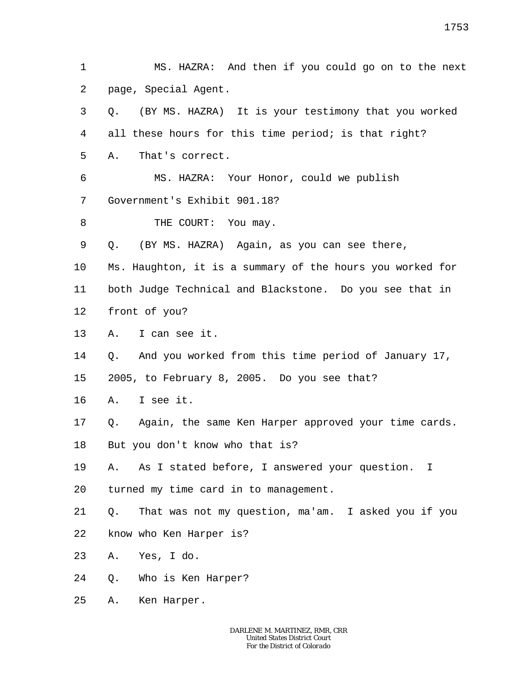1 2 MS. HAZRA: And then if you could go on to the next page, Special Agent.

3 4 Q. (BY MS. HAZRA) It is your testimony that you worked all these hours for this time period; is that right?

5 A. That's correct.

6 7 MS. HAZRA: Your Honor, could we publish Government's Exhibit 901.18?

8 THE COURT: You may.

9 Q. (BY MS. HAZRA) Again, as you can see there,

10 Ms. Haughton, it is a summary of the hours you worked for

11 both Judge Technical and Blackstone. Do you see that in

12 front of you?

13 A. I can see it.

14 Q. And you worked from this time period of January 17,

15 2005, to February 8, 2005. Do you see that?

16 A. I see it.

17 Q. Again, the same Ken Harper approved your time cards.

18 But you don't know who that is?

19 A. As I stated before, I answered your question. I

20 turned my time card in to management.

21 22 Q. That was not my question, ma'am. I asked you if you know who Ken Harper is?

23 A. Yes, I do.

- 24 Q. Who is Ken Harper?
- 25 A. Ken Harper.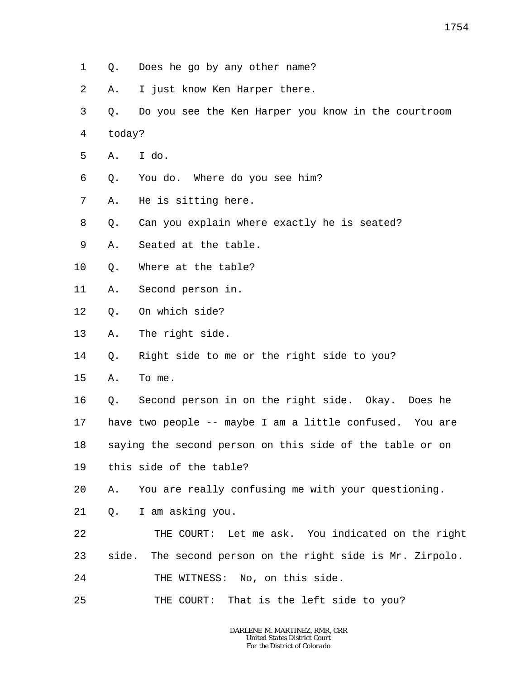- 1 Q. Does he go by any other name?
- 2 A. I just know Ken Harper there.
- 3 4 Q. Do you see the Ken Harper you know in the courtroom today?
- 5 A. I do.
- 6 Q. You do. Where do you see him?
- 7 A. He is sitting here.
- 8 Q. Can you explain where exactly he is seated?
- 9 A. Seated at the table.
- 10 Q. Where at the table?
- 11 A. Second person in.
- 12 Q. On which side?
- 13 A. The right side.
- 14 Q. Right side to me or the right side to you?
- 15 A. To me.

16 17 18 19 Q. Second person in on the right side. Okay. Does he have two people -- maybe I am a little confused. You are saying the second person on this side of the table or on this side of the table?

- 20 A. You are really confusing me with your questioning.
- 21 Q. I am asking you.
- 22 23 24 THE COURT: Let me ask. You indicated on the right side. The second person on the right side is Mr. Zirpolo. THE WITNESS: No, on this side.
- 25 THE COURT: That is the left side to you?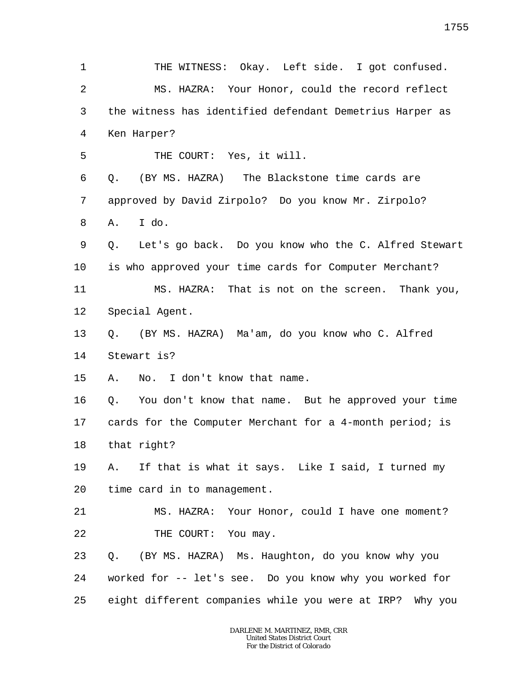1 2 3 4 5 6 7 8 9 10 11 12 13 14 15 16 17 18 19 20 21 22 23 24 25 THE WITNESS: Okay. Left side. I got confused. MS. HAZRA: Your Honor, could the record reflect the witness has identified defendant Demetrius Harper as Ken Harper? THE COURT: Yes, it will. Q. (BY MS. HAZRA) The Blackstone time cards are approved by David Zirpolo? Do you know Mr. Zirpolo? A. I do. Q. Let's go back. Do you know who the C. Alfred Stewart is who approved your time cards for Computer Merchant? MS. HAZRA: That is not on the screen. Thank you, Special Agent. Q. (BY MS. HAZRA) Ma'am, do you know who C. Alfred Stewart is? A. No. I don't know that name. Q. You don't know that name. But he approved your time cards for the Computer Merchant for a 4-month period; is that right? A. If that is what it says. Like I said, I turned my time card in to management. MS. HAZRA: Your Honor, could I have one moment? THE COURT: You may. Q. (BY MS. HAZRA) Ms. Haughton, do you know why you worked for -- let's see. Do you know why you worked for eight different companies while you were at IRP? Why you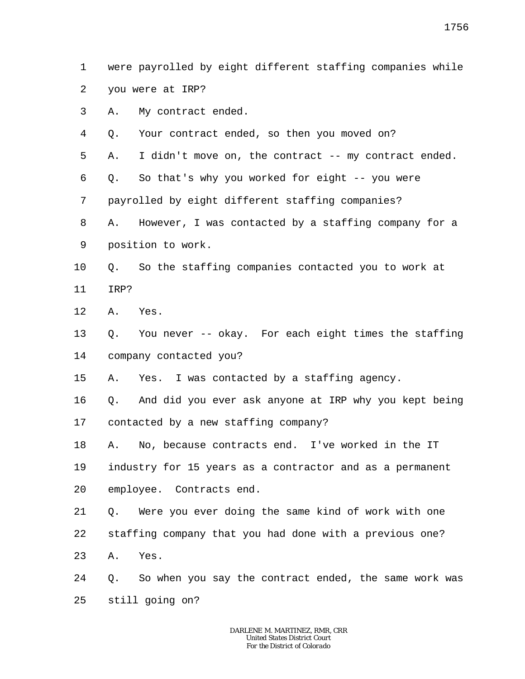1 2 were payrolled by eight different staffing companies while you were at IRP?

- 3 A. My contract ended.
- 4 Q. Your contract ended, so then you moved on?

5 A. I didn't move on, the contract -- my contract ended.

6 Q. So that's why you worked for eight -- you were

7 payrolled by eight different staffing companies?

8 9 A. However, I was contacted by a staffing company for a position to work.

- 10 11 Q. So the staffing companies contacted you to work at IRP?
- 
- 12 A. Yes.
- 13 14 Q. You never -- okay. For each eight times the staffing company contacted you?
- 15 A. Yes. I was contacted by a staffing agency.
- 16 17 Q. And did you ever ask anyone at IRP why you kept being contacted by a new staffing company?

18 A. No, because contracts end. I've worked in the IT

19 industry for 15 years as a contractor and as a permanent

- 20 employee. Contracts end.
- 21 Q. Were you ever doing the same kind of work with one
- 22 staffing company that you had done with a previous one?
- 23 A. Yes.
- 24 25 Q. So when you say the contract ended, the same work was still going on?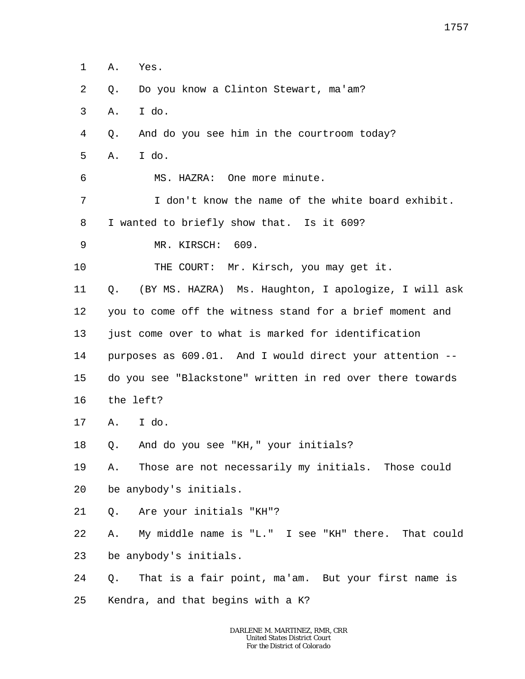1 A. Yes.

- $\overline{a}$ Q. Do you know a Clinton Stewart, ma'am?
- 3 A. I do.
- 4 Q. And do you see him in the courtroom today?
- 5 A. I do.

6

MS. HAZRA: One more minute.

7 8 I don't know the name of the white board exhibit. I wanted to briefly show that. Is it 609?

9 MR. KIRSCH: 609.

10 THE COURT: Mr. Kirsch, you may get it.

11 12 13 14 15 Q. (BY MS. HAZRA) Ms. Haughton, I apologize, I will ask you to come off the witness stand for a brief moment and just come over to what is marked for identification purposes as 609.01. And I would direct your attention - do you see "Blackstone" written in red over there towards

- 16 the left?
- 17 A. I do.
- 18 Q. And do you see "KH," your initials?

19 20 A. Those are not necessarily my initials. Those could be anybody's initials.

21 Q. Are your initials "KH"?

22 23 A. My middle name is "L." I see "KH" there. That could be anybody's initials.

24 25 Q. That is a fair point, ma'am. But your first name is Kendra, and that begins with a K?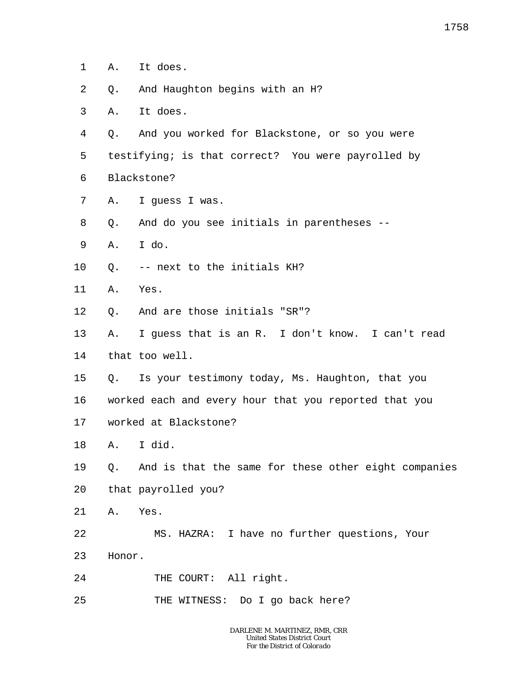- 1 A. It does.
- 2 Q. And Haughton begins with an H?
- 3 A. It does.
- 4 Q. And you worked for Blackstone, or so you were
- 5 testifying; is that correct? You were payrolled by
- 6 Blackstone?
- 7 A. I guess I was.
- 8 Q. And do you see initials in parentheses --
- 9 A. I do.
- 10 Q. -- next to the initials KH?
- 11 A. Yes.
- 12 Q. And are those initials "SR"?
- 13 A. I guess that is an R. I don't know. I can't read
- 14 that too well.
- 15 Q. Is your testimony today, Ms. Haughton, that you
- 16 worked each and every hour that you reported that you
- 17 worked at Blackstone?
- 18 A. I did.
- 19 20 Q. And is that the same for these other eight companies that payrolled you?
- 21 A. Yes.
- 22 MS. HAZRA: I have no further questions, Your
- 23 Honor.
- 24 THE COURT: All right.
- 25 THE WITNESS: Do I go back here?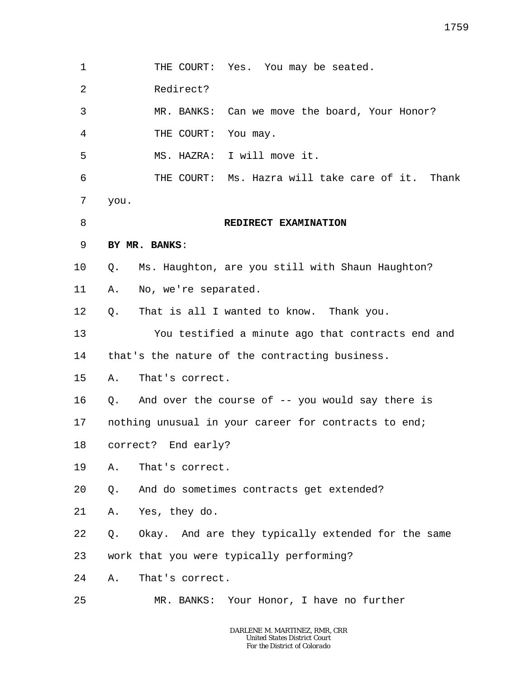1 2 3 4 5 6 7 8 9 10 11 12 13 14 15 16 17 18 19 20 21 22 23 24 25 THE COURT: Yes. You may be seated. Redirect? MR. BANKS: Can we move the board, Your Honor? THE COURT: You may. MS. HAZRA: I will move it. THE COURT: Ms. Hazra will take care of it. Thank you. **REDIRECT EXAMINATION BY MR. BANKS**: Q. Ms. Haughton, are you still with Shaun Haughton? A. No, we're separated. Q. That is all I wanted to know. Thank you. You testified a minute ago that contracts end and that's the nature of the contracting business. A. That's correct. Q. And over the course of -- you would say there is nothing unusual in your career for contracts to end; correct? End early? A. That's correct. Q. And do sometimes contracts get extended? A. Yes, they do. Q. Okay. And are they typically extended for the same work that you were typically performing? A. That's correct. MR. BANKS: Your Honor, I have no further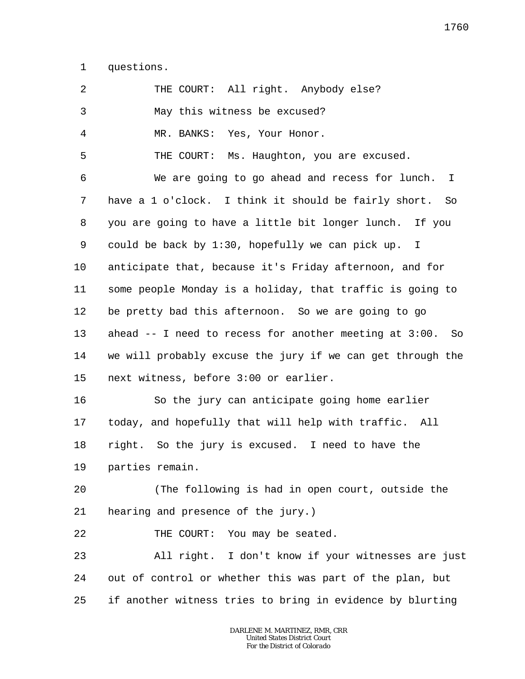1 questions.

| 2              | THE COURT: All right. Anybody else?                            |
|----------------|----------------------------------------------------------------|
| 3              | May this witness be excused?                                   |
| $\overline{4}$ | MR. BANKS: Yes, Your Honor.                                    |
| 5              | THE COURT: Ms. Haughton, you are excused.                      |
| 6              | We are going to go ahead and recess for lunch.<br>$\mathbb{I}$ |
| 7              | have a 1 o'clock. I think it should be fairly short. So        |
| 8              | you are going to have a little bit longer lunch. If you        |
| 9              | could be back by 1:30, hopefully we can pick up. I             |
| $10 \,$        | anticipate that, because it's Friday afternoon, and for        |
| 11             | some people Monday is a holiday, that traffic is going to      |
| 12             | be pretty bad this afternoon. So we are going to go            |
| 13             | ahead $-$ I need to recess for another meeting at $3:00$ . So  |
| 14             | we will probably excuse the jury if we can get through the     |
| 15             | next witness, before 3:00 or earlier.                          |
| 16             | So the jury can anticipate going home earlier                  |
| 17             | today, and hopefully that will help with traffic. All          |
| 18             | right. So the jury is excused. I need to have the              |
| 19             | parties remain.                                                |
| 20             | (The following is had in open court, outside the               |
| 21             | hearing and presence of the jury.)                             |
| 22             | THE COURT: You may be seated.                                  |
| 23             | All right. I don't know if your witnesses are just             |
| 24             | out of control or whether this was part of the plan, but       |
| 25             | if another witness tries to bring in evidence by blurting      |
|                |                                                                |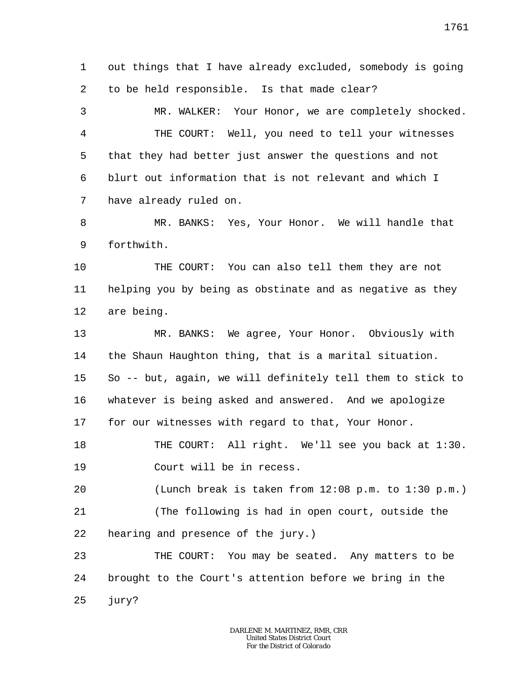1 2 out things that I have already excluded, somebody is going to be held responsible. Is that made clear?

3 4 5 6 7 MR. WALKER: Your Honor, we are completely shocked. THE COURT: Well, you need to tell your witnesses that they had better just answer the questions and not blurt out information that is not relevant and which I have already ruled on.

8 9 MR. BANKS: Yes, Your Honor. We will handle that forthwith.

10 11 12 THE COURT: You can also tell them they are not helping you by being as obstinate and as negative as they are being.

13 14 15 16 17 MR. BANKS: We agree, Your Honor. Obviously with the Shaun Haughton thing, that is a marital situation. So -- but, again, we will definitely tell them to stick to whatever is being asked and answered. And we apologize for our witnesses with regard to that, Your Honor.

18 19 THE COURT: All right. We'll see you back at 1:30. Court will be in recess.

20 (Lunch break is taken from 12:08 p.m. to 1:30 p.m.)

21 22 (The following is had in open court, outside the hearing and presence of the jury.)

23 24 25 THE COURT: You may be seated. Any matters to be brought to the Court's attention before we bring in the jury?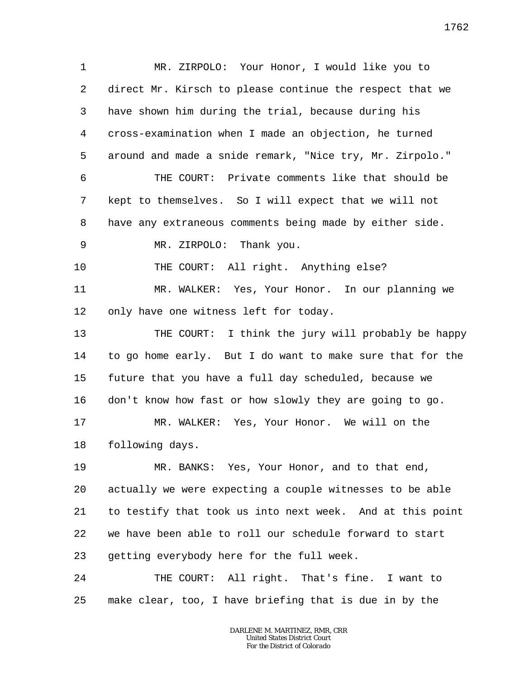1 2 3 4 5 6 7 8 9 10 11 12 13 14 15 16 17 18 19 20 21 22 23 24 25 MR. ZIRPOLO: Your Honor, I would like you to direct Mr. Kirsch to please continue the respect that we have shown him during the trial, because during his cross-examination when I made an objection, he turned around and made a snide remark, "Nice try, Mr. Zirpolo." THE COURT: Private comments like that should be kept to themselves. So I will expect that we will not have any extraneous comments being made by either side. MR. ZIRPOLO: Thank you. THE COURT: All right. Anything else? MR. WALKER: Yes, Your Honor. In our planning we only have one witness left for today. THE COURT: I think the jury will probably be happy to go home early. But I do want to make sure that for the future that you have a full day scheduled, because we don't know how fast or how slowly they are going to go. MR. WALKER: Yes, Your Honor. We will on the following days. MR. BANKS: Yes, Your Honor, and to that end, actually we were expecting a couple witnesses to be able to testify that took us into next week. And at this point we have been able to roll our schedule forward to start getting everybody here for the full week. THE COURT: All right. That's fine. I want to make clear, too, I have briefing that is due in by the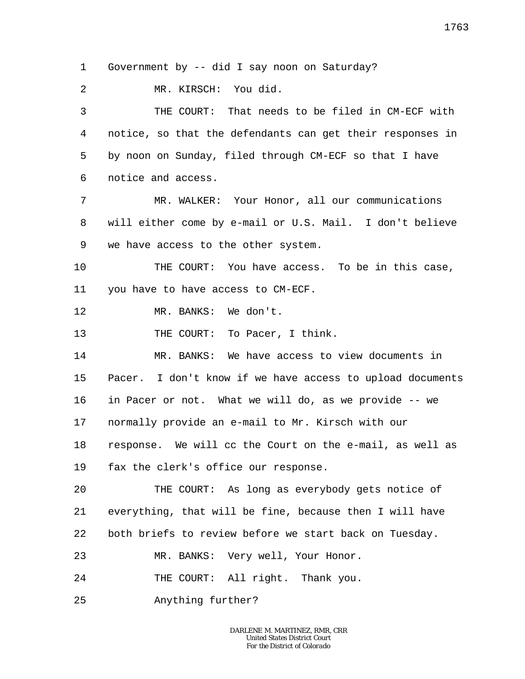1 Government by -- did I say noon on Saturday?

 $\overline{a}$ MR. KIRSCH: You did.

3 4 5 6 THE COURT: That needs to be filed in CM-ECF with notice, so that the defendants can get their responses in by noon on Sunday, filed through CM-ECF so that I have notice and access.

7 8 9 MR. WALKER: Your Honor, all our communications will either come by e-mail or U.S. Mail. I don't believe we have access to the other system.

10 11 THE COURT: You have access. To be in this case, you have to have access to CM-ECF.

12 MR. BANKS: We don't.

13 THE COURT: To Pacer, I think.

14 15 16 17 18 19 MR. BANKS: We have access to view documents in Pacer. I don't know if we have access to upload documents in Pacer or not. What we will do, as we provide -- we normally provide an e-mail to Mr. Kirsch with our response. We will cc the Court on the e-mail, as well as fax the clerk's office our response.

 $2.0$ 21 22 THE COURT: As long as everybody gets notice of everything, that will be fine, because then I will have both briefs to review before we start back on Tuesday.

23 MR. BANKS: Very well, Your Honor.

24 THE COURT: All right. Thank you.

25 Anything further?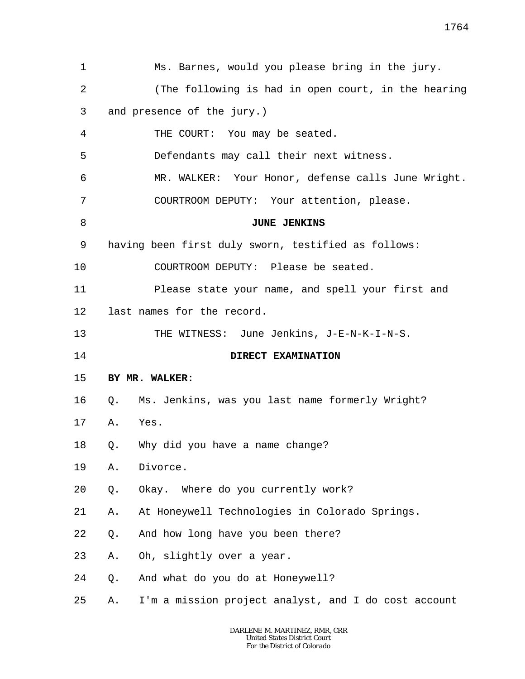| 1  | Ms. Barnes, would you please bring in the jury.            |  |
|----|------------------------------------------------------------|--|
| 2  | (The following is had in open court, in the hearing        |  |
| 3  | and presence of the jury.)                                 |  |
| 4  | THE COURT: You may be seated.                              |  |
| 5  | Defendants may call their next witness.                    |  |
| 6  | MR. WALKER: Your Honor, defense calls June Wright.         |  |
| 7  | COURTROOM DEPUTY: Your attention, please.                  |  |
| 8  | <b>JUNE JENKINS</b>                                        |  |
| 9  | having been first duly sworn, testified as follows:        |  |
| 10 | COURTROOM DEPUTY: Please be seated.                        |  |
| 11 | Please state your name, and spell your first and           |  |
| 12 | last names for the record.                                 |  |
| 13 | THE WITNESS: June Jenkins, J-E-N-K-I-N-S.                  |  |
| 14 | DIRECT EXAMINATION                                         |  |
| 15 | BY MR. WALKER:                                             |  |
| 16 | Ms. Jenkins, was you last name formerly Wright?<br>Q.      |  |
| 17 | Yes.<br>Α.                                                 |  |
| 18 | Why did you have a name change?<br>Q.                      |  |
| 19 | Divorce.<br>Α.                                             |  |
| 20 | Okay. Where do you currently work?<br>Q.                   |  |
| 21 | At Honeywell Technologies in Colorado Springs.<br>Α.       |  |
| 22 | And how long have you been there?<br>Q.                    |  |
| 23 | Oh, slightly over a year.<br>Α.                            |  |
| 24 | And what do you do at Honeywell?<br>Q.                     |  |
| 25 | I'm a mission project analyst, and I do cost account<br>Α. |  |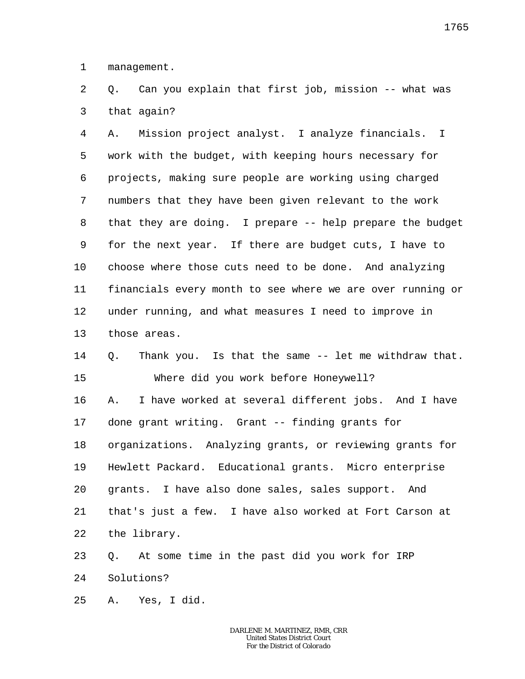1 management.

2 3 Q. Can you explain that first job, mission -- what was that again?

4 5 6 7 8 9 10 11 12 13 A. Mission project analyst. I analyze financials. I work with the budget, with keeping hours necessary for projects, making sure people are working using charged numbers that they have been given relevant to the work that they are doing. I prepare -- help prepare the budget for the next year. If there are budget cuts, I have to choose where those cuts need to be done. And analyzing financials every month to see where we are over running or under running, and what measures I need to improve in those areas.

14 15 Q. Thank you. Is that the same -- let me withdraw that. Where did you work before Honeywell?

16 17 18 19 20 21 22 A. I have worked at several different jobs. And I have done grant writing. Grant -- finding grants for organizations. Analyzing grants, or reviewing grants for Hewlett Packard. Educational grants. Micro enterprise grants. I have also done sales, sales support. And that's just a few. I have also worked at Fort Carson at the library.

23 24 Q. At some time in the past did you work for IRP Solutions?

25 A. Yes, I did.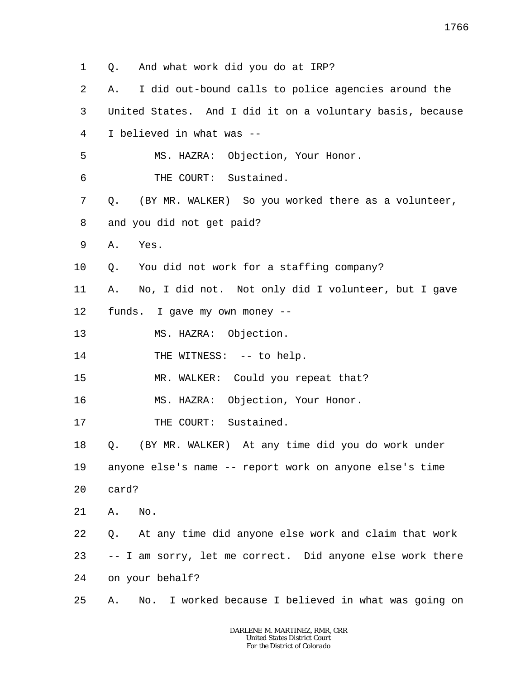- 1 2 3 4 5 6 7 8 9 10 11 12 13 14 15 16 17 18 19 20 21 22 23 24 Q. And what work did you do at IRP? A. I did out-bound calls to police agencies around the United States. And I did it on a voluntary basis, because I believed in what was -- MS. HAZRA: Objection, Your Honor. THE COURT: Sustained. Q. (BY MR. WALKER) So you worked there as a volunteer, and you did not get paid? A. Yes. Q. You did not work for a staffing company? A. No, I did not. Not only did I volunteer, but I gave funds. I gave my own money -- MS. HAZRA: Objection. THE WITNESS: -- to help. MR. WALKER: Could you repeat that? MS. HAZRA: Objection, Your Honor. THE COURT: Sustained. Q. (BY MR. WALKER) At any time did you do work under anyone else's name -- report work on anyone else's time card? A. No. Q. At any time did anyone else work and claim that work -- I am sorry, let me correct. Did anyone else work there on your behalf?
- 25 A. No. I worked because I believed in what was going on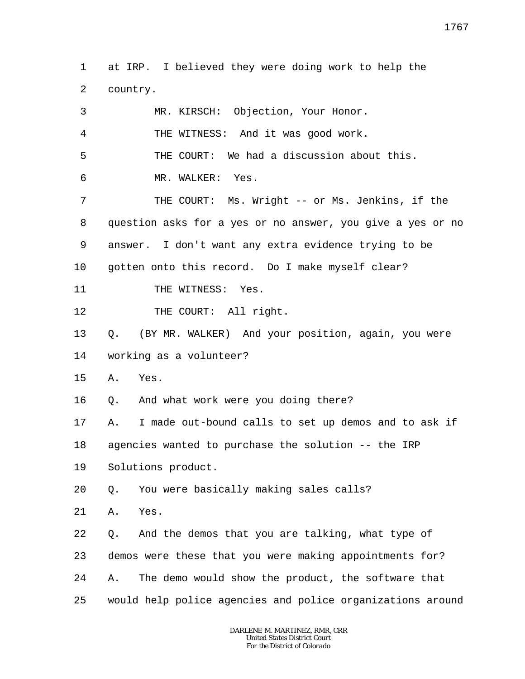1 2 at IRP. I believed they were doing work to help the country.

| 3              | MR. KIRSCH: Objection, Your Honor.                         |
|----------------|------------------------------------------------------------|
| $\overline{4}$ | THE WITNESS: And it was good work.                         |
| 5              | THE COURT: We had a discussion about this.                 |
| 6              | MR. WALKER:<br>Yes.                                        |
| 7              | THE COURT: Ms. Wright -- or Ms. Jenkins, if the            |
| 8              | question asks for a yes or no answer, you give a yes or no |
| 9              | answer. I don't want any extra evidence trying to be       |
| $10 \,$        | gotten onto this record. Do I make myself clear?           |
| 11             | THE WITNESS: Yes.                                          |
| 12             | THE COURT: All right.                                      |
| 13             | (BY MR. WALKER) And your position, again, you were<br>Q.   |
| 14             | working as a volunteer?                                    |
| 15             | Yes.<br>Α.                                                 |
| 16             | And what work were you doing there?<br>Q.                  |
| 17             | I made out-bound calls to set up demos and to ask if<br>Α. |
| 18             | agencies wanted to purchase the solution -- the IRP        |
| 19             | Solutions product.                                         |
| 20             | Q. You were basically making sales calls?                  |
| 21             | Yes.<br>Α.                                                 |
| 22             | And the demos that you are talking, what type of<br>Q.     |
| 23             | demos were these that you were making appointments for?    |
| 24             | The demo would show the product, the software that<br>Α.   |
| 25             | would help police agencies and police organizations around |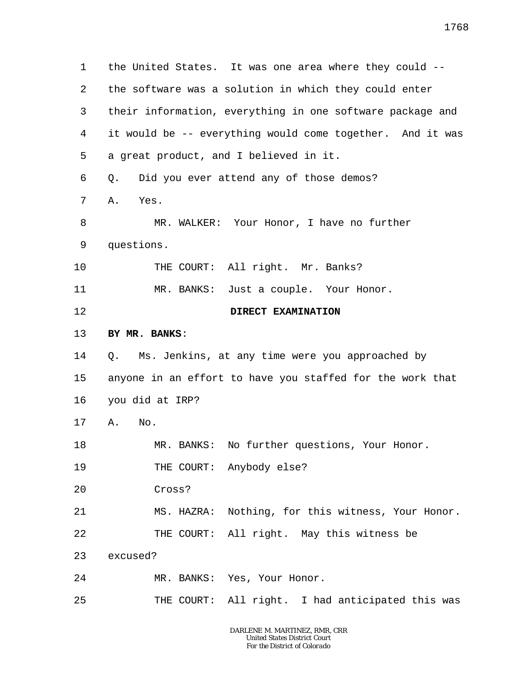1 2 3 4 5 6 7 8 9 10 11 12 13 14 15 16 17 18 19 20 21 22 23 24 25 the United States. It was one area where they could - the software was a solution in which they could enter their information, everything in one software package and it would be -- everything would come together. And it was a great product, and I believed in it. Q. Did you ever attend any of those demos? A. Yes. MR. WALKER: Your Honor, I have no further questions. THE COURT: All right. Mr. Banks? MR. BANKS: Just a couple. Your Honor. **DIRECT EXAMINATION BY MR. BANKS**: Q. Ms. Jenkins, at any time were you approached by anyone in an effort to have you staffed for the work that you did at IRP? A. No. MR. BANKS: No further questions, Your Honor. THE COURT: Anybody else? Cross? MS. HAZRA: Nothing, for this witness, Your Honor. THE COURT: All right. May this witness be excused? MR. BANKS: Yes, Your Honor. THE COURT: All right. I had anticipated this was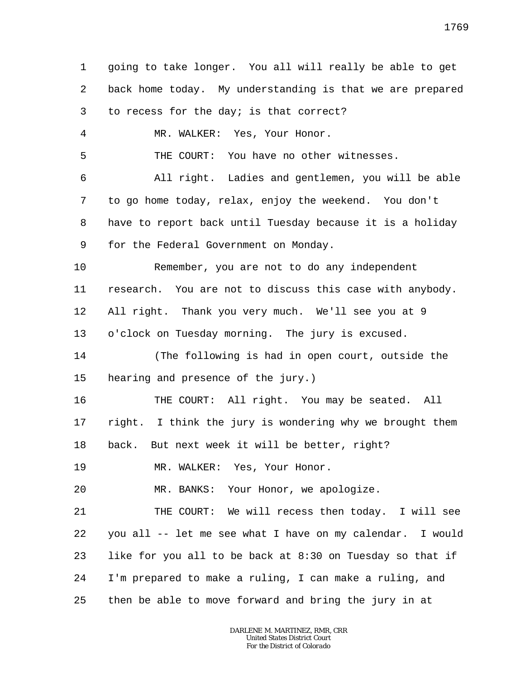1 2 3 4 5 6 7 8 9 10 11 12 13 14 15 16 17 18 19 20 21 22 23 24 25 going to take longer. You all will really be able to get back home today. My understanding is that we are prepared to recess for the day; is that correct? MR. WALKER: Yes, Your Honor. THE COURT: You have no other witnesses. All right. Ladies and gentlemen, you will be able to go home today, relax, enjoy the weekend. You don't have to report back until Tuesday because it is a holiday for the Federal Government on Monday. Remember, you are not to do any independent research. You are not to discuss this case with anybody. All right. Thank you very much. We'll see you at 9 o'clock on Tuesday morning. The jury is excused. (The following is had in open court, outside the hearing and presence of the jury.) THE COURT: All right. You may be seated. All right. I think the jury is wondering why we brought them back. But next week it will be better, right? MR. WALKER: Yes, Your Honor. MR. BANKS: Your Honor, we apologize. THE COURT: We will recess then today. I will see you all -- let me see what I have on my calendar. I would like for you all to be back at 8:30 on Tuesday so that if I'm prepared to make a ruling, I can make a ruling, and then be able to move forward and bring the jury in at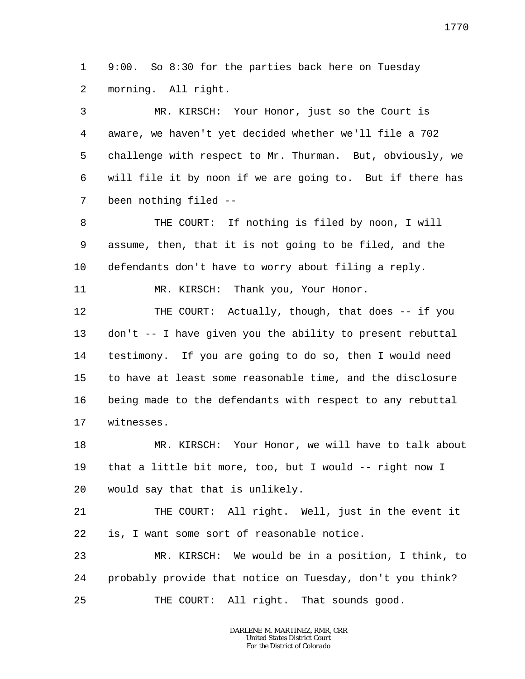1 2 9:00. So 8:30 for the parties back here on Tuesday morning. All right.

3 4 5 6 7 MR. KIRSCH: Your Honor, just so the Court is aware, we haven't yet decided whether we'll file a 702 challenge with respect to Mr. Thurman. But, obviously, we will file it by noon if we are going to. But if there has been nothing filed --

8 9 10 THE COURT: If nothing is filed by noon, I will assume, then, that it is not going to be filed, and the defendants don't have to worry about filing a reply.

11 MR. KIRSCH: Thank you, Your Honor.

12 13 14 15 16 17 THE COURT: Actually, though, that does -- if you don't -- I have given you the ability to present rebuttal testimony. If you are going to do so, then I would need to have at least some reasonable time, and the disclosure being made to the defendants with respect to any rebuttal witnesses.

18 19 20 MR. KIRSCH: Your Honor, we will have to talk about that a little bit more, too, but I would -- right now I would say that that is unlikely.

21 22 THE COURT: All right. Well, just in the event it is, I want some sort of reasonable notice.

23 24 25 MR. KIRSCH: We would be in a position, I think, to probably provide that notice on Tuesday, don't you think? THE COURT: All right. That sounds good.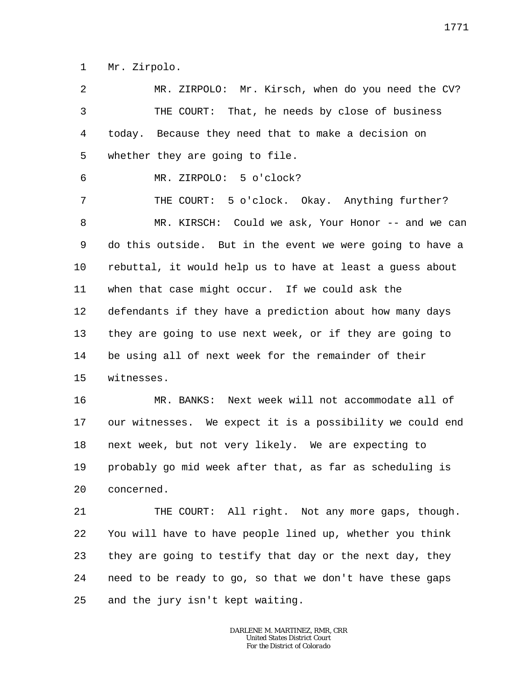1 Mr. Zirpolo.

2 3 4 5 6 7 8 9 10 11 12 13 14 15 16 17 18 19 20 21 22 23 24 MR. ZIRPOLO: Mr. Kirsch, when do you need the CV? THE COURT: That, he needs by close of business today. Because they need that to make a decision on whether they are going to file. MR. ZIRPOLO: 5 o'clock? THE COURT: 5 o'clock. Okay. Anything further? MR. KIRSCH: Could we ask, Your Honor -- and we can do this outside. But in the event we were going to have a rebuttal, it would help us to have at least a guess about when that case might occur. If we could ask the defendants if they have a prediction about how many days they are going to use next week, or if they are going to be using all of next week for the remainder of their witnesses. MR. BANKS: Next week will not accommodate all of our witnesses. We expect it is a possibility we could end next week, but not very likely. We are expecting to probably go mid week after that, as far as scheduling is concerned. THE COURT: All right. Not any more gaps, though. You will have to have people lined up, whether you think they are going to testify that day or the next day, they need to be ready to go, so that we don't have these gaps

25 and the jury isn't kept waiting.